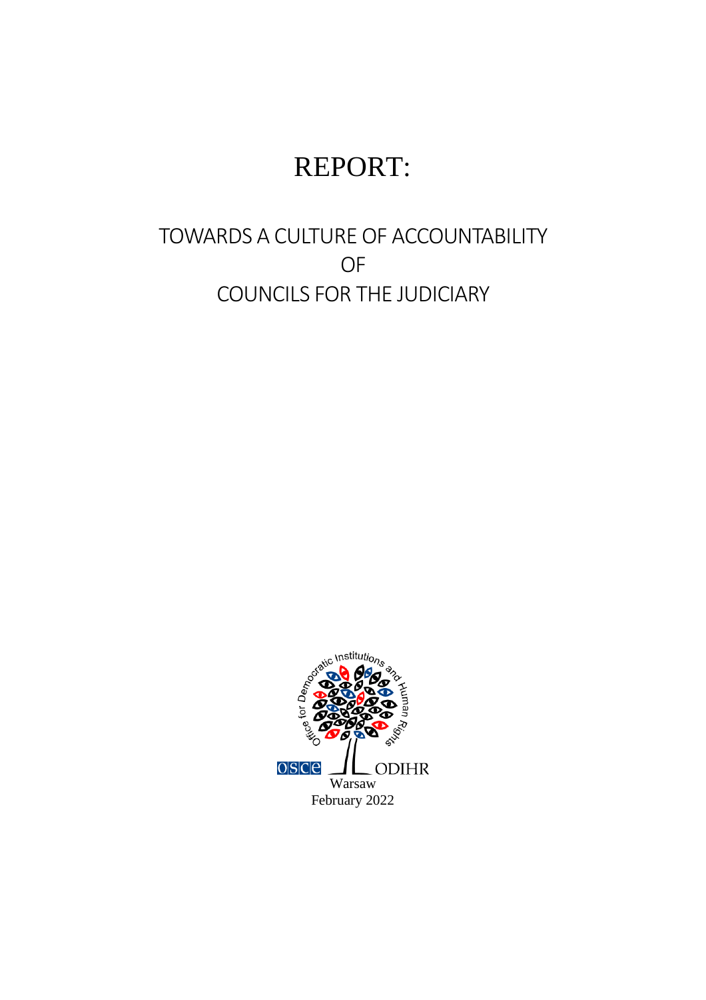# REPORT:

# TOWARDS A CULTURE OF ACCOUNTABILITY OF COUNCILS FOR THE JUDICIARY

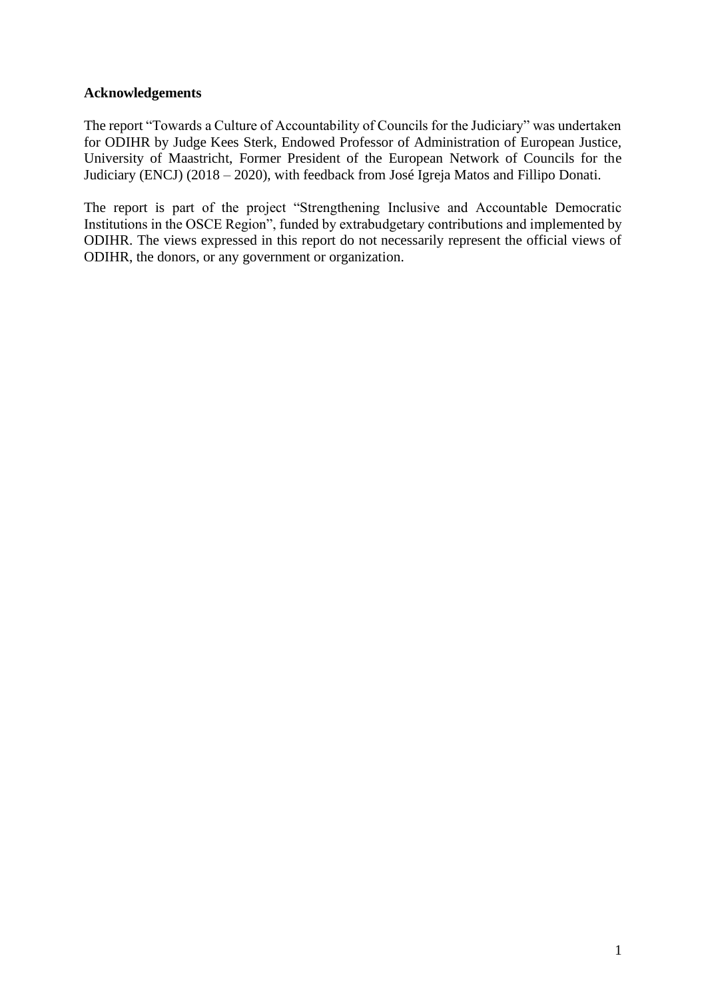# **Acknowledgements**

The report "Towards a Culture of Accountability of Councils for the Judiciary" was undertaken for ODIHR by Judge Kees Sterk, Endowed Professor of Administration of European Justice, University of Maastricht, Former President of the European Network of Councils for the Judiciary (ENCJ) (2018 – 2020), with feedback from José Igreja Matos and Fillipo Donati.

The report is part of the project "Strengthening Inclusive and Accountable Democratic Institutions in the OSCE Region", funded by extrabudgetary contributions and implemented by ODIHR. The views expressed in this report do not necessarily represent the official views of ODIHR, the donors, or any government or organization.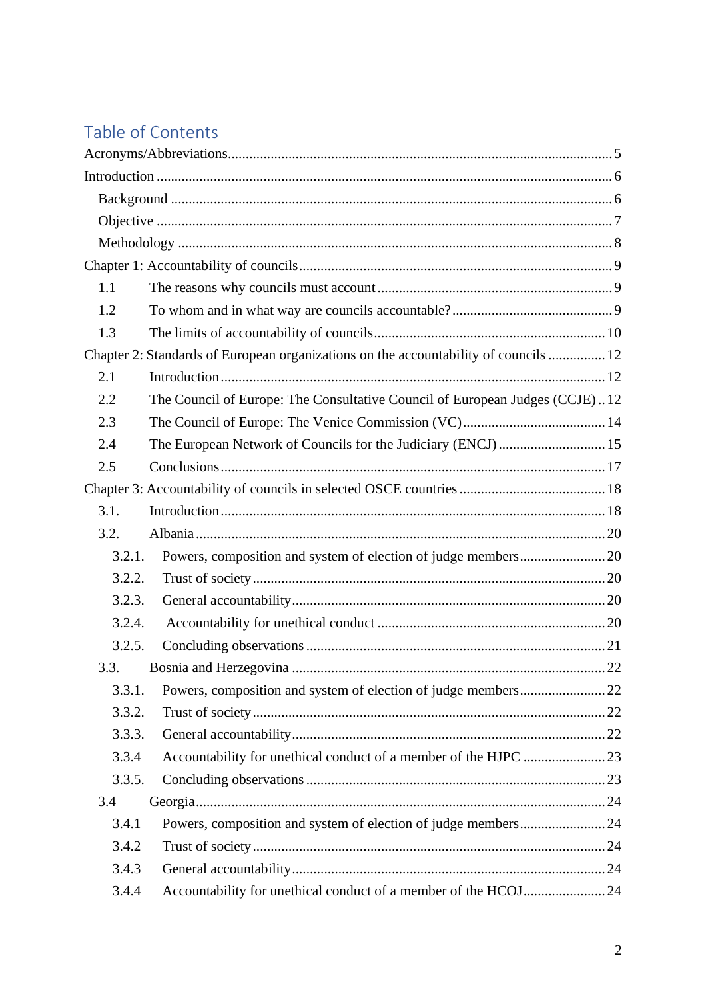# Table of Contents

| 1.1    |                                                                                      |  |
|--------|--------------------------------------------------------------------------------------|--|
| 1.2    |                                                                                      |  |
| 1.3    |                                                                                      |  |
|        | Chapter 2: Standards of European organizations on the accountability of councils  12 |  |
| 2.1    |                                                                                      |  |
| 2.2    | The Council of Europe: The Consultative Council of European Judges (CCJE)12          |  |
| 2.3    |                                                                                      |  |
| 2.4    | The European Network of Councils for the Judiciary (ENCJ)  15                        |  |
| 2.5    |                                                                                      |  |
|        |                                                                                      |  |
| 3.1.   |                                                                                      |  |
| 3.2.   |                                                                                      |  |
| 3.2.1. |                                                                                      |  |
| 3.2.2. |                                                                                      |  |
| 3.2.3. |                                                                                      |  |
| 3.2.4. |                                                                                      |  |
| 3.2.5. |                                                                                      |  |
| 3.3.   |                                                                                      |  |
| 3.3.1. |                                                                                      |  |
| 3.3.2. |                                                                                      |  |
| 3.3.3. |                                                                                      |  |
| 3.3.4  |                                                                                      |  |
| 3.3.5. |                                                                                      |  |
| 3.4    |                                                                                      |  |
| 3.4.1  |                                                                                      |  |
| 3.4.2  |                                                                                      |  |
| 3.4.3  |                                                                                      |  |
| 3.4.4  | Accountability for unethical conduct of a member of the HCOJ24                       |  |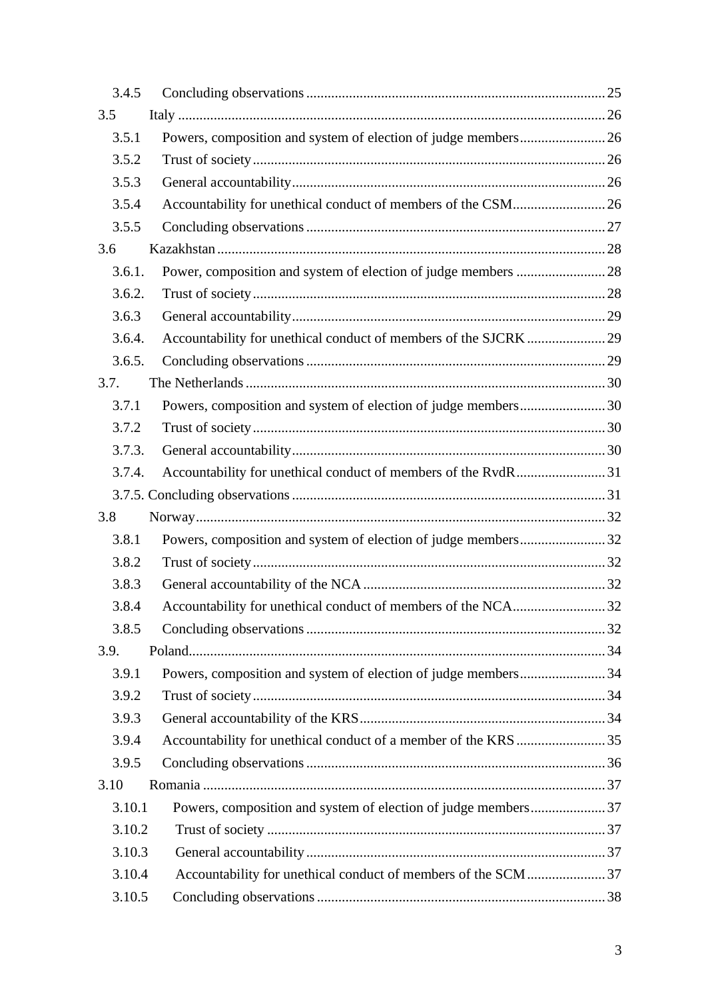| 3.4.5  |                                                                |  |
|--------|----------------------------------------------------------------|--|
| 3.5    |                                                                |  |
| 3.5.1  | Powers, composition and system of election of judge members 26 |  |
| 3.5.2  |                                                                |  |
| 3.5.3  |                                                                |  |
| 3.5.4  | Accountability for unethical conduct of members of the CSM 26  |  |
| 3.5.5  |                                                                |  |
| 3.6    |                                                                |  |
| 3.6.1. |                                                                |  |
| 3.6.2. |                                                                |  |
| 3.6.3  |                                                                |  |
| 3.6.4. |                                                                |  |
| 3.6.5. |                                                                |  |
| 3.7.   |                                                                |  |
| 3.7.1  | Powers, composition and system of election of judge members30  |  |
| 3.7.2  |                                                                |  |
| 3.7.3. |                                                                |  |
| 3.7.4. | Accountability for unethical conduct of members of the RvdR31  |  |
|        |                                                                |  |
| 3.8    |                                                                |  |
| 3.8.1  | Powers, composition and system of election of judge members32  |  |
| 3.8.2  |                                                                |  |
| 3.8.3  |                                                                |  |
| 3.8.4  | Accountability for unethical conduct of members of the NCA32   |  |
| 3.8.5  |                                                                |  |
| 3.9.   |                                                                |  |
| 3.9.1  | Powers, composition and system of election of judge members34  |  |
| 3.9.2  |                                                                |  |
| 3.9.3  |                                                                |  |
| 3.9.4  |                                                                |  |
| 3.9.5  |                                                                |  |
| 3.10   |                                                                |  |
| 3.10.1 |                                                                |  |
| 3.10.2 |                                                                |  |
| 3.10.3 |                                                                |  |
| 3.10.4 | Accountability for unethical conduct of members of the SCM 37  |  |
| 3.10.5 |                                                                |  |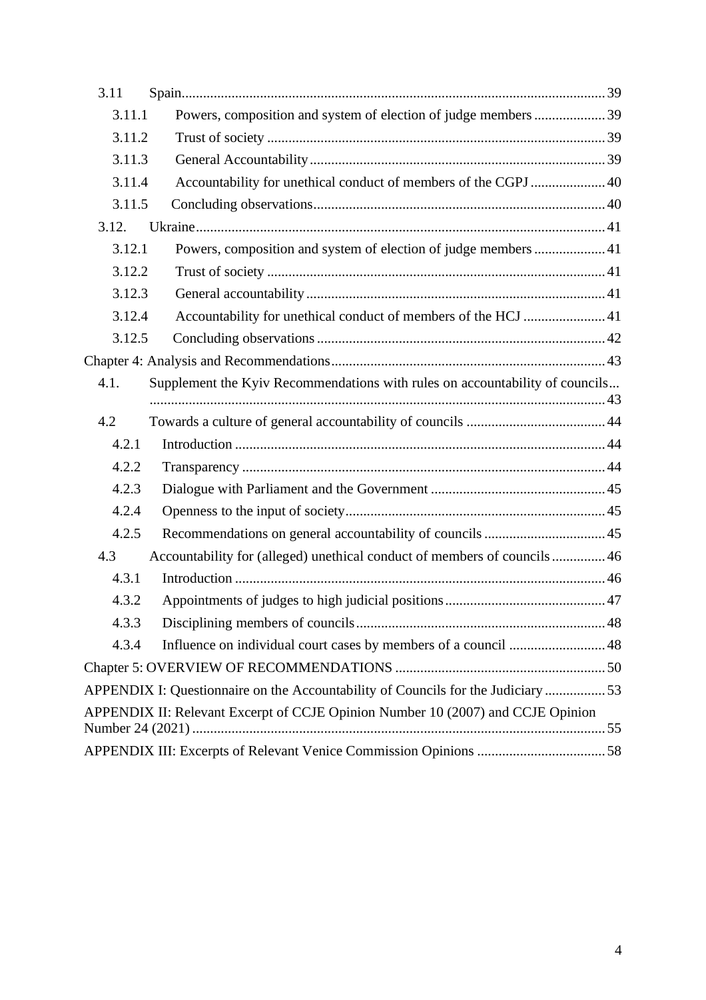| 3.11   |                                                                                   |  |  |
|--------|-----------------------------------------------------------------------------------|--|--|
| 3.11.1 | Powers, composition and system of election of judge members  39                   |  |  |
| 3.11.2 |                                                                                   |  |  |
| 3.11.3 |                                                                                   |  |  |
| 3.11.4 | Accountability for unethical conduct of members of the CGPJ  40                   |  |  |
| 3.11.5 |                                                                                   |  |  |
| 3.12.  |                                                                                   |  |  |
| 3.12.1 | Powers, composition and system of election of judge members  41                   |  |  |
| 3.12.2 |                                                                                   |  |  |
| 3.12.3 |                                                                                   |  |  |
| 3.12.4 | Accountability for unethical conduct of members of the HCJ  41                    |  |  |
| 3.12.5 |                                                                                   |  |  |
|        |                                                                                   |  |  |
| 4.1.   | Supplement the Kyiv Recommendations with rules on accountability of councils      |  |  |
|        |                                                                                   |  |  |
| 4.2    |                                                                                   |  |  |
| 4.2.1  |                                                                                   |  |  |
| 4.2.2  |                                                                                   |  |  |
| 4.2.3  |                                                                                   |  |  |
| 4.2.4  |                                                                                   |  |  |
| 4.2.5  |                                                                                   |  |  |
| 4.3    | Accountability for (alleged) unethical conduct of members of councils 46          |  |  |
| 4.3.1  |                                                                                   |  |  |
| 4.3.2  |                                                                                   |  |  |
| 4.3.3  |                                                                                   |  |  |
| 4.3.4  |                                                                                   |  |  |
|        |                                                                                   |  |  |
|        | APPENDIX I: Questionnaire on the Accountability of Councils for the Judiciary  53 |  |  |
|        | APPENDIX II: Relevant Excerpt of CCJE Opinion Number 10 (2007) and CCJE Opinion   |  |  |
|        |                                                                                   |  |  |
|        |                                                                                   |  |  |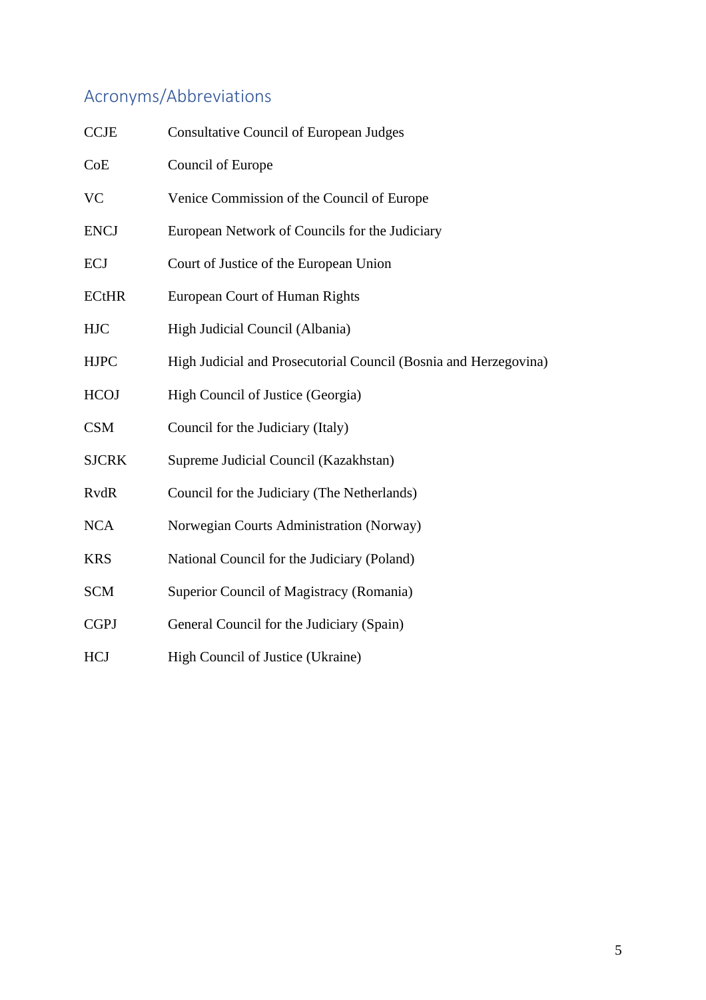# <span id="page-5-0"></span>Acronyms/Abbreviations

| <b>CCJE</b>  | <b>Consultative Council of European Judges</b>                   |
|--------------|------------------------------------------------------------------|
| CoE          | Council of Europe                                                |
| <b>VC</b>    | Venice Commission of the Council of Europe                       |
| <b>ENCJ</b>  | European Network of Councils for the Judiciary                   |
| <b>ECJ</b>   | Court of Justice of the European Union                           |
| <b>ECtHR</b> | <b>European Court of Human Rights</b>                            |
| <b>HJC</b>   | High Judicial Council (Albania)                                  |
| <b>HJPC</b>  | High Judicial and Prosecutorial Council (Bosnia and Herzegovina) |
| <b>HCOJ</b>  | High Council of Justice (Georgia)                                |
| <b>CSM</b>   | Council for the Judiciary (Italy)                                |
| <b>SJCRK</b> | Supreme Judicial Council (Kazakhstan)                            |
| <b>RvdR</b>  | Council for the Judiciary (The Netherlands)                      |
| <b>NCA</b>   | Norwegian Courts Administration (Norway)                         |
| <b>KRS</b>   | National Council for the Judiciary (Poland)                      |
| <b>SCM</b>   | Superior Council of Magistracy (Romania)                         |
| <b>CGPJ</b>  | General Council for the Judiciary (Spain)                        |
| <b>HCJ</b>   | High Council of Justice (Ukraine)                                |
|              |                                                                  |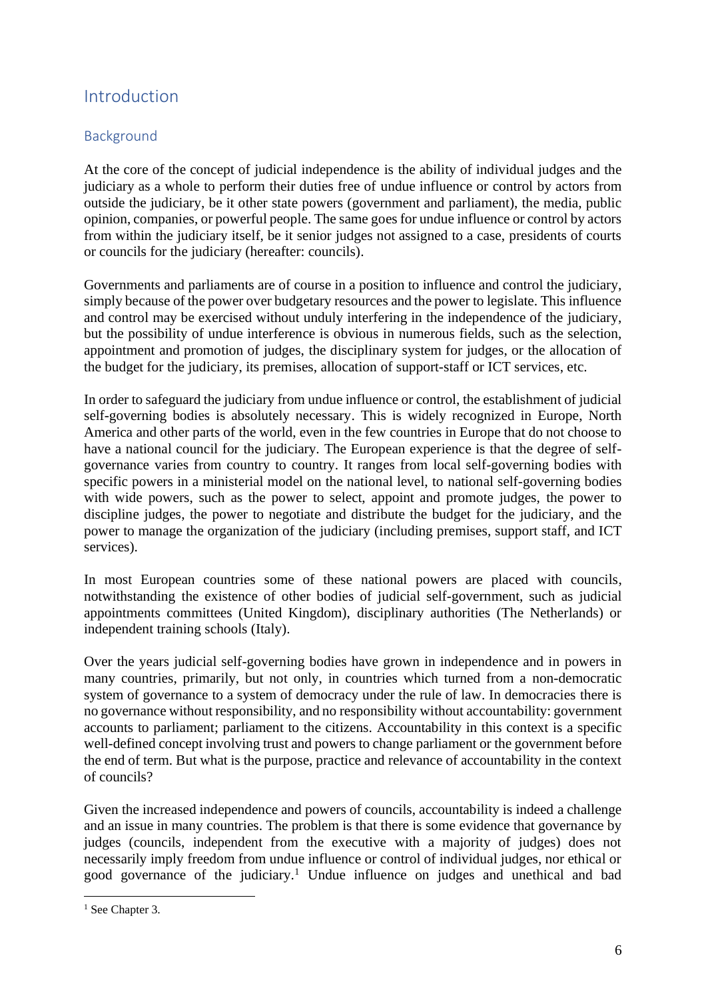# <span id="page-6-0"></span>Introduction

# <span id="page-6-1"></span>Background

At the core of the concept of judicial independence is the ability of individual judges and the judiciary as a whole to perform their duties free of undue influence or control by actors from outside the judiciary, be it other state powers (government and parliament), the media, public opinion, companies, or powerful people. The same goes for undue influence or control by actors from within the judiciary itself, be it senior judges not assigned to a case, presidents of courts or councils for the judiciary (hereafter: councils).

Governments and parliaments are of course in a position to influence and control the judiciary, simply because of the power over budgetary resources and the power to legislate. This influence and control may be exercised without unduly interfering in the independence of the judiciary, but the possibility of undue interference is obvious in numerous fields, such as the selection, appointment and promotion of judges, the disciplinary system for judges, or the allocation of the budget for the judiciary, its premises, allocation of support-staff or ICT services, etc.

In order to safeguard the judiciary from undue influence or control, the establishment of judicial self-governing bodies is absolutely necessary. This is widely recognized in Europe, North America and other parts of the world, even in the few countries in Europe that do not choose to have a national council for the judiciary. The European experience is that the degree of selfgovernance varies from country to country. It ranges from local self-governing bodies with specific powers in a ministerial model on the national level, to national self-governing bodies with wide powers, such as the power to select, appoint and promote judges, the power to discipline judges, the power to negotiate and distribute the budget for the judiciary, and the power to manage the organization of the judiciary (including premises, support staff, and ICT services).

In most European countries some of these national powers are placed with councils, notwithstanding the existence of other bodies of judicial self-government, such as judicial appointments committees (United Kingdom), disciplinary authorities (The Netherlands) or independent training schools (Italy).

Over the years judicial self-governing bodies have grown in independence and in powers in many countries, primarily, but not only, in countries which turned from a non-democratic system of governance to a system of democracy under the rule of law. In democracies there is no governance without responsibility, and no responsibility without accountability: government accounts to parliament; parliament to the citizens. Accountability in this context is a specific well-defined concept involving trust and powers to change parliament or the government before the end of term. But what is the purpose, practice and relevance of accountability in the context of councils?

Given the increased independence and powers of councils, accountability is indeed a challenge and an issue in many countries. The problem is that there is some evidence that governance by judges (councils, independent from the executive with a majority of judges) does not necessarily imply freedom from undue influence or control of individual judges, nor ethical or good governance of the judiciary. <sup>1</sup> Undue influence on judges and unethical and bad

<sup>&</sup>lt;sup>1</sup> See Chapter 3.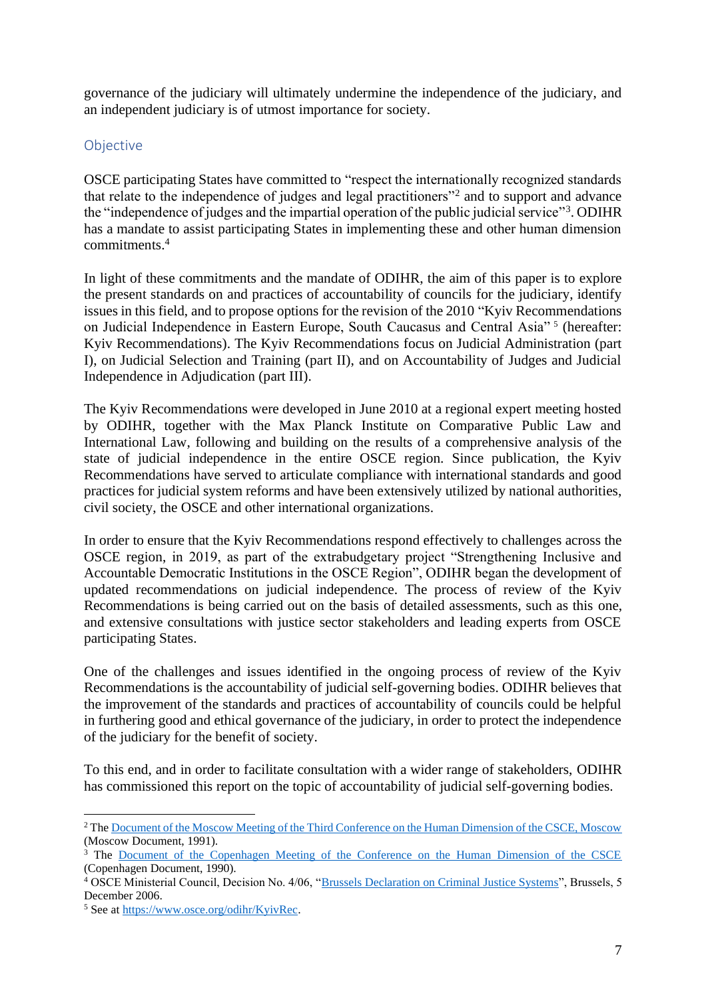governance of the judiciary will ultimately undermine the independence of the judiciary, and an independent judiciary is of utmost importance for society.

# <span id="page-7-0"></span>**Objective**

OSCE participating States have committed to "respect the internationally recognized standards that relate to the independence of judges and legal practitioners"<sup>2</sup> and to support and advance the "independence of judges and the impartial operation of the public judicial service"<sup>3</sup>. ODIHR has a mandate to assist participating States in implementing these and other human dimension commitments.<sup>4</sup>

In light of these commitments and the mandate of ODIHR, the aim of this paper is to explore the present standards on and practices of accountability of councils for the judiciary, identify issues in this field, and to propose options for the revision of the 2010 "Kyiv Recommendations on Judicial Independence in Eastern Europe, South Caucasus and Central Asia"<sup>5</sup> (hereafter: Kyiv Recommendations). The Kyiv Recommendations focus on Judicial Administration (part I), on Judicial Selection and Training (part II), and on Accountability of Judges and Judicial Independence in Adjudication (part III).

The Kyiv Recommendations were developed in June 2010 at a regional expert meeting hosted by ODIHR, together with the Max Planck Institute on Comparative Public Law and International Law, following and building on the results of a comprehensive analysis of the state of judicial independence in the entire OSCE region. Since publication, the Kyiv Recommendations have served to articulate compliance with international standards and good practices for judicial system reforms and have been extensively utilized by national authorities, civil society, the OSCE and other international organizations.

In order to ensure that the Kyiv Recommendations respond effectively to challenges across the OSCE region, in 2019, as part of the extrabudgetary project "Strengthening Inclusive and Accountable Democratic Institutions in the OSCE Region", ODIHR began the development of updated recommendations on judicial independence. The process of review of the Kyiv Recommendations is being carried out on the basis of detailed assessments, such as this one, and extensive consultations with justice sector stakeholders and leading experts from OSCE participating States.

One of the challenges and issues identified in the ongoing process of review of the Kyiv Recommendations is the accountability of judicial self-governing bodies. ODIHR believes that the improvement of the standards and practices of accountability of councils could be helpful in furthering good and ethical governance of the judiciary, in order to protect the independence of the judiciary for the benefit of society.

To this end, and in order to facilitate consultation with a wider range of stakeholders, ODIHR has commissioned this report on the topic of accountability of judicial self-governing bodies.

<sup>2</sup> The [Document of the Moscow Meeting of the Third Conference on the Human Dimension of the CSCE, Moscow](https://www.osce.org/odihr/elections/14310) (Moscow Document, 1991).

<sup>&</sup>lt;sup>3</sup> The [Document of the Copenhagen Meeting of the Conference on the Human Dimension of the CSCE](https://www.osce.org/odihr/elections/14304) (Copenhagen Document, 1990).

<sup>&</sup>lt;sup>4</sup> OSCE Ministerial Council, Decision No. 4/06, ["Brussels Declaration on Criminal Justice Systems"](https://www.osce.org/mc/23017), Brussels, 5 December 2006.

<sup>5</sup> See at [https://www.osce.org/odihr/KyivRec.](https://www.osce.org/odihr/KyivRec)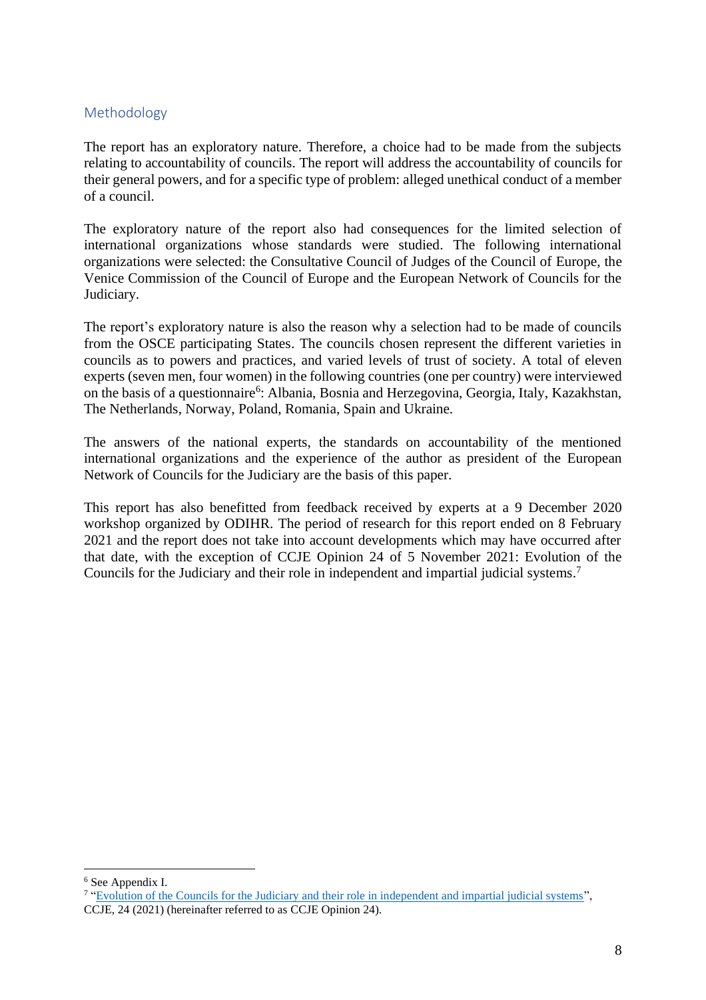# <span id="page-8-0"></span>Methodology

The report has an exploratory nature. Therefore, a choice had to be made from the subjects relating to accountability of councils. The report will address the accountability of councils for their general powers, and for a specific type of problem: alleged unethical conduct of a member of a council.

The exploratory nature of the report also had consequences for the limited selection of international organizations whose standards were studied. The following international organizations were selected: the Consultative Council of Judges of the Council of Europe, the Venice Commission of the Council of Europe and the European Network of Councils for the Judiciary.

The report's exploratory nature is also the reason why a selection had to be made of councils from the OSCE participating States. The councils chosen represent the different varieties in councils as to powers and practices, and varied levels of trust of society. A total of eleven experts (seven men, four women) in the following countries (one per country) were interviewed on the basis of a questionnaire<sup>6</sup>: Albania, Bosnia and Herzegovina, Georgia, Italy, Kazakhstan, The Netherlands, Norway, Poland, Romania, Spain and Ukraine.

The answers of the national experts, the standards on accountability of the mentioned international organizations and the experience of the author as president of the European Network of Councils for the Judiciary are the basis of this paper.

This report has also benefitted from feedback received by experts at a 9 December 2020 workshop organized by ODIHR. The period of research for this report ended on 8 February 2021 and the report does not take into account developments which may have occurred after that date, with the exception of CCJE Opinion 24 of 5 November 2021: Evolution of the Councils for the Judiciary and their role in independent and impartial judicial systems. 7

<sup>6</sup> See Appendix I.

<sup>&</sup>lt;sup>7</sup> ["Evolution of the Councils for the Judiciary and their role in independent and impartial judicial systems"](https://rm.coe.int/opinion-no-24-2021-of-the-ccje/1680a47604), CCJE, 24 (2021) (hereinafter referred to as CCJE Opinion 24).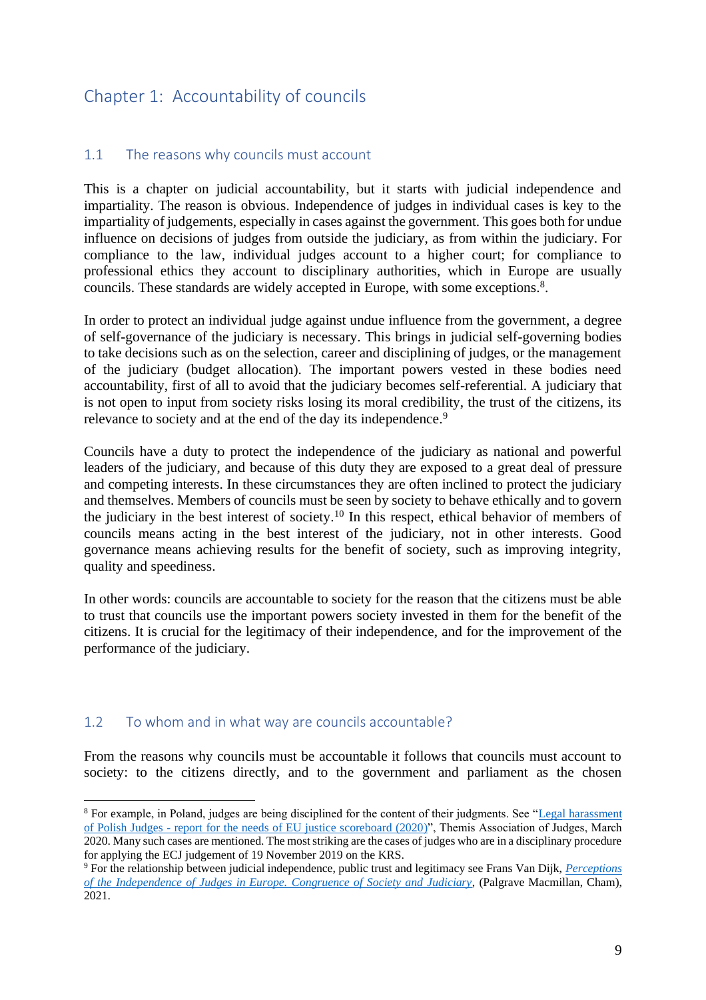# <span id="page-9-0"></span>Chapter 1: Accountability of councils

# <span id="page-9-1"></span>1.1 The reasons why councils must account

This is a chapter on judicial accountability, but it starts with judicial independence and impartiality. The reason is obvious. Independence of judges in individual cases is key to the impartiality of judgements, especially in cases against the government. This goes both for undue influence on decisions of judges from outside the judiciary, as from within the judiciary. For compliance to the law, individual judges account to a higher court; for compliance to professional ethics they account to disciplinary authorities, which in Europe are usually councils. These standards are widely accepted in Europe, with some exceptions.<sup>8</sup>.

In order to protect an individual judge against undue influence from the government, a degree of self-governance of the judiciary is necessary. This brings in judicial self-governing bodies to take decisions such as on the selection, career and disciplining of judges, or the management of the judiciary (budget allocation). The important powers vested in these bodies need accountability, first of all to avoid that the judiciary becomes self-referential. A judiciary that is not open to input from society risks losing its moral credibility, the trust of the citizens, its relevance to society and at the end of the day its independence.<sup>9</sup>

Councils have a duty to protect the independence of the judiciary as national and powerful leaders of the judiciary, and because of this duty they are exposed to a great deal of pressure and competing interests. In these circumstances they are often inclined to protect the judiciary and themselves. Members of councils must be seen by society to behave ethically and to govern the judiciary in the best interest of society.<sup>10</sup> In this respect, ethical behavior of members of councils means acting in the best interest of the judiciary, not in other interests. Good governance means achieving results for the benefit of society, such as improving integrity, quality and speediness.

In other words: councils are accountable to society for the reason that the citizens must be able to trust that councils use the important powers society invested in them for the benefit of the citizens. It is crucial for the legitimacy of their independence, and for the improvement of the performance of the judiciary.

# <span id="page-9-2"></span>1.2 To whom and in what way are councils accountable?

From the reasons why councils must be accountable it follows that councils must account to society: to the citizens directly, and to the government and parliament as the chosen

<sup>8</sup> For example, in Poland, judges are being disciplined for the content of their judgments. See ["Legal harassment](http://themis-sedziowie.eu/materials-in-english/legal-harassment-of-polish-judges-report-for-the-needs-of-eu-justice-scoreboard-2020-updated-as-of-24-march-2020/)  of Polish Judges - [report for the needs of EU justice scoreboard \(2020\)](http://themis-sedziowie.eu/materials-in-english/legal-harassment-of-polish-judges-report-for-the-needs-of-eu-justice-scoreboard-2020-updated-as-of-24-march-2020/)", Themis Association of Judges, March 2020. Many such cases are mentioned. The most striking are the cases of judges who are in a disciplinary procedure for applying the ECJ judgement of 19 November 2019 on the KRS.

<sup>9</sup> For the relationship between judicial independence, public trust and legitimacy see Frans Van Dijk, *[Perceptions](https://link.springer.com/book/10.1007%2F978-3-030-63143-7)  [of the Independence of Judges in Europe.](https://link.springer.com/book/10.1007%2F978-3-030-63143-7) Congruence of Society and Judiciary*, (Palgrave Macmillan, Cham), 2021.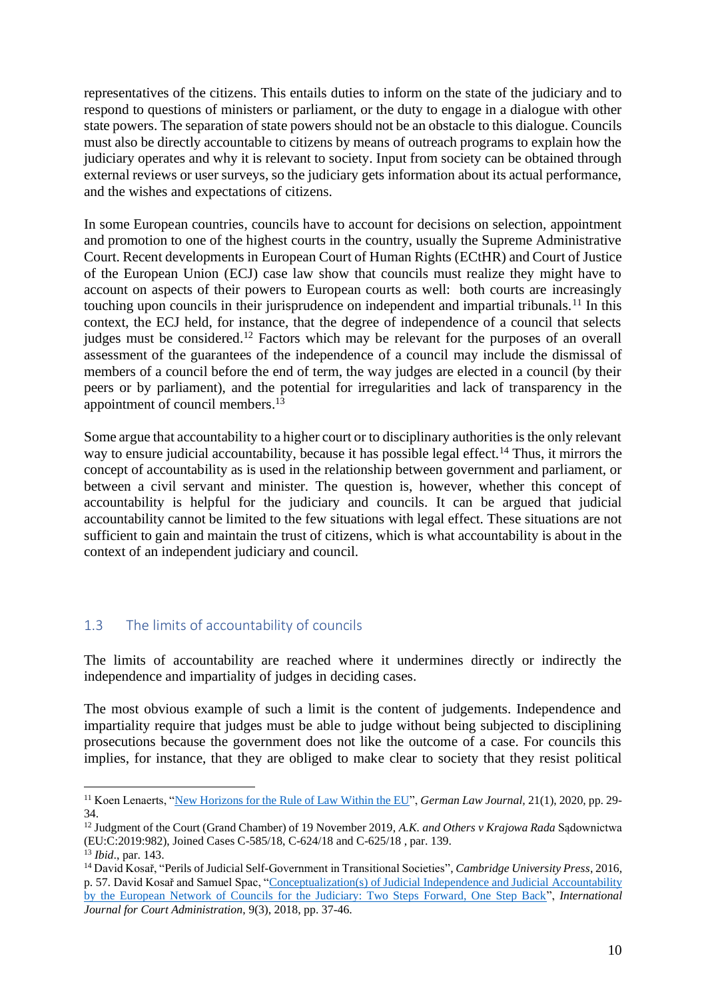representatives of the citizens. This entails duties to inform on the state of the judiciary and to respond to questions of ministers or parliament, or the duty to engage in a dialogue with other state powers. The separation of state powers should not be an obstacle to this dialogue. Councils must also be directly accountable to citizens by means of outreach programs to explain how the judiciary operates and why it is relevant to society. Input from society can be obtained through external reviews or user surveys, so the judiciary gets information about its actual performance, and the wishes and expectations of citizens.

In some European countries, councils have to account for decisions on selection, appointment and promotion to one of the highest courts in the country, usually the Supreme Administrative Court. Recent developments in European Court of Human Rights (ECtHR) and Court of Justice of the European Union (ECJ) case law show that councils must realize they might have to account on aspects of their powers to European courts as well: both courts are increasingly touching upon councils in their jurisprudence on independent and impartial tribunals.<sup>11</sup> In this context, the ECJ held, for instance, that the degree of independence of a council that selects judges must be considered.<sup>12</sup> Factors which may be relevant for the purposes of an overall assessment of the guarantees of the independence of a council may include the dismissal of members of a council before the end of term, the way judges are elected in a council (by their peers or by parliament), and the potential for irregularities and lack of transparency in the appointment of council members. 13

Some argue that accountability to a higher court or to disciplinary authorities is the only relevant way to ensure judicial accountability, because it has possible legal effect.<sup>14</sup> Thus, it mirrors the concept of accountability as is used in the relationship between government and parliament, or between a civil servant and minister. The question is, however, whether this concept of accountability is helpful for the judiciary and councils. It can be argued that judicial accountability cannot be limited to the few situations with legal effect. These situations are not sufficient to gain and maintain the trust of citizens, which is what accountability is about in the context of an independent judiciary and council.

# <span id="page-10-0"></span>1.3 The limits of accountability of councils

The limits of accountability are reached where it undermines directly or indirectly the independence and impartiality of judges in deciding cases.

The most obvious example of such a limit is the content of judgements. Independence and impartiality require that judges must be able to judge without being subjected to disciplining prosecutions because the government does not like the outcome of a case. For councils this implies, for instance, that they are obliged to make clear to society that they resist political

<sup>11</sup> Koen Lenaerts, ["New Horizons for the Rule of Law Within the EU"](https://www.cambridge.org/core/journals/german-law-journal/article/new-horizons-for-the-rule-of-law-within-the-eu/C60C39F5025ECD2070A6761EDE79959B), *German Law Journal,* 21(1), 2020, pp. 29- 34.

<sup>12</sup> Judgment of the Court (Grand Chamber) of 19 November 2019, *A.K. and Others v Krajowa Rada* Sądownictwa (EU:C:2019:982), Joined Cases C-585/18, C-624/18 and C-625/18 , par. 139.

<sup>13</sup> *Ibid*., par. 143.

<sup>14</sup> David Kosař, "Perils of Judicial Self-Government in Transitional Societies", *Cambridge University Press*, 2016, p. 57. David Kosař and Samuel Spac, ["Conceptualization\(s\) of Judicial Independence and Judicial Accountability](https://www.researchgate.net/publication/330224773_Conceptualizations_of_Judicial_Independence_and_Judicial_Accountability_by_the_European_Network_of_Councils_for_the_Judiciary_Two_Steps_Forward_One_Step_Back)  [by the European Network of Councils for the Judiciary: Two Steps Forward, One Step Back"](https://www.researchgate.net/publication/330224773_Conceptualizations_of_Judicial_Independence_and_Judicial_Accountability_by_the_European_Network_of_Councils_for_the_Judiciary_Two_Steps_Forward_One_Step_Back), *International Journal for Court Administration*, 9(3), 2018, pp. 37-46.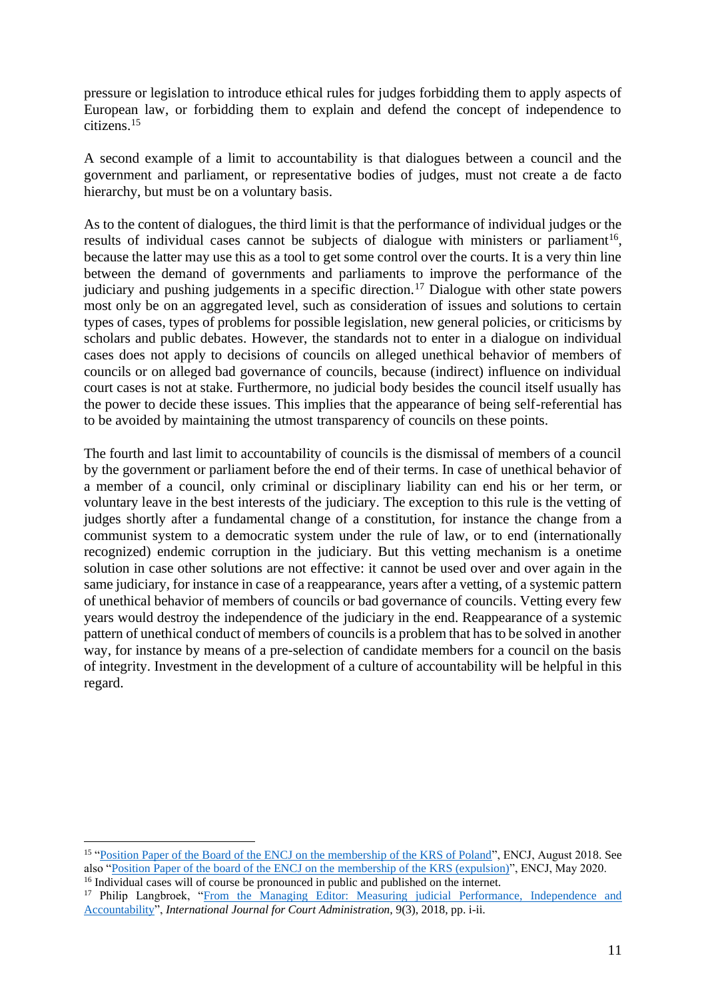pressure or legislation to introduce ethical rules for judges forbidding them to apply aspects of European law, or forbidding them to explain and defend the concept of independence to citizens.<sup>15</sup>

A second example of a limit to accountability is that dialogues between a council and the government and parliament, or representative bodies of judges, must not create a de facto hierarchy, but must be on a voluntary basis.

As to the content of dialogues, the third limit is that the performance of individual judges or the results of individual cases cannot be subjects of dialogue with ministers or parliament<sup>16</sup>, because the latter may use this as a tool to get some control over the courts. It is a very thin line between the demand of governments and parliaments to improve the performance of the judiciary and pushing judgements in a specific direction.<sup>17</sup> Dialogue with other state powers most only be on an aggregated level, such as consideration of issues and solutions to certain types of cases, types of problems for possible legislation, new general policies, or criticisms by scholars and public debates. However, the standards not to enter in a dialogue on individual cases does not apply to decisions of councils on alleged unethical behavior of members of councils or on alleged bad governance of councils, because (indirect) influence on individual court cases is not at stake. Furthermore, no judicial body besides the council itself usually has the power to decide these issues. This implies that the appearance of being self-referential has to be avoided by maintaining the utmost transparency of councils on these points.

The fourth and last limit to accountability of councils is the dismissal of members of a council by the government or parliament before the end of their terms. In case of unethical behavior of a member of a council, only criminal or disciplinary liability can end his or her term, or voluntary leave in the best interests of the judiciary. The exception to this rule is the vetting of judges shortly after a fundamental change of a constitution, for instance the change from a communist system to a democratic system under the rule of law, or to end (internationally recognized) endemic corruption in the judiciary. But this vetting mechanism is a onetime solution in case other solutions are not effective: it cannot be used over and over again in the same judiciary, for instance in case of a reappearance, years after a vetting, of a systemic pattern of unethical behavior of members of councils or bad governance of councils. Vetting every few years would destroy the independence of the judiciary in the end. Reappearance of a systemic pattern of unethical conduct of members of councils is a problem that has to be solved in another way, for instance by means of a pre-selection of candidate members for a council on the basis of integrity. Investment in the development of a culture of accountability will be helpful in this regard.

<sup>&</sup>lt;sup>15</sup> ["Position Paper of the Board of the ENCJ on the membership of the KRS of Poland"](https://pgwrk-websitemedia.s3.eu-west-1.amazonaws.com/production/pwk-web-encj2017-p/News/ENCJ%20Board%20position%20paper%20on%20KRS%20Poland.pdf), ENCJ, August 2018. See also ["Position Paper of the board of the ENCJ on the](https://pgwrk-websitemedia.s3.eu-west-1.amazonaws.com/production/pwk-web-encj2017-p/News/Position%20paper%20ENCJ%20Board%20on%20position%20KRS%20and%20annexes%2027%20May%202020.pdf) membership of the KRS (expulsion)", ENCJ, May 2020. <sup>16</sup> Individual cases will of course be pronounced in public and published on the internet.

<sup>&</sup>lt;sup>17</sup> Philip Langbroek, "From the Managing Editor: Measuring judicial Performance, Independence and [Accountability"](https://www.researchgate.net/publication/330224926_From_the_Managing_Editor_Measuring_Judicial_Performance_Independence_and_Accountability), *International Journal for Court Administration*, 9(3), 2018, pp. i-ii.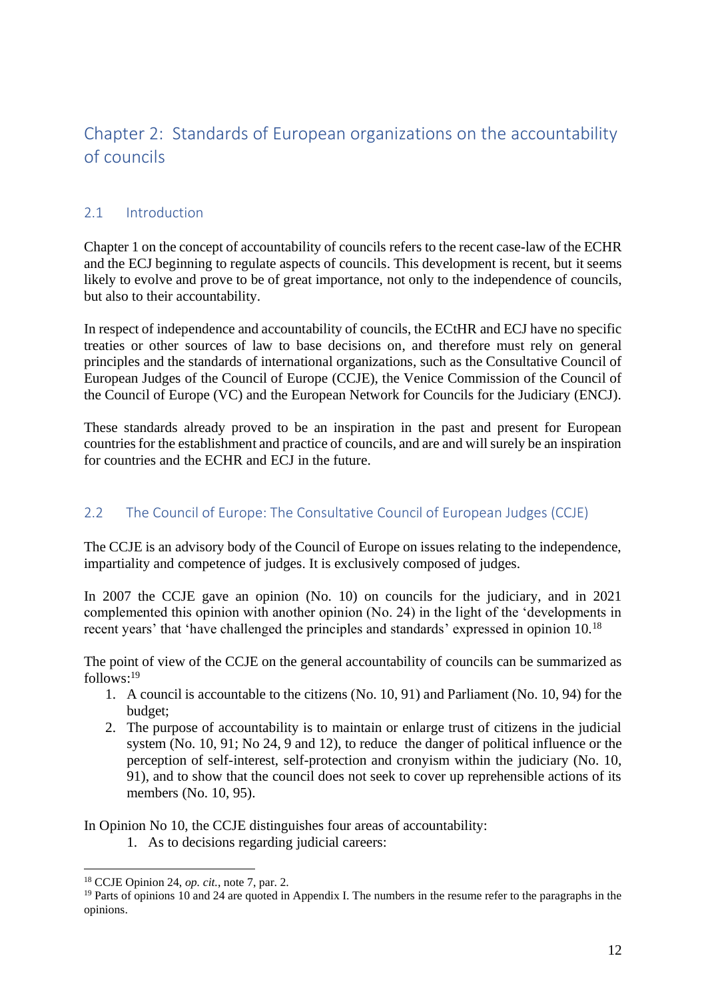# <span id="page-12-0"></span>Chapter 2: Standards of European organizations on the accountability of councils

# <span id="page-12-1"></span>2.1 Introduction

Chapter 1 on the concept of accountability of councils refers to the recent case-law of the ECHR and the ECJ beginning to regulate aspects of councils. This development is recent, but it seems likely to evolve and prove to be of great importance, not only to the independence of councils, but also to their accountability.

In respect of independence and accountability of councils, the ECtHR and ECJ have no specific treaties or other sources of law to base decisions on, and therefore must rely on general principles and the standards of international organizations, such as the Consultative Council of European Judges of the Council of Europe (CCJE), the Venice Commission of the Council of the Council of Europe (VC) and the European Network for Councils for the Judiciary (ENCJ).

These standards already proved to be an inspiration in the past and present for European countries for the establishment and practice of councils, and are and will surely be an inspiration for countries and the ECHR and ECJ in the future.

# <span id="page-12-2"></span>2.2 The Council of Europe: The Consultative Council of European Judges (CCJE)

The CCJE is an advisory body of the Council of Europe on issues relating to the independence, impartiality and competence of judges. It is exclusively composed of judges.

In 2007 the CCJE gave an opinion (No. 10) on councils for the judiciary, and in 2021 complemented this opinion with another opinion (No. 24) in the light of the 'developments in recent years' that 'have challenged the principles and standards' expressed in opinion 10.<sup>18</sup>

The point of view of the CCJE on the general accountability of councils can be summarized as follows: 19

- 1. A council is accountable to the citizens (No. 10, 91) and Parliament (No. 10, 94) for the budget;
- 2. The purpose of accountability is to maintain or enlarge trust of citizens in the judicial system (No. 10, 91; No 24, 9 and 12), to reduce the danger of political influence or the perception of self-interest, self-protection and cronyism within the judiciary (No. 10, 91), and to show that the council does not seek to cover up reprehensible actions of its members (No. 10, 95).

In Opinion No 10, the CCJE distinguishes four areas of accountability:

1. As to decisions regarding judicial careers:

<sup>18</sup> CCJE Opinion 24, *op. cit.*, note 7, par. 2.

<sup>&</sup>lt;sup>19</sup> Parts of opinions 10 and 24 are quoted in Appendix I. The numbers in the resume refer to the paragraphs in the opinions.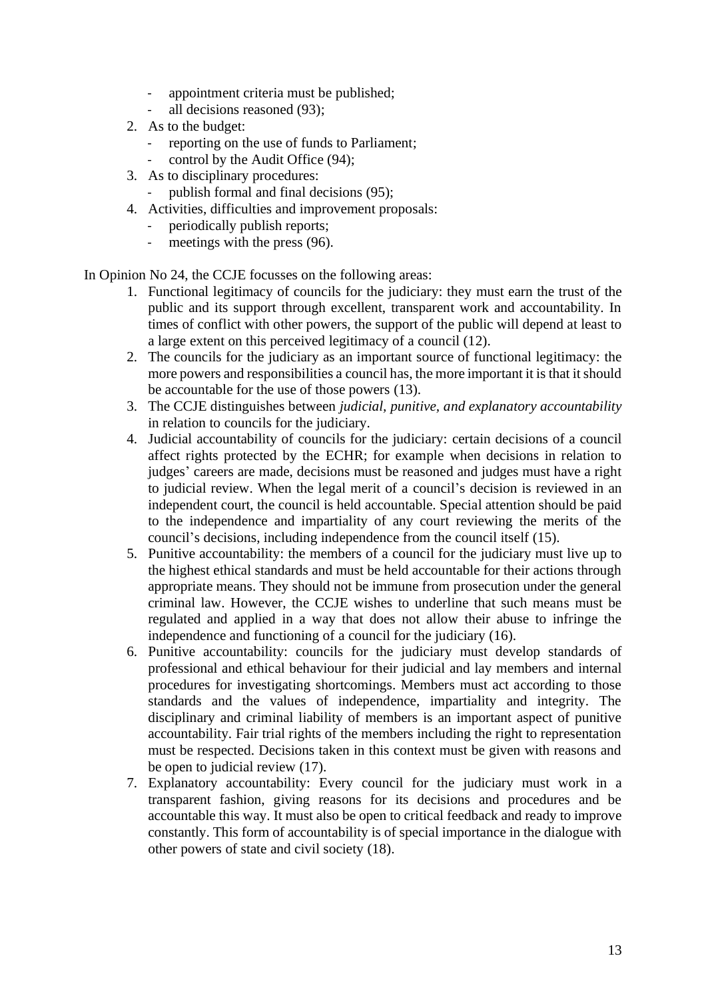- appointment criteria must be published;
- all decisions reasoned (93);
- 2. As to the budget:
	- reporting on the use of funds to Parliament;
	- control by the Audit Office (94);
- 3. As to disciplinary procedures:
	- publish formal and final decisions (95);
- 4. Activities, difficulties and improvement proposals:
	- periodically publish reports;
	- meetings with the press (96).

In Opinion No 24, the CCJE focusses on the following areas:

- 1. Functional legitimacy of councils for the judiciary: they must earn the trust of the public and its support through excellent, transparent work and accountability. In times of conflict with other powers, the support of the public will depend at least to a large extent on this perceived legitimacy of a council (12).
- 2. The councils for the judiciary as an important source of functional legitimacy: the more powers and responsibilities a council has, the more important it is that it should be accountable for the use of those powers (13).
- 3. The CCJE distinguishes between *judicial, punitive, and explanatory accountability* in relation to councils for the judiciary.
- 4. Judicial accountability of councils for the judiciary: certain decisions of a council affect rights protected by the ECHR; for example when decisions in relation to judges' careers are made, decisions must be reasoned and judges must have a right to judicial review. When the legal merit of a council's decision is reviewed in an independent court, the council is held accountable. Special attention should be paid to the independence and impartiality of any court reviewing the merits of the council's decisions, including independence from the council itself (15).
- 5. Punitive accountability: the members of a council for the judiciary must live up to the highest ethical standards and must be held accountable for their actions through appropriate means. They should not be immune from prosecution under the general criminal law. However, the CCJE wishes to underline that such means must be regulated and applied in a way that does not allow their abuse to infringe the independence and functioning of a council for the judiciary (16).
- 6. Punitive accountability: councils for the judiciary must develop standards of professional and ethical behaviour for their judicial and lay members and internal procedures for investigating shortcomings. Members must act according to those standards and the values of independence, impartiality and integrity. The disciplinary and criminal liability of members is an important aspect of punitive accountability. Fair trial rights of the members including the right to representation must be respected. Decisions taken in this context must be given with reasons and be open to judicial review (17).
- 7. Explanatory accountability: Every council for the judiciary must work in a transparent fashion, giving reasons for its decisions and procedures and be accountable this way. It must also be open to critical feedback and ready to improve constantly. This form of accountability is of special importance in the dialogue with other powers of state and civil society (18).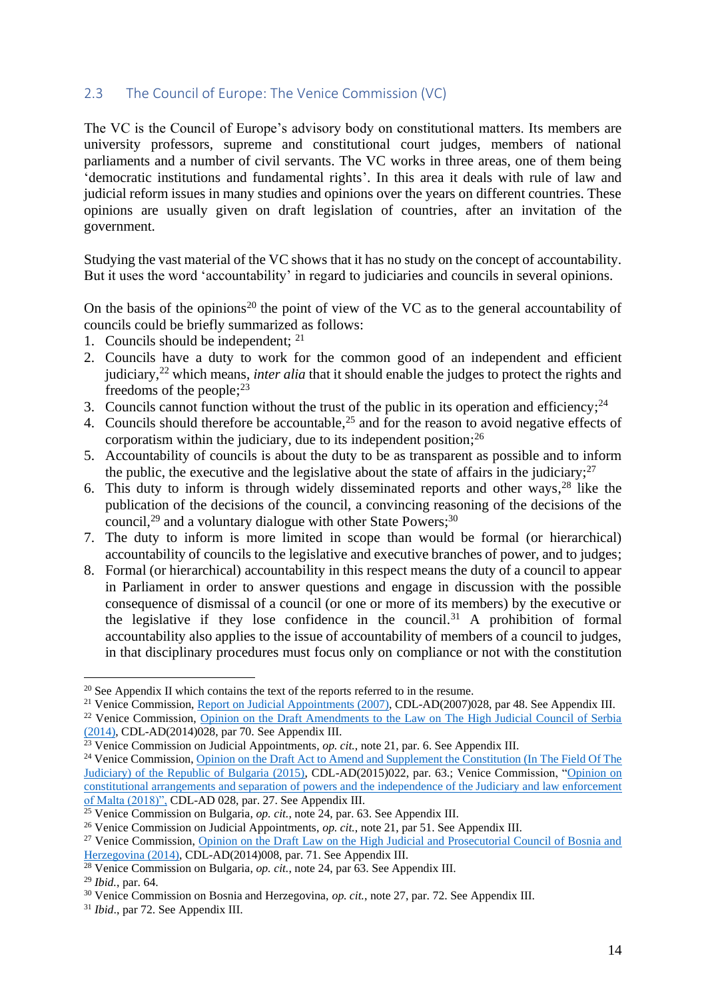# <span id="page-14-0"></span>2.3 The Council of Europe: The Venice Commission (VC)

The VC is the Council of Europe's advisory body on constitutional matters. Its members are university professors, supreme and constitutional court judges, members of national parliaments and a number of civil servants. The VC works in three areas, one of them being 'democratic institutions and fundamental rights'. In this area it deals with rule of law and judicial reform issues in many studies and opinions over the years on different countries. These opinions are usually given on draft legislation of countries, after an invitation of the government.

Studying the vast material of the VC shows that it has no study on the concept of accountability. But it uses the word 'accountability' in regard to judiciaries and councils in several opinions.

On the basis of the opinions<sup>20</sup> the point of view of the VC as to the general accountability of councils could be briefly summarized as follows:

- 1. Councils should be independent; 21
- 2. Councils have a duty to work for the common good of an independent and efficient judiciary, <sup>22</sup> which means, *inter alia* that it should enable the judges to protect the rights and freedoms of the people; 23
- 3. Councils cannot function without the trust of the public in its operation and efficiency;  $24$
- 4. Councils should therefore be accountable,  $25$  and for the reason to avoid negative effects of corporatism within the judiciary, due to its independent position;  $2<sup>6</sup>$
- 5. Accountability of councils is about the duty to be as transparent as possible and to inform the public, the executive and the legislative about the state of affairs in the judiciary; $27$
- 6. This duty to inform is through widely disseminated reports and other ways, <sup>28</sup> like the publication of the decisions of the council, a convincing reasoning of the decisions of the council,<sup>29</sup> and a voluntary dialogue with other State Powers;<sup>30</sup>
- 7. The duty to inform is more limited in scope than would be formal (or hierarchical) accountability of councils to the legislative and executive branches of power, and to judges;
- 8. Formal (or hierarchical) accountability in this respect means the duty of a council to appear in Parliament in order to answer questions and engage in discussion with the possible consequence of dismissal of a council (or one or more of its members) by the executive or the legislative if they lose confidence in the council.<sup>31</sup> A prohibition of formal accountability also applies to the issue of accountability of members of a council to judges, in that disciplinary procedures must focus only on compliance or not with the constitution

<sup>&</sup>lt;sup>20</sup> See Appendix II which contains the text of the reports referred to in the resume.

<sup>&</sup>lt;sup>21</sup> Venice Commission, [Report on Judicial Appointments \(2007\),](https://www.venice.coe.int/webforms/documents/default.aspx?pdffile=CDL-AD(2007)028-e) CDL-AD(2007)028, par 48. See Appendix III.

<sup>&</sup>lt;sup>22</sup> Venice Commission, Opinion on the Draft Amendments to the Law on The High Judicial Council of Serbia [\(2014\),](https://www.venice.coe.int/webforms/documents/?pdf=CDL-AD(2014)028-e) CDL-AD(2014)028, par 70. See Appendix III.

<sup>&</sup>lt;sup>23</sup> Venice Commission on Judicial Appointments, *op. cit.*, note 21, par. 6. See Appendix III.

<sup>&</sup>lt;sup>24</sup> Venice Commission, Opinion on the Draft Act to Amend and Supplement the Constitution (In The Field Of The [Judiciary\) of the Republic of Bulgaria \(2015\),](https://www.venice.coe.int/webforms/documents/?pdf=CDL-AD(2015)022-e) CDL-AD(2015)022, par. 63.; Venice Commission, ["Opinion on](https://www.venice.coe.int/webforms/documents/?pdf=CDL-AD(2018)028-e)  [constitutional arrangements and separation of powers and the independence of the Judiciary and law enforcement](https://www.venice.coe.int/webforms/documents/?pdf=CDL-AD(2018)028-e)  [of Malta \(2018\)",](https://www.venice.coe.int/webforms/documents/?pdf=CDL-AD(2018)028-e) CDL-AD 028, par. 27. See Appendix III.

<sup>25</sup> Venice Commission on Bulgaria, *op. cit.*, note 24, par. 63. See Appendix III.

<sup>26</sup> Venice Commission on Judicial Appointments, *op. cit.*, note 21, par 51. See Appendix III.

<sup>&</sup>lt;sup>27</sup> Venice Commission, Opinion on the Draft Law on the High Judicial and Prosecutorial Council of Bosnia and [Herzegovina \(2014\),](https://www.venice.coe.int/webforms/documents/?pdf=CDL-AD(2014)008-e) CDL-AD(2014)008, par. 71. See Appendix III.

<sup>28</sup> Venice Commission on Bulgaria, *op. cit.*, note 24, par 63. See Appendix III.

<sup>29</sup> *Ibid.*, par. 64.

<sup>&</sup>lt;sup>30</sup> Venice Commission on Bosnia and Herzegovina, *op. cit.*, note 27, par. 72. See Appendix III.

<sup>31</sup> *Ibid*., par 72. See Appendix III.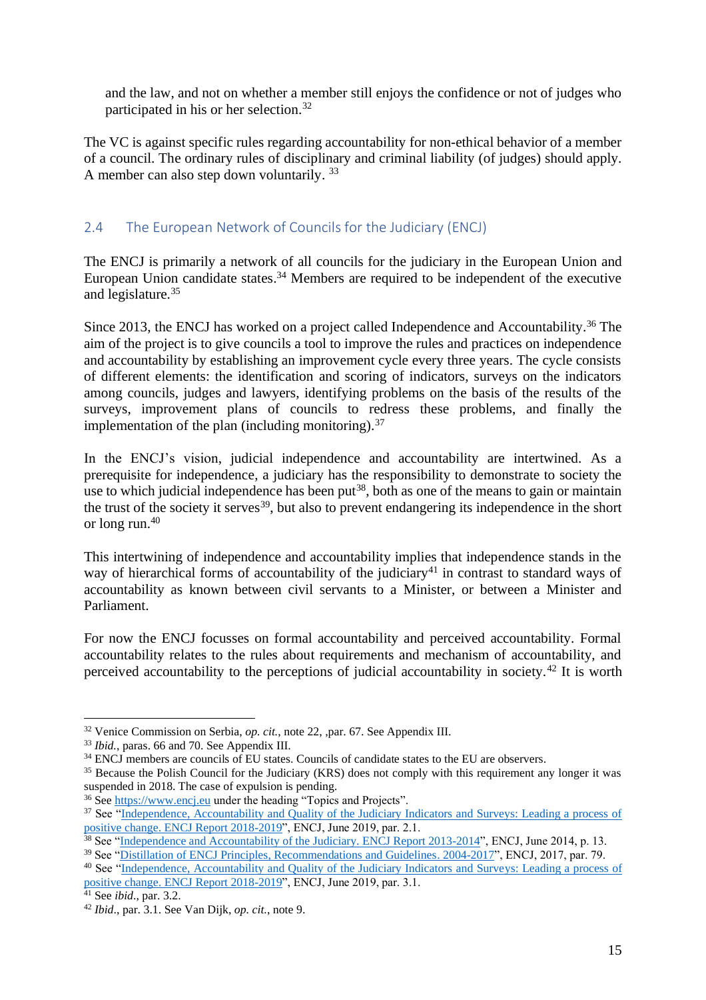and the law, and not on whether a member still enjoys the confidence or not of judges who participated in his or her selection. 32

The VC is against specific rules regarding accountability for non-ethical behavior of a member of a council. The ordinary rules of disciplinary and criminal liability (of judges) should apply. A member can also step down voluntarily.<sup>33</sup>

# <span id="page-15-0"></span>2.4 The European Network of Councils for the Judiciary (ENCJ)

The ENCJ is primarily a network of all councils for the judiciary in the European Union and European Union candidate states.<sup>34</sup> Members are required to be independent of the executive and legislature.<sup>35</sup>

Since 2013, the ENCJ has worked on a project called Independence and Accountability.<sup>36</sup> The aim of the project is to give councils a tool to improve the rules and practices on independence and accountability by establishing an improvement cycle every three years. The cycle consists of different elements: the identification and scoring of indicators, surveys on the indicators among councils, judges and lawyers, identifying problems on the basis of the results of the surveys, improvement plans of councils to redress these problems, and finally the implementation of the plan (including monitoring).  $37$ 

In the ENCJ's vision, judicial independence and accountability are intertwined. As a prerequisite for independence, a judiciary has the responsibility to demonstrate to society the use to which judicial independence has been put<sup>38</sup>, both as one of the means to gain or maintain the trust of the society it serves<sup>39</sup>, but also to prevent endangering its independence in the short or long run. 40

This intertwining of independence and accountability implies that independence stands in the way of hierarchical forms of accountability of the judiciary<sup>41</sup> in contrast to standard ways of accountability as known between civil servants to a Minister, or between a Minister and Parliament.

For now the ENCJ focusses on formal accountability and perceived accountability. Formal accountability relates to the rules about requirements and mechanism of accountability, and perceived accountability to the perceptions of judicial accountability in society.<sup>42</sup> It is worth

<sup>32</sup> Venice Commission on Serbia, *op. cit.*, note 22, ,par. 67. See Appendix III.

<sup>33</sup> *Ibid.*, paras. 66 and 70. See Appendix III.

<sup>&</sup>lt;sup>34</sup> ENCJ members are councils of EU states. Councils of candidate states to the EU are observers.

<sup>&</sup>lt;sup>35</sup> Because the Polish Council for the Judiciary (KRS) does not comply with this requirement any longer it was suspended in 2018. The case of expulsion is pending.

<sup>&</sup>lt;sup>36</sup> See [https://www.encj.eu](https://www.encj.eu/) under the heading "Topics and Projects".

<sup>&</sup>lt;sup>37</sup> See "Independence, Accountability and Quality of the Judiciary Indicators and Surveys: Leading a process of [positive change. ENCJ Report 2018-2019"](https://pgwrk-websitemedia.s3.eu-west-1.amazonaws.com/production/pwk-web-encj2017-p/2019-06/ENCJ%20IAQ%20report%202018-2019%20adopted%207%20June%202019%20final.pdf), ENCJ, June 2019, par. 2.1.

<sup>&</sup>lt;sup>38</sup> See ["Independence and Accountability of the Judiciary. ENCJ Report 2013-2014"](https://www.encj.eu/images/stories/pdf/workinggroups/independence/encj_report_independence_accountability_adopted_version_sept_2014.pdf), ENCJ, June 2014, p. 13.

<sup>&</sup>lt;sup>39</sup> See ["Distillation of ENCJ Principles, Recommendations and Guidelines. 2004-2017"](https://pgwrk-websitemedia.s3.eu-west-1.amazonaws.com/production/pwk-web-encj2017-p/Reports/ENCJ_Distillation_Report_2004_2017.pdf), ENCJ, 2017, par. 79.

<sup>40</sup> See ["Independence, Accountability and Quality of the Judiciary Indicators and Surveys: Leading a process of](https://pgwrk-websitemedia.s3.eu-west-1.amazonaws.com/production/pwk-web-encj2017-p/2019-06/ENCJ%20IAQ%20report%202018-2019%20adopted%207%20June%202019%20final.pdf)  [positive change. ENCJ Report 2018-2019"](https://pgwrk-websitemedia.s3.eu-west-1.amazonaws.com/production/pwk-web-encj2017-p/2019-06/ENCJ%20IAQ%20report%202018-2019%20adopted%207%20June%202019%20final.pdf), ENCJ, June 2019, par. 3.1.

<sup>41</sup> See *ibid*., par. 3.2.

<sup>42</sup> *Ibid*., par. 3.1. See Van Dijk, *op. cit.*, note 9.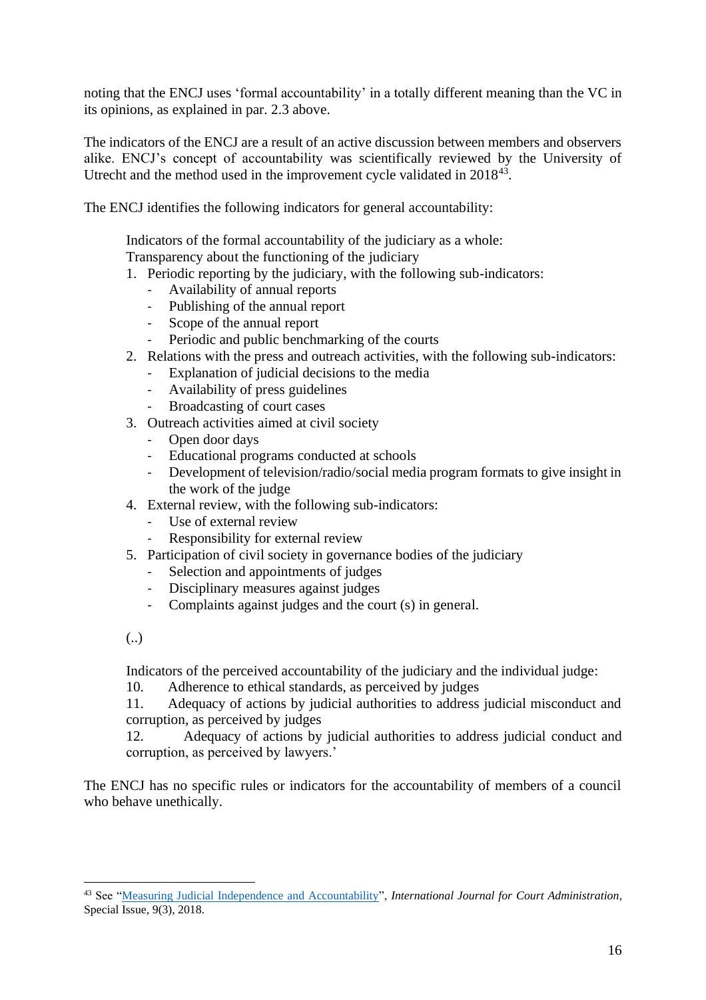noting that the ENCJ uses 'formal accountability' in a totally different meaning than the VC in its opinions, as explained in par. 2.3 above.

The indicators of the ENCJ are a result of an active discussion between members and observers alike. ENCJ's concept of accountability was scientifically reviewed by the University of Utrecht and the method used in the improvement cycle validated in  $2018^{43}$ .

The ENCJ identifies the following indicators for general accountability:

Indicators of the formal accountability of the judiciary as a whole:

Transparency about the functioning of the judiciary

- 1. Periodic reporting by the judiciary, with the following sub-indicators:
	- Availability of annual reports
	- Publishing of the annual report
	- Scope of the annual report
	- Periodic and public benchmarking of the courts
- 2. Relations with the press and outreach activities, with the following sub-indicators:
	- Explanation of judicial decisions to the media
	- Availability of press guidelines
	- Broadcasting of court cases
- 3. Outreach activities aimed at civil society
	- Open door days
	- Educational programs conducted at schools
	- Development of television/radio/social media program formats to give insight in the work of the judge
- 4. External review, with the following sub-indicators:
	- Use of external review
	- Responsibility for external review
- 5. Participation of civil society in governance bodies of the judiciary
	- Selection and appointments of judges
	- Disciplinary measures against judges
	- Complaints against judges and the court (s) in general.

(..)

Indicators of the perceived accountability of the judiciary and the individual judge:

10. Adherence to ethical standards, as perceived by judges

11. Adequacy of actions by judicial authorities to address judicial misconduct and corruption, as perceived by judges

12. Adequacy of actions by judicial authorities to address judicial conduct and corruption, as perceived by lawyers.'

The ENCJ has no specific rules or indicators for the accountability of members of a council who behave unethically.

<sup>43</sup> See ["Measuring Judicial Independence and Accountability"](https://www.iacajournal.org/29/volume/9/issue/3/), *International Journal for Court Administration*, Special Issue, 9(3), 2018.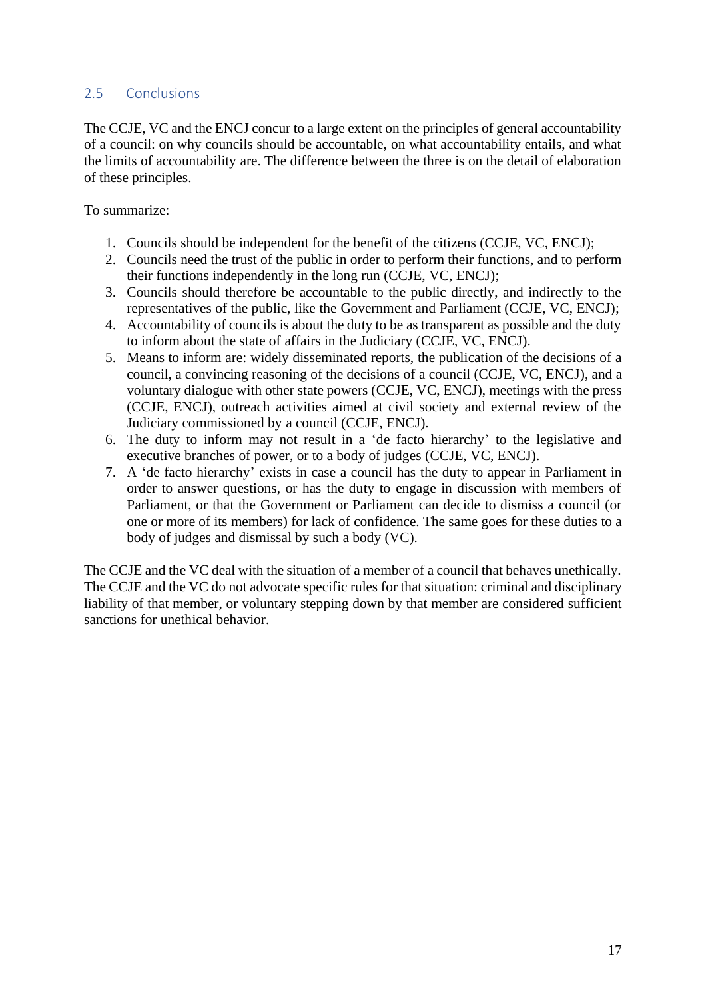# <span id="page-17-0"></span>2.5 Conclusions

The CCJE, VC and the ENCJ concur to a large extent on the principles of general accountability of a council: on why councils should be accountable, on what accountability entails, and what the limits of accountability are. The difference between the three is on the detail of elaboration of these principles.

To summarize:

- 1. Councils should be independent for the benefit of the citizens (CCJE, VC, ENCJ);
- 2. Councils need the trust of the public in order to perform their functions, and to perform their functions independently in the long run (CCJE, VC, ENCJ);
- 3. Councils should therefore be accountable to the public directly, and indirectly to the representatives of the public, like the Government and Parliament (CCJE, VC, ENCJ);
- 4. Accountability of councils is about the duty to be as transparent as possible and the duty to inform about the state of affairs in the Judiciary (CCJE, VC, ENCJ).
- 5. Means to inform are: widely disseminated reports, the publication of the decisions of a council, a convincing reasoning of the decisions of a council (CCJE, VC, ENCJ), and a voluntary dialogue with other state powers (CCJE, VC, ENCJ), meetings with the press (CCJE, ENCJ), outreach activities aimed at civil society and external review of the Judiciary commissioned by a council (CCJE, ENCJ).
- 6. The duty to inform may not result in a 'de facto hierarchy' to the legislative and executive branches of power, or to a body of judges (CCJE, VC, ENCJ).
- 7. A 'de facto hierarchy' exists in case a council has the duty to appear in Parliament in order to answer questions, or has the duty to engage in discussion with members of Parliament, or that the Government or Parliament can decide to dismiss a council (or one or more of its members) for lack of confidence. The same goes for these duties to a body of judges and dismissal by such a body (VC).

The CCJE and the VC deal with the situation of a member of a council that behaves unethically. The CCJE and the VC do not advocate specific rules for that situation: criminal and disciplinary liability of that member, or voluntary stepping down by that member are considered sufficient sanctions for unethical behavior.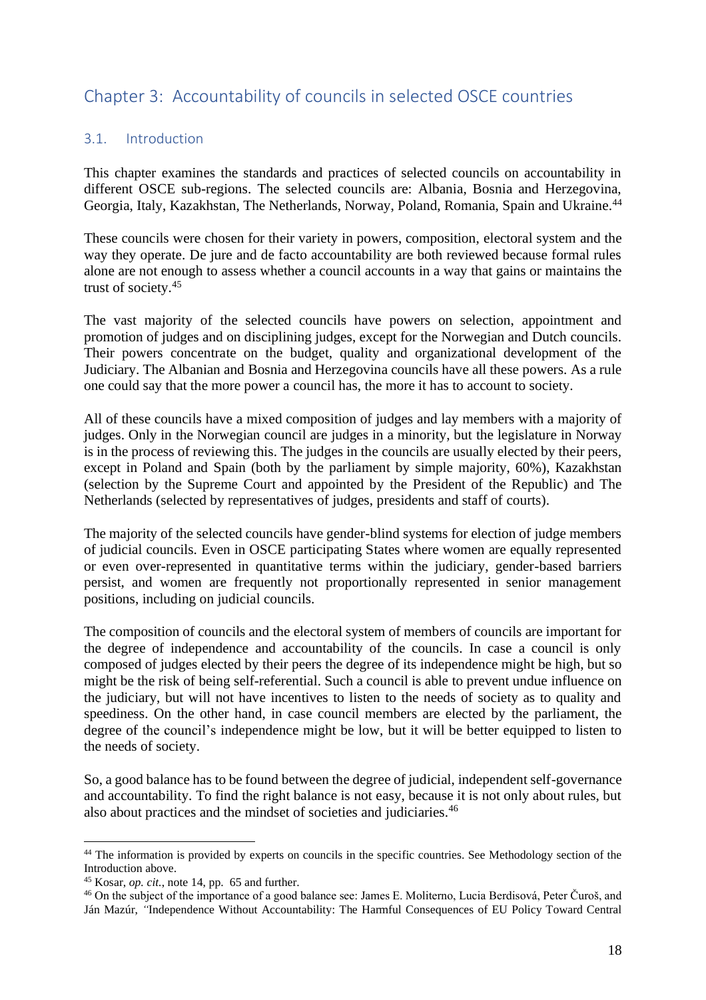# <span id="page-18-0"></span>Chapter 3: Accountability of councils in selected OSCE countries

# <span id="page-18-1"></span>3.1. Introduction

This chapter examines the standards and practices of selected councils on accountability in different OSCE sub-regions. The selected councils are: Albania, Bosnia and Herzegovina, Georgia, Italy, Kazakhstan, The Netherlands, Norway, Poland, Romania, Spain and Ukraine.<sup>44</sup>

These councils were chosen for their variety in powers, composition, electoral system and the way they operate. De jure and de facto accountability are both reviewed because formal rules alone are not enough to assess whether a council accounts in a way that gains or maintains the trust of society.<sup>45</sup>

The vast majority of the selected councils have powers on selection, appointment and promotion of judges and on disciplining judges, except for the Norwegian and Dutch councils. Their powers concentrate on the budget, quality and organizational development of the Judiciary. The Albanian and Bosnia and Herzegovina councils have all these powers. As a rule one could say that the more power a council has, the more it has to account to society.

All of these councils have a mixed composition of judges and lay members with a majority of judges. Only in the Norwegian council are judges in a minority, but the legislature in Norway is in the process of reviewing this. The judges in the councils are usually elected by their peers, except in Poland and Spain (both by the parliament by simple majority, 60%), Kazakhstan (selection by the Supreme Court and appointed by the President of the Republic) and The Netherlands (selected by representatives of judges, presidents and staff of courts).

The majority of the selected councils have gender-blind systems for election of judge members of judicial councils. Even in OSCE participating States where women are equally represented or even over-represented in quantitative terms within the judiciary, gender-based barriers persist, and women are frequently not proportionally represented in senior management positions, including on judicial councils.

The composition of councils and the electoral system of members of councils are important for the degree of independence and accountability of the councils. In case a council is only composed of judges elected by their peers the degree of its independence might be high, but so might be the risk of being self-referential. Such a council is able to prevent undue influence on the judiciary, but will not have incentives to listen to the needs of society as to quality and speediness. On the other hand, in case council members are elected by the parliament, the degree of the council's independence might be low, but it will be better equipped to listen to the needs of society.

So, a good balance has to be found between the degree of judicial, independent self-governance and accountability. To find the right balance is not easy, because it is not only about rules, but also about practices and the mindset of societies and judiciaries.<sup>46</sup>

<sup>&</sup>lt;sup>44</sup> The information is provided by experts on councils in the specific countries. See Methodology section of the Introduction above.

<sup>45</sup> Kosar, *op. cit.*, note 14, pp. 65 and further.

<sup>46</sup> On the subject of the importance of a good balance see: James E. Moliterno, Lucia Berdisová, Peter Čuroš, and Ján Mazúr, *"*Independence Without Accountability: The Harmful Consequences of EU Policy Toward Central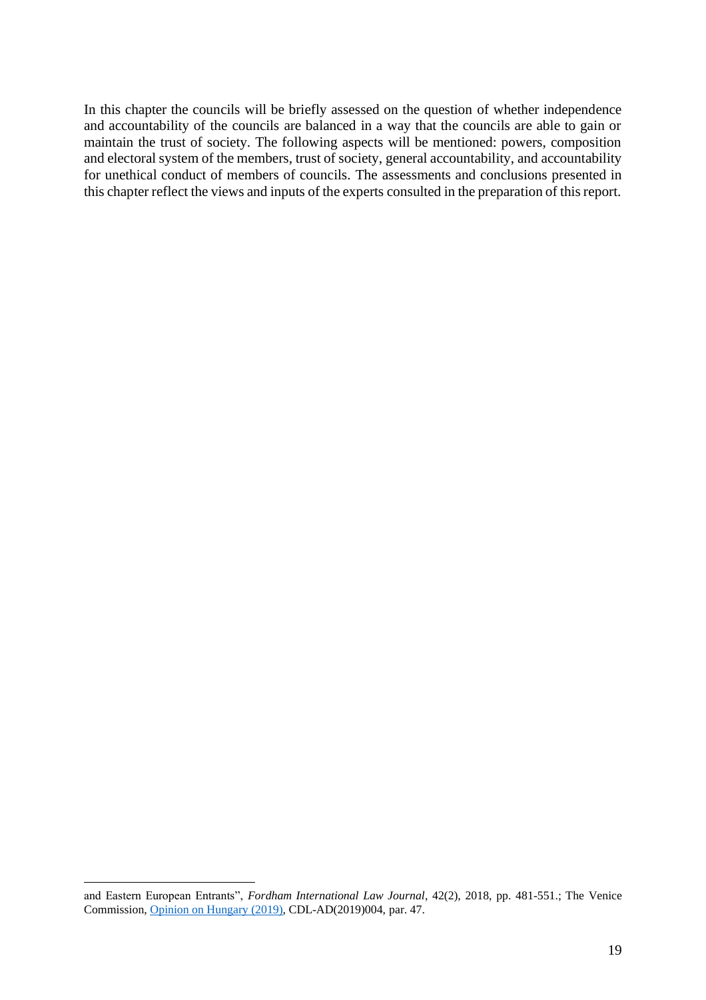In this chapter the councils will be briefly assessed on the question of whether independence and accountability of the councils are balanced in a way that the councils are able to gain or maintain the trust of society. The following aspects will be mentioned: powers, composition and electoral system of the members, trust of society, general accountability, and accountability for unethical conduct of members of councils. The assessments and conclusions presented in this chapter reflect the views and inputs of the experts consulted in the preparation of this report.

and Eastern European Entrants", *Fordham International Law Journal*, 42(2), 2018, pp. 481-551.; The Venice Commission, [Opinion on Hungary](https://www.venice.coe.int/webforms/documents/default.aspx?pdffile=CDL-AD(2019)004-e) (2019), CDL-AD(2019)004, par. 47.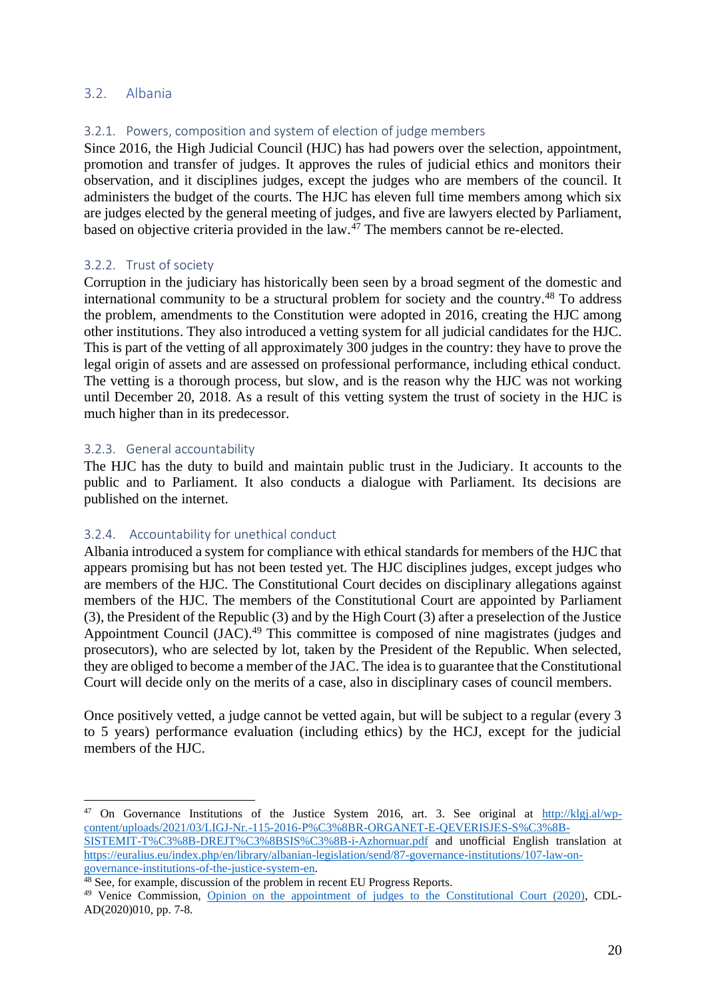# <span id="page-20-0"></span>3.2. Albania

# <span id="page-20-1"></span>3.2.1. Powers, composition and system of election of judge members

Since 2016, the High Judicial Council (HJC) has had powers over the selection, appointment, promotion and transfer of judges. It approves the rules of judicial ethics and monitors their observation, and it disciplines judges, except the judges who are members of the council. It administers the budget of the courts. The HJC has eleven full time members among which six are judges elected by the general meeting of judges, and five are lawyers elected by Parliament, based on objective criteria provided in the law. $^{47}$  The members cannot be re-elected.

#### <span id="page-20-2"></span>3.2.2. Trust of society

Corruption in the judiciary has historically been seen by a broad segment of the domestic and international community to be a structural problem for society and the country.<sup>48</sup> To address the problem, amendments to the Constitution were adopted in 2016, creating the HJC among other institutions. They also introduced a vetting system for all judicial candidates for the HJC. This is part of the vetting of all approximately 300 judges in the country: they have to prove the legal origin of assets and are assessed on professional performance, including ethical conduct. The vetting is a thorough process, but slow, and is the reason why the HJC was not working until December 20, 2018. As a result of this vetting system the trust of society in the HJC is much higher than in its predecessor.

#### <span id="page-20-3"></span>3.2.3. General accountability

The HJC has the duty to build and maintain public trust in the Judiciary. It accounts to the public and to Parliament. It also conducts a dialogue with Parliament. Its decisions are published on the internet.

# <span id="page-20-4"></span>3.2.4. Accountability for unethical conduct

Albania introduced a system for compliance with ethical standards for members of the HJC that appears promising but has not been tested yet. The HJC disciplines judges, except judges who are members of the HJC. The Constitutional Court decides on disciplinary allegations against members of the HJC. The members of the Constitutional Court are appointed by Parliament (3), the President of the Republic (3) and by the High Court (3) after a preselection of the Justice Appointment Council (JAC).<sup>49</sup> This committee is composed of nine magistrates (judges and prosecutors), who are selected by lot, taken by the President of the Republic. When selected, they are obliged to become a member of the JAC. The idea is to guarantee that the Constitutional Court will decide only on the merits of a case, also in disciplinary cases of council members.

Once positively vetted, a judge cannot be vetted again, but will be subject to a regular (every 3 to 5 years) performance evaluation (including ethics) by the HCJ, except for the judicial members of the HJC.

<sup>&</sup>lt;sup>47</sup> On Governance Institutions of the Justice System 2016, art. 3. See original at [http://klgj.al/wp](http://klgj.al/wp-content/uploads/2021/03/LIGJ-Nr.-115-2016-P%C3%8BR-ORGANET-E-QEVERISJES-S%C3%8B-SISTEMIT-T%C3%8B-DREJT%C3%8BSIS%C3%8B-i-Azhornuar.pdf)[content/uploads/2021/03/LIGJ-Nr.-115-2016-P%C3%8BR-ORGANET-E-QEVERISJES-S%C3%8B-](http://klgj.al/wp-content/uploads/2021/03/LIGJ-Nr.-115-2016-P%C3%8BR-ORGANET-E-QEVERISJES-S%C3%8B-SISTEMIT-T%C3%8B-DREJT%C3%8BSIS%C3%8B-i-Azhornuar.pdf)[SISTEMIT-T%C3%8B-DREJT%C3%8BSIS%C3%8B-i-Azhornuar.pdf](http://klgj.al/wp-content/uploads/2021/03/LIGJ-Nr.-115-2016-P%C3%8BR-ORGANET-E-QEVERISJES-S%C3%8B-SISTEMIT-T%C3%8B-DREJT%C3%8BSIS%C3%8B-i-Azhornuar.pdf) and unofficial English translation at [https://euralius.eu/index.php/en/library/albanian-legislation/send/87-governance-institutions/107-law-on-](https://euralius.eu/index.php/en/library/albanian-legislation/send/87-governance-institutions/107-law-on-governance-institutions-of-the-justice-system-en)

[governance-institutions-of-the-justice-system-en.](https://euralius.eu/index.php/en/library/albanian-legislation/send/87-governance-institutions/107-law-on-governance-institutions-of-the-justice-system-en)

<sup>&</sup>lt;sup>48</sup> See, for example, discussion of the problem in recent EU Progress Reports.

<sup>&</sup>lt;sup>49</sup> Venice Commission, [Opinion on the appointment of judges to the Constitutional Court \(2020\),](https://www.venice.coe.int/webforms/documents/?pdf=CDL-AD(2020)010-e) CDL-AD(2020)010, pp. 7-8.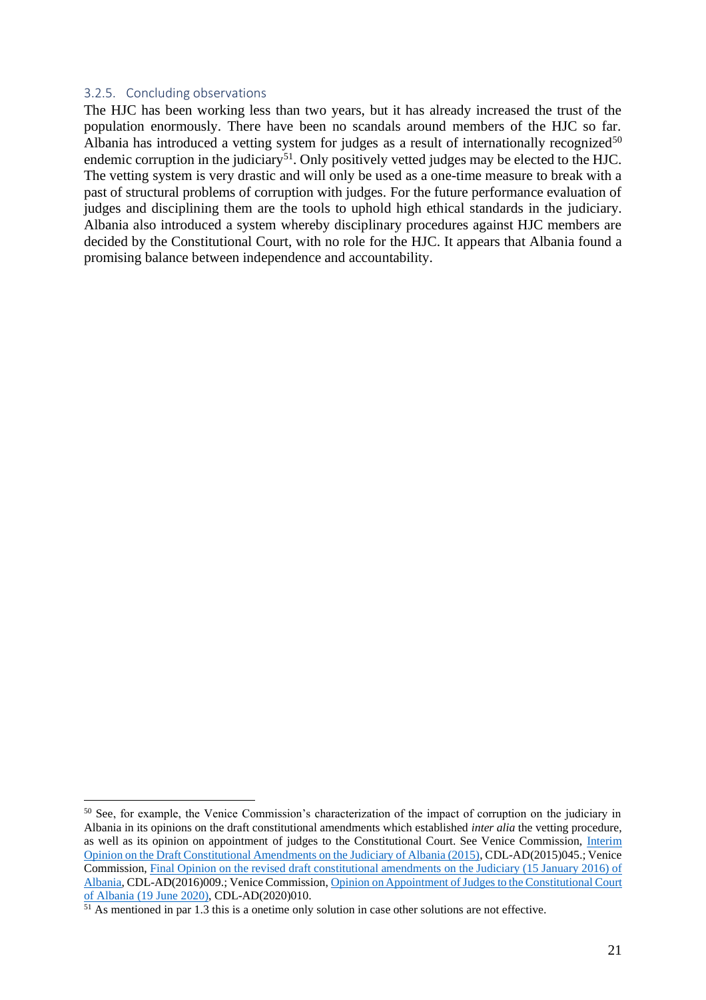#### <span id="page-21-0"></span>3.2.5. Concluding observations

The HJC has been working less than two years, but it has already increased the trust of the population enormously. There have been no scandals around members of the HJC so far. Albania has introduced a vetting system for judges as a result of internationally recognized $50$ endemic corruption in the judiciary<sup>51</sup>. Only positively vetted judges may be elected to the HJC. The vetting system is very drastic and will only be used as a one-time measure to break with a past of structural problems of corruption with judges. For the future performance evaluation of judges and disciplining them are the tools to uphold high ethical standards in the judiciary. Albania also introduced a system whereby disciplinary procedures against HJC members are decided by the Constitutional Court, with no role for the HJC. It appears that Albania found a promising balance between independence and accountability.

<sup>&</sup>lt;sup>50</sup> See, for example, the Venice Commission's characterization of the impact of corruption on the judiciary in Albania in its opinions on the draft constitutional amendments which established *inter alia* the vetting procedure, as well as its opinion on appointment of judges to the Constitutional Court. See Venice Commission, [Interim](https://www.venice.coe.int/webforms/documents/default.aspx?pdffile=CDL-AD(2015)045-e)  [Opinion on the Draft Constitutional Amendments on the Judiciary of Albania \(2015\),](https://www.venice.coe.int/webforms/documents/default.aspx?pdffile=CDL-AD(2015)045-e) CDL-AD(2015)045.; Venice Commission, [Final Opinion on the revised draft constitutional amendments on the Judiciary \(15 January 2016\) of](https://www.venice.coe.int/webforms/documents/?pdf=CDL-AD(2016)009-e)  [Albania,](https://www.venice.coe.int/webforms/documents/?pdf=CDL-AD(2016)009-e) CDL-AD(2016)009.; Venice Commission[, Opinion on Appointment of Judges to the Constitutional Court](https://www.venice.coe.int/webforms/documents/?pdf=CDL-AD(2020)010-e)  [of Albania \(19 June 2020\),](https://www.venice.coe.int/webforms/documents/?pdf=CDL-AD(2020)010-e) CDL-AD(2020)010.

 $\frac{51}{10}$  As mentioned in par 1.3 this is a onetime only solution in case other solutions are not effective.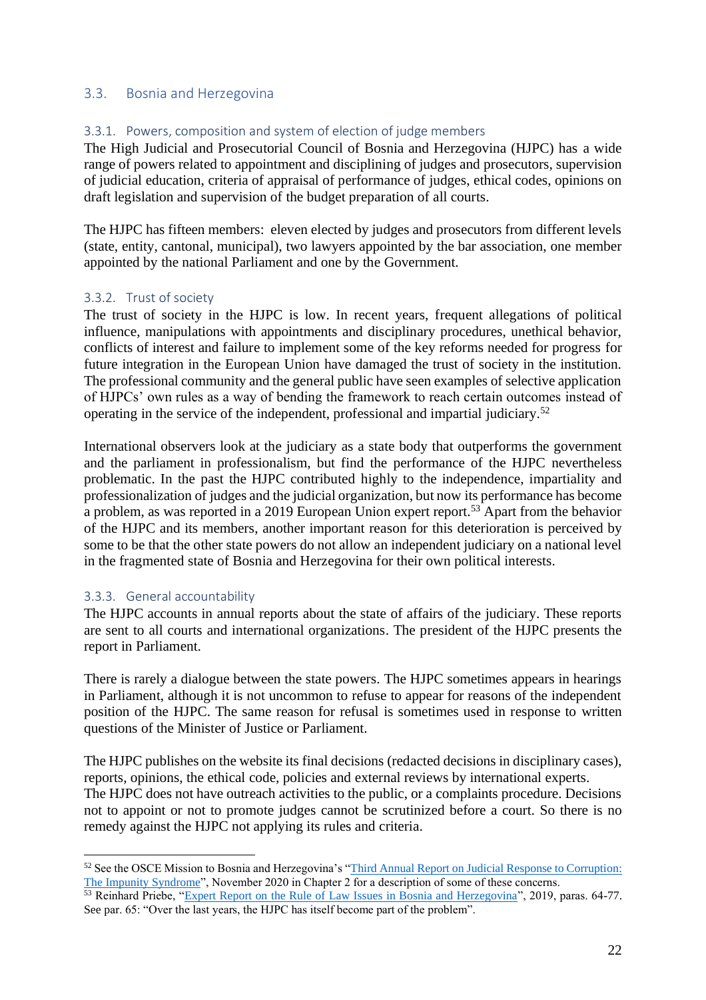## <span id="page-22-0"></span>3.3. Bosnia and Herzegovina

## <span id="page-22-1"></span>3.3.1. Powers, composition and system of election of judge members

The High Judicial and Prosecutorial Council of Bosnia and Herzegovina (HJPC) has a wide range of powers related to appointment and disciplining of judges and prosecutors, supervision of judicial education, criteria of appraisal of performance of judges, ethical codes, opinions on draft legislation and supervision of the budget preparation of all courts.

The HJPC has fifteen members: eleven elected by judges and prosecutors from different levels (state, entity, cantonal, municipal), two lawyers appointed by the bar association, one member appointed by the national Parliament and one by the Government.

#### <span id="page-22-2"></span>3.3.2. Trust of society

The trust of society in the HJPC is low. In recent years, frequent allegations of political influence, manipulations with appointments and disciplinary procedures, unethical behavior, conflicts of interest and failure to implement some of the key reforms needed for progress for future integration in the European Union have damaged the trust of society in the institution. The professional community and the general public have seen examples of selective application of HJPCs' own rules as a way of bending the framework to reach certain outcomes instead of operating in the service of the independent, professional and impartial judiciary. 52

International observers look at the judiciary as a state body that outperforms the government and the parliament in professionalism, but find the performance of the HJPC nevertheless problematic. In the past the HJPC contributed highly to the independence, impartiality and professionalization of judges and the judicial organization, but now its performance has become a problem, as was reported in a 2019 European Union expert report.<sup>53</sup> Apart from the behavior of the HJPC and its members, another important reason for this deterioration is perceived by some to be that the other state powers do not allow an independent judiciary on a national level in the fragmented state of Bosnia and Herzegovina for their own political interests.

#### <span id="page-22-3"></span>3.3.3. General accountability

The HJPC accounts in annual reports about the state of affairs of the judiciary. These reports are sent to all courts and international organizations. The president of the HJPC presents the report in Parliament.

There is rarely a dialogue between the state powers. The HJPC sometimes appears in hearings in Parliament, although it is not uncommon to refuse to appear for reasons of the independent position of the HJPC. The same reason for refusal is sometimes used in response to written questions of the Minister of Justice or Parliament.

The HJPC publishes on the website its final decisions (redacted decisions in disciplinary cases), reports, opinions, the ethical code, policies and external reviews by international experts. The HJPC does not have outreach activities to the public, or a complaints procedure. Decisions not to appoint or not to promote judges cannot be scrutinized before a court. So there is no remedy against the HJPC not applying its rules and criteria.

<sup>52</sup> See the OSCE Mission to Bosnia and Herzegovina's ["Third Annual Report on Judicial Response to Corruption:](https://www.osce.org/mission-to-bosnia-and-herzegovina/471003)  [The Impunity Syndrome"](https://www.osce.org/mission-to-bosnia-and-herzegovina/471003), November 2020 in Chapter 2 for a description of some of these concerns.

<sup>&</sup>lt;sup>53</sup> Reinhard Priebe, ["Expert Report on the Rule of Law Issues in Bosnia and Herzegovina"](http://europa.ba/?p=66927), 2019, paras. 64-77. See par. 65: "Over the last years, the HJPC has itself become part of the problem".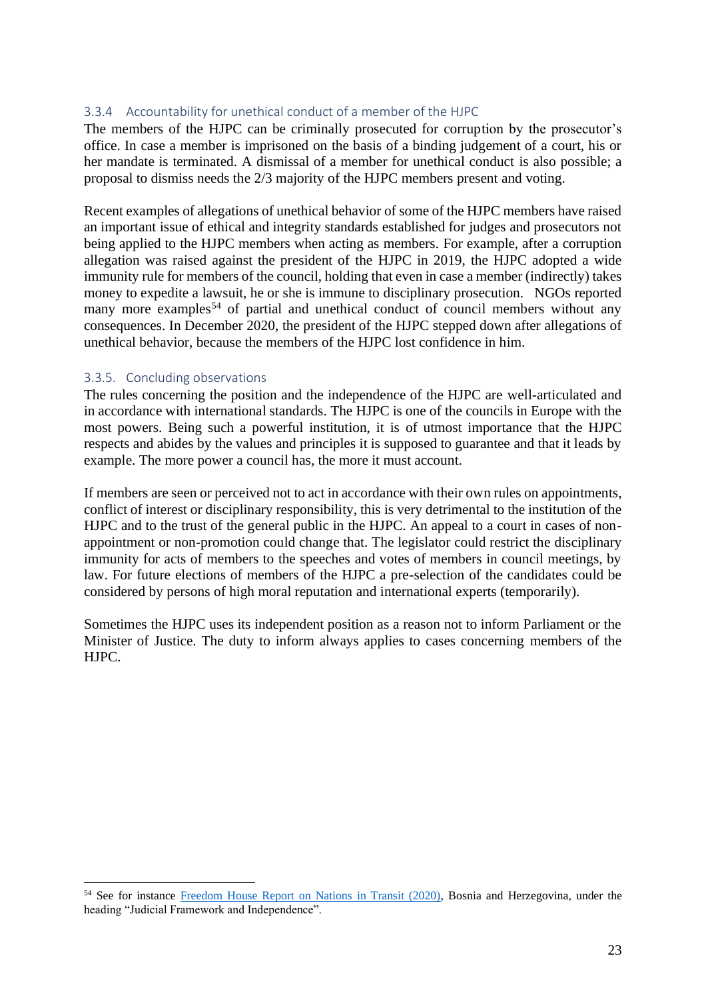### <span id="page-23-0"></span>3.3.4 Accountability for unethical conduct of a member of the HJPC

The members of the HJPC can be criminally prosecuted for corruption by the prosecutor's office. In case a member is imprisoned on the basis of a binding judgement of a court, his or her mandate is terminated. A dismissal of a member for unethical conduct is also possible; a proposal to dismiss needs the 2/3 majority of the HJPC members present and voting.

Recent examples of allegations of unethical behavior of some of the HJPC members have raised an important issue of ethical and integrity standards established for judges and prosecutors not being applied to the HJPC members when acting as members. For example, after a corruption allegation was raised against the president of the HJPC in 2019, the HJPC adopted a wide immunity rule for members of the council, holding that even in case a member (indirectly) takes money to expedite a lawsuit, he or she is immune to disciplinary prosecution. NGOs reported many more examples<sup>54</sup> of partial and unethical conduct of council members without any consequences. In December 2020, the president of the HJPC stepped down after allegations of unethical behavior, because the members of the HJPC lost confidence in him.

#### <span id="page-23-1"></span>3.3.5. Concluding observations

The rules concerning the position and the independence of the HJPC are well-articulated and in accordance with international standards. The HJPC is one of the councils in Europe with the most powers. Being such a powerful institution, it is of utmost importance that the HJPC respects and abides by the values and principles it is supposed to guarantee and that it leads by example. The more power a council has, the more it must account.

If members are seen or perceived not to act in accordance with their own rules on appointments, conflict of interest or disciplinary responsibility, this is very detrimental to the institution of the HJPC and to the trust of the general public in the HJPC. An appeal to a court in cases of nonappointment or non-promotion could change that. The legislator could restrict the disciplinary immunity for acts of members to the speeches and votes of members in council meetings, by law. For future elections of members of the HJPC a pre-selection of the candidates could be considered by persons of high moral reputation and international experts (temporarily).

Sometimes the HJPC uses its independent position as a reason not to inform Parliament or the Minister of Justice. The duty to inform always applies to cases concerning members of the HJPC.

<sup>54</sup> See for instance [Freedom House Report on Nations in Transit \(2020\),](https://freedomhouse.org/country/bosnia-and-herzegovina/nations-transit/2021) Bosnia and Herzegovina, under the heading "Judicial Framework and Independence".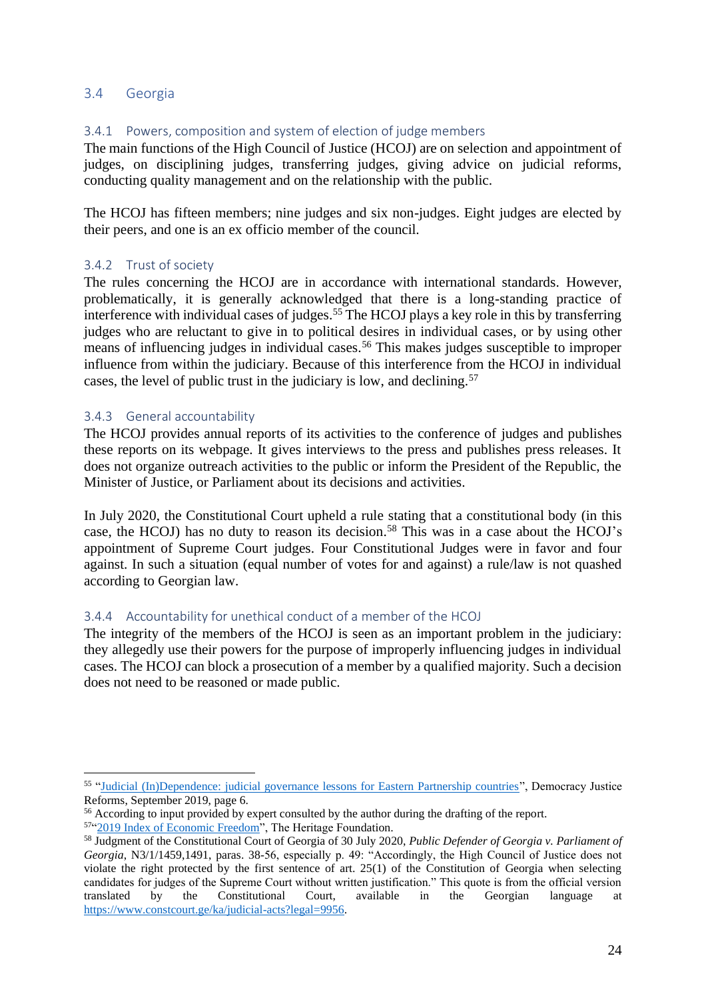## <span id="page-24-0"></span>3.4 Georgia

# <span id="page-24-1"></span>3.4.1 Powers, composition and system of election of judge members

The main functions of the High Council of Justice (HCOJ) are on selection and appointment of judges, on disciplining judges, transferring judges, giving advice on judicial reforms, conducting quality management and on the relationship with the public.

The HCOJ has fifteen members; nine judges and six non-judges. Eight judges are elected by their peers, and one is an ex officio member of the council.

#### <span id="page-24-2"></span>3.4.2 Trust of society

The rules concerning the HCOJ are in accordance with international standards. However, problematically, it is generally acknowledged that there is a long-standing practice of interference with individual cases of judges. <sup>55</sup> The HCOJ plays a key role in this by transferring judges who are reluctant to give in to political desires in individual cases, or by using other means of influencing judges in individual cases.<sup>56</sup> This makes judges susceptible to improper influence from within the judiciary. Because of this interference from the HCOJ in individual cases, the level of public trust in the judiciary is low, and declining.<sup>57</sup>

#### <span id="page-24-3"></span>3.4.3 General accountability

The HCOJ provides annual reports of its activities to the conference of judges and publishes these reports on its webpage. It gives interviews to the press and publishes press releases. It does not organize outreach activities to the public or inform the President of the Republic, the Minister of Justice, or Parliament about its decisions and activities.

In July 2020, the Constitutional Court upheld a rule stating that a constitutional body (in this case, the HCOJ) has no duty to reason its decision. <sup>58</sup> This was in a case about the HCOJ's appointment of Supreme Court judges. Four Constitutional Judges were in favor and four against. In such a situation (equal number of votes for and against) a rule/law is not quashed according to Georgian law.

#### <span id="page-24-4"></span>3.4.4 Accountability for unethical conduct of a member of the HCOJ

The integrity of the members of the HCOJ is seen as an important problem in the judiciary: they allegedly use their powers for the purpose of improperly influencing judges in individual cases. The HCOJ can block a prosecution of a member by a qualified majority. Such a decision does not need to be reasoned or made public.

<sup>&</sup>lt;sup>55</sup> ["Judicial \(In\)Dependence: judicial governance lessons for Eastern Partnership countries"](http://en.dejure.foundation/library/judicial-in-dependence), Democracy Justice Reforms, September 2019, page 6.

<sup>&</sup>lt;sup>56</sup> According to input provided by expert consulted by the author during the drafting of the report.

<sup>&</sup>lt;sup>57"</sup> 2019 Index of Economic Freedom", The Heritage Foundation.

<sup>58</sup> Judgment of the Constitutional Court of Georgia of 30 July 2020, *Public Defender of Georgia v. Parliament of Georgia*, N3/1/1459,1491, paras. 38-56, especially p. 49: "Accordingly, the High Council of Justice does not violate the right protected by the first sentence of art. 25(1) of the Constitution of Georgia when selecting candidates for judges of the Supreme Court without written justification." This quote is from the official version translated by the Constitutional Court, available in the Georgian language at [https://www.constcourt.ge/ka/judicial-acts?legal=9956.](https://www.constcourt.ge/ka/judicial-acts?legal=9956)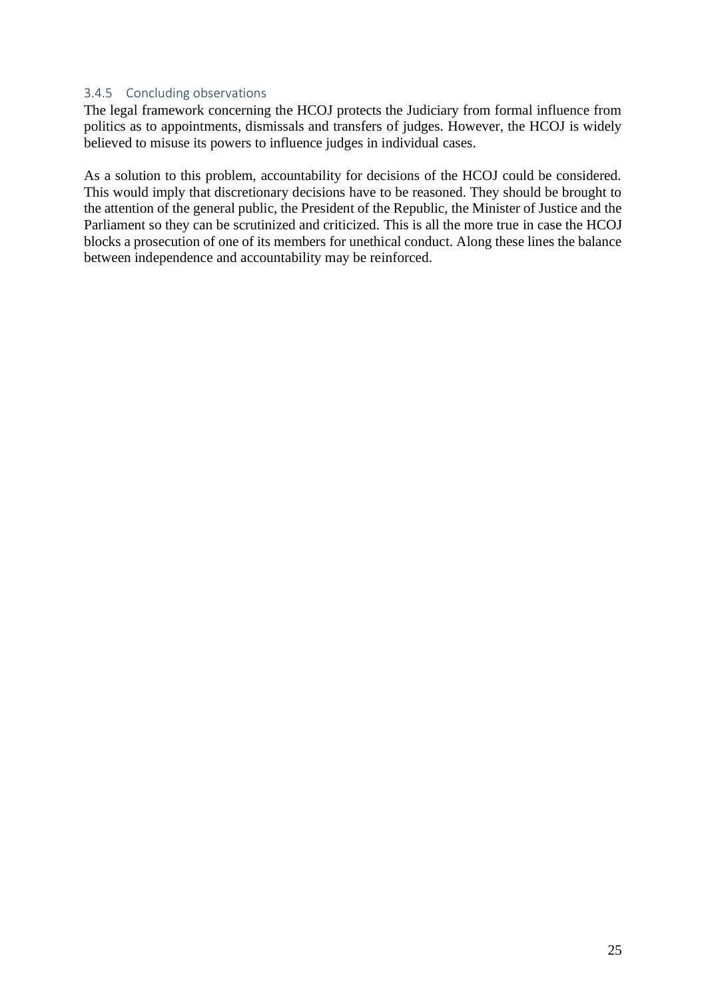#### <span id="page-25-0"></span>3.4.5 Concluding observations

The legal framework concerning the HCOJ protects the Judiciary from formal influence from politics as to appointments, dismissals and transfers of judges. However, the HCOJ is widely believed to misuse its powers to influence judges in individual cases.

As a solution to this problem, accountability for decisions of the HCOJ could be considered. This would imply that discretionary decisions have to be reasoned. They should be brought to the attention of the general public, the President of the Republic, the Minister of Justice and the Parliament so they can be scrutinized and criticized. This is all the more true in case the HCOJ blocks a prosecution of one of its members for unethical conduct. Along these lines the balance between independence and accountability may be reinforced.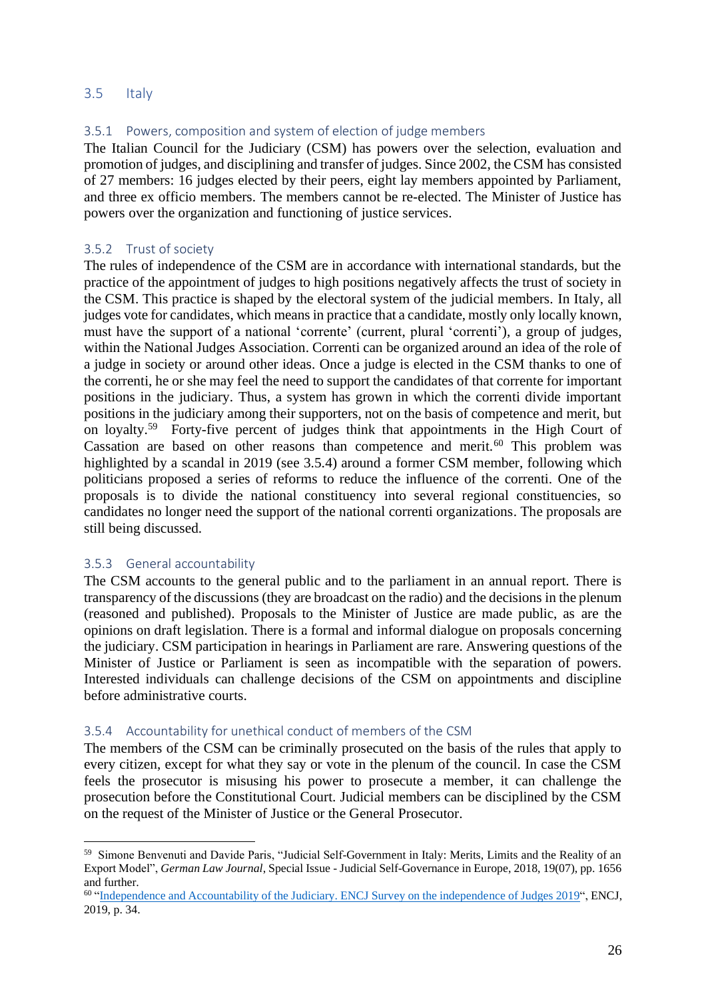# <span id="page-26-0"></span>3.5 Italy

### <span id="page-26-1"></span>3.5.1 Powers, composition and system of election of judge members

The Italian Council for the Judiciary (CSM) has powers over the selection, evaluation and promotion of judges, and disciplining and transfer of judges. Since 2002, the CSM has consisted of 27 members: 16 judges elected by their peers, eight lay members appointed by Parliament, and three ex officio members. The members cannot be re-elected. The Minister of Justice has powers over the organization and functioning of justice services.

#### <span id="page-26-2"></span>3.5.2 Trust of society

The rules of independence of the CSM are in accordance with international standards, but the practice of the appointment of judges to high positions negatively affects the trust of society in the CSM. This practice is shaped by the electoral system of the judicial members. In Italy, all judges vote for candidates, which means in practice that a candidate, mostly only locally known, must have the support of a national 'corrente' (current, plural 'correnti'), a group of judges, within the National Judges Association. Correnti can be organized around an idea of the role of a judge in society or around other ideas. Once a judge is elected in the CSM thanks to one of the correnti, he or she may feel the need to support the candidates of that corrente for important positions in the judiciary. Thus, a system has grown in which the correnti divide important positions in the judiciary among their supporters, not on the basis of competence and merit, but on loyalty.<sup>59</sup> Forty-five percent of judges think that appointments in the High Court of Cassation are based on other reasons than competence and merit. $60$  This problem was highlighted by a scandal in 2019 (see 3.5.4) around a former CSM member, following which politicians proposed a series of reforms to reduce the influence of the correnti. One of the proposals is to divide the national constituency into several regional constituencies, so candidates no longer need the support of the national correnti organizations. The proposals are still being discussed.

#### <span id="page-26-3"></span>3.5.3 General accountability

The CSM accounts to the general public and to the parliament in an annual report. There is transparency of the discussions (they are broadcast on the radio) and the decisions in the plenum (reasoned and published). Proposals to the Minister of Justice are made public, as are the opinions on draft legislation. There is a formal and informal dialogue on proposals concerning the judiciary. CSM participation in hearings in Parliament are rare. Answering questions of the Minister of Justice or Parliament is seen as incompatible with the separation of powers. Interested individuals can challenge decisions of the CSM on appointments and discipline before administrative courts.

#### <span id="page-26-4"></span>3.5.4 Accountability for unethical conduct of members of the CSM

The members of the CSM can be criminally prosecuted on the basis of the rules that apply to every citizen, except for what they say or vote in the plenum of the council. In case the CSM feels the prosecutor is misusing his power to prosecute a member, it can challenge the prosecution before the Constitutional Court. Judicial members can be disciplined by the CSM on the request of the Minister of Justice or the General Prosecutor.

<sup>59</sup> Simone Benvenuti and Davide Paris, "Judicial Self-Government in Italy: Merits, Limits and the Reality of an Export Model", *German Law Journal*, Special Issue - Judicial Self-Governance in Europe, 2018, 19(07), pp. 1656 and further.

<sup>&</sup>lt;sup>60</sup> ["Independence and Accountability of the Judiciary. ENCJ Survey on the independence of Judges 2019"](https://pgwrk-websitemedia.s3.eu-west-1.amazonaws.com/production/pwk-web-encj2017-p/Reports/Data%20ENCJ%202019%20Survey%20on%20the%20Independence%20of%20judges.pdf), ENCJ, 2019, p. 34.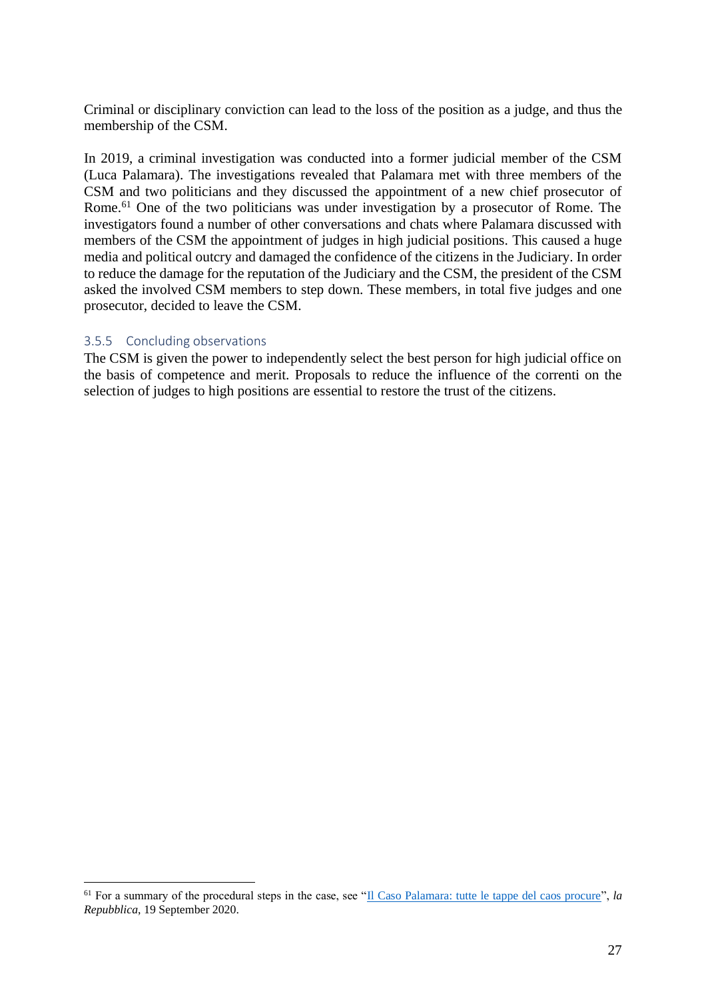Criminal or disciplinary conviction can lead to the loss of the position as a judge, and thus the membership of the CSM.

In 2019, a criminal investigation was conducted into a former judicial member of the CSM (Luca Palamara). The investigations revealed that Palamara met with three members of the CSM and two politicians and they discussed the appointment of a new chief prosecutor of Rome.<sup>61</sup> One of the two politicians was under investigation by a prosecutor of Rome. The investigators found a number of other conversations and chats where Palamara discussed with members of the CSM the appointment of judges in high judicial positions. This caused a huge media and political outcry and damaged the confidence of the citizens in the Judiciary. In order to reduce the damage for the reputation of the Judiciary and the CSM, the president of the CSM asked the involved CSM members to step down. These members, in total five judges and one prosecutor, decided to leave the CSM.

#### <span id="page-27-0"></span>3.5.5 Concluding observations

The CSM is given the power to independently select the best person for high judicial office on the basis of competence and merit. Proposals to reduce the influence of the correnti on the selection of judges to high positions are essential to restore the trust of the citizens.

<sup>61</sup> For a summary of the procedural steps in the case, see ["Il Caso Palamara: tutte le tappe del caos procure"](https://www.repubblica.it/politica/2020/09/19/news/caso_palamara_scheda-267855338/), *la Repubblica*, 19 September 2020.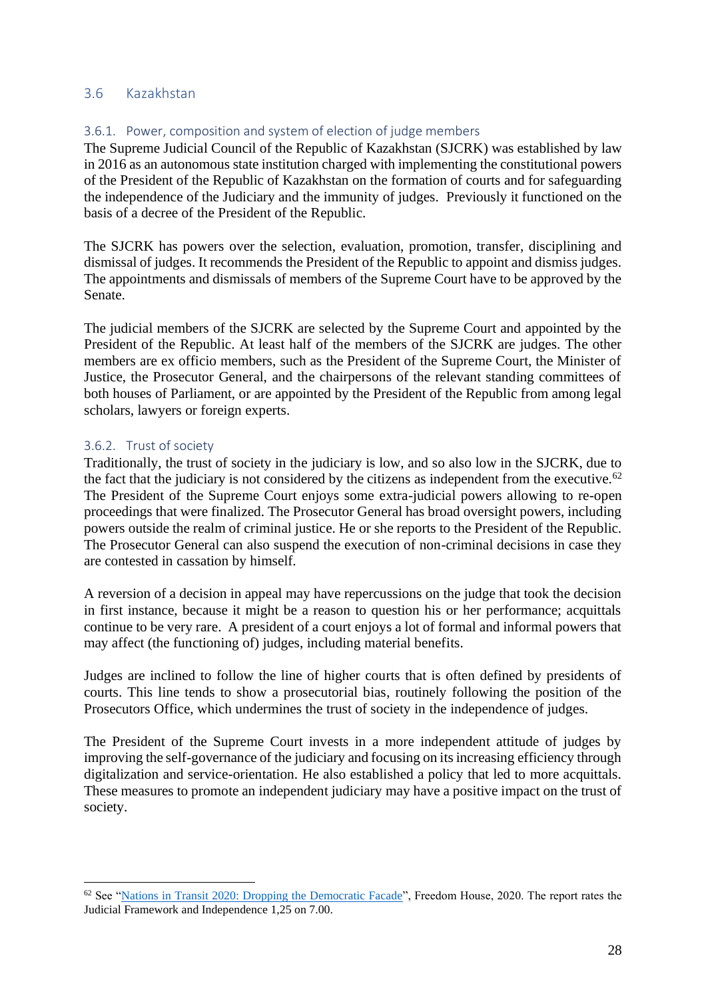# <span id="page-28-0"></span>3.6 Kazakhstan

### <span id="page-28-1"></span>3.6.1. Power, composition and system of election of judge members

The Supreme Judicial Council of the Republic of Kazakhstan (SJCRK) was established by law in 2016 as an autonomous state institution charged with implementing the constitutional powers of the President of the Republic of Kazakhstan on the formation of courts and for safeguarding the independence of the Judiciary and the immunity of judges. Previously it functioned on the basis of a decree of the President of the Republic.

The SJCRK has powers over the selection, evaluation, promotion, transfer, disciplining and dismissal of judges. It recommends the President of the Republic to appoint and dismiss judges. The appointments and dismissals of members of the Supreme Court have to be approved by the Senate.

The judicial members of the SJCRK are selected by the Supreme Court and appointed by the President of the Republic. At least half of the members of the SJCRK are judges. The other members are ex officio members, such as the President of the Supreme Court, the Minister of Justice, the Prosecutor General, and the chairpersons of the relevant standing committees of both houses of Parliament, or are appointed by the President of the Republic from among legal scholars, lawyers or foreign experts.

#### <span id="page-28-2"></span>3.6.2. Trust of society

Traditionally, the trust of society in the judiciary is low, and so also low in the SJCRK, due to the fact that the judiciary is not considered by the citizens as independent from the executive.<sup>62</sup> The President of the Supreme Court enjoys some extra-judicial powers allowing to re-open proceedings that were finalized. The Prosecutor General has broad oversight powers, including powers outside the realm of criminal justice. He or she reports to the President of the Republic. The Prosecutor General can also suspend the execution of non-criminal decisions in case they are contested in cassation by himself.

A reversion of a decision in appeal may have repercussions on the judge that took the decision in first instance, because it might be a reason to question his or her performance; acquittals continue to be very rare. A president of a court enjoys a lot of formal and informal powers that may affect (the functioning of) judges, including material benefits.

Judges are inclined to follow the line of higher courts that is often defined by presidents of courts. This line tends to show a prosecutorial bias, routinely following the position of the Prosecutors Office, which undermines the trust of society in the independence of judges.

The President of the Supreme Court invests in a more independent attitude of judges by improving the self-governance of the judiciary and focusing on its increasing efficiency through digitalization and service-orientation. He also established a policy that led to more acquittals. These measures to promote an independent judiciary may have a positive impact on the trust of society.

<sup>62</sup> See ["Nations in Transit 2020: Dropping the Democratic Facade"](https://kq.freepressunlimited.org/evidence/nations-in-transit-2020-dropping-the-democratic-facade/), Freedom House, 2020. The report rates the Judicial Framework and Independence 1,25 on 7.00.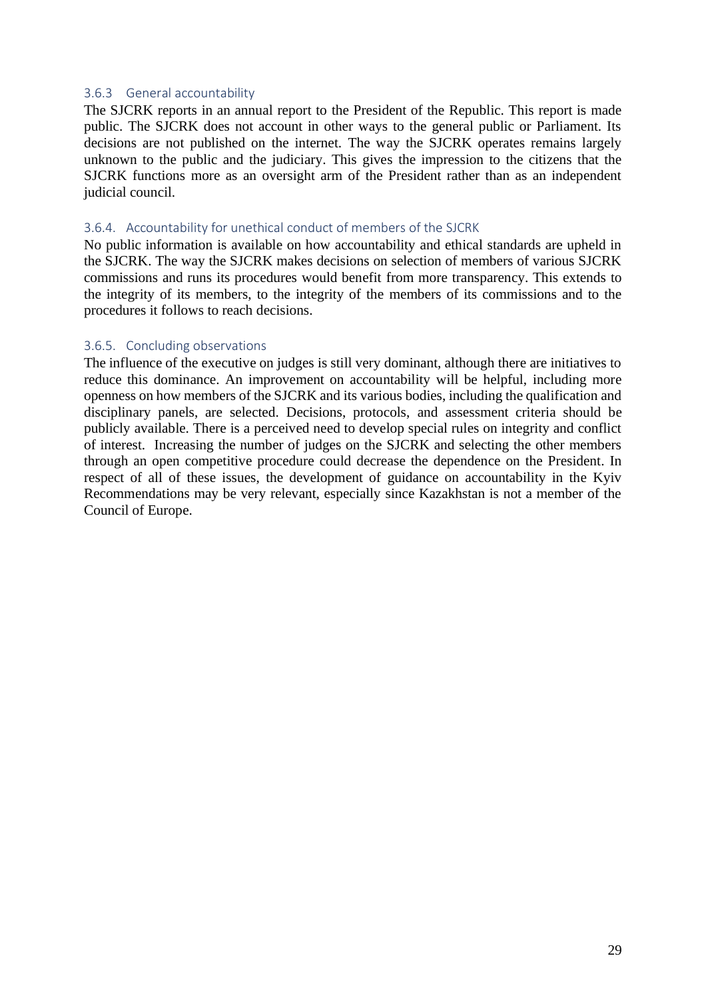#### <span id="page-29-0"></span>3.6.3 General accountability

The SJCRK reports in an annual report to the President of the Republic. This report is made public. The SJCRK does not account in other ways to the general public or Parliament. Its decisions are not published on the internet. The way the SJCRK operates remains largely unknown to the public and the judiciary. This gives the impression to the citizens that the SJCRK functions more as an oversight arm of the President rather than as an independent judicial council.

#### <span id="page-29-1"></span>3.6.4. Accountability for unethical conduct of members of the SJCRK

No public information is available on how accountability and ethical standards are upheld in the SJCRK. The way the SJCRK makes decisions on selection of members of various SJCRK commissions and runs its procedures would benefit from more transparency. This extends to the integrity of its members, to the integrity of the members of its commissions and to the procedures it follows to reach decisions.

#### <span id="page-29-2"></span>3.6.5. Concluding observations

The influence of the executive on judges is still very dominant, although there are initiatives to reduce this dominance. An improvement on accountability will be helpful, including more openness on how members of the SJCRK and its various bodies, including the qualification and disciplinary panels, are selected. Decisions, protocols, and assessment criteria should be publicly available. There is a perceived need to develop special rules on integrity and conflict of interest. Increasing the number of judges on the SJCRK and selecting the other members through an open competitive procedure could decrease the dependence on the President. In respect of all of these issues, the development of guidance on accountability in the Kyiv Recommendations may be very relevant, especially since Kazakhstan is not a member of the Council of Europe.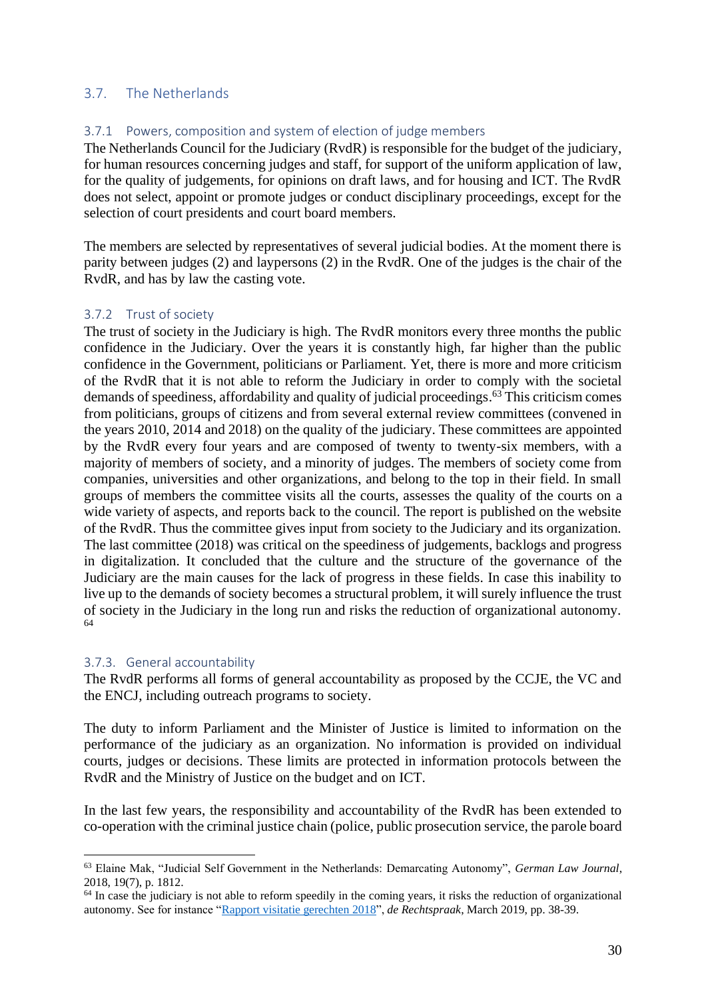# <span id="page-30-0"></span>3.7. The Netherlands

# <span id="page-30-1"></span>3.7.1 Powers, composition and system of election of judge members

The Netherlands Council for the Judiciary (RvdR) is responsible for the budget of the judiciary, for human resources concerning judges and staff, for support of the uniform application of law, for the quality of judgements, for opinions on draft laws, and for housing and ICT. The RvdR does not select, appoint or promote judges or conduct disciplinary proceedings, except for the selection of court presidents and court board members.

The members are selected by representatives of several judicial bodies. At the moment there is parity between judges (2) and laypersons (2) in the RvdR. One of the judges is the chair of the RvdR, and has by law the casting vote.

#### <span id="page-30-2"></span>3.7.2 Trust of society

The trust of society in the Judiciary is high. The RvdR monitors every three months the public confidence in the Judiciary. Over the years it is constantly high, far higher than the public confidence in the Government, politicians or Parliament. Yet, there is more and more criticism of the RvdR that it is not able to reform the Judiciary in order to comply with the societal demands of speediness, affordability and quality of judicial proceedings. <sup>63</sup> This criticism comes from politicians, groups of citizens and from several external review committees (convened in the years 2010, 2014 and 2018) on the quality of the judiciary. These committees are appointed by the RvdR every four years and are composed of twenty to twenty-six members, with a majority of members of society, and a minority of judges. The members of society come from companies, universities and other organizations, and belong to the top in their field. In small groups of members the committee visits all the courts, assesses the quality of the courts on a wide variety of aspects, and reports back to the council. The report is published on the website of the RvdR. Thus the committee gives input from society to the Judiciary and its organization. The last committee (2018) was critical on the speediness of judgements, backlogs and progress in digitalization. It concluded that the culture and the structure of the governance of the Judiciary are the main causes for the lack of progress in these fields. In case this inability to live up to the demands of society becomes a structural problem, it will surely influence the trust of society in the Judiciary in the long run and risks the reduction of organizational autonomy. 64

#### <span id="page-30-3"></span>3.7.3. General accountability

The RvdR performs all forms of general accountability as proposed by the CCJE, the VC and the ENCJ, including outreach programs to society.

The duty to inform Parliament and the Minister of Justice is limited to information on the performance of the judiciary as an organization. No information is provided on individual courts, judges or decisions. These limits are protected in information protocols between the RvdR and the Ministry of Justice on the budget and on ICT.

In the last few years, the responsibility and accountability of the RvdR has been extended to co-operation with the criminal justice chain (police, public prosecution service, the parole board

<sup>63</sup> Elaine Mak, "Judicial Self Government in the Netherlands: Demarcating Autonomy", *German Law Journal*, 2018, 19(7), p. 1812.

 $<sup>64</sup>$  In case the judiciary is not able to reform speedily in the coming years, it risks the reduction of organizational</sup> autonomy. See for instance ["Rapport visitatie gerechten 2018"](https://www.rechtspraak.nl/SiteCollectionDocuments/Rapport%20Visitatie%202018.PDF), *de Rechtspraak*, March 2019, pp. 38-39.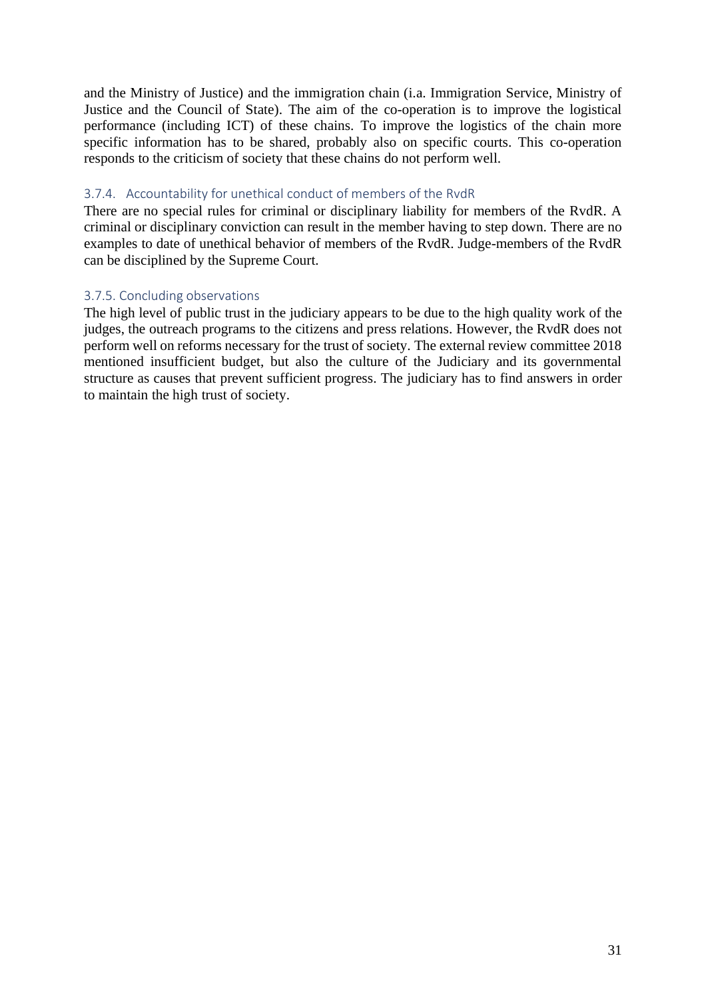and the Ministry of Justice) and the immigration chain (i.a. Immigration Service, Ministry of Justice and the Council of State). The aim of the co-operation is to improve the logistical performance (including ICT) of these chains. To improve the logistics of the chain more specific information has to be shared, probably also on specific courts. This co-operation responds to the criticism of society that these chains do not perform well.

# <span id="page-31-0"></span>3.7.4. Accountability for unethical conduct of members of the RvdR

There are no special rules for criminal or disciplinary liability for members of the RvdR. A criminal or disciplinary conviction can result in the member having to step down. There are no examples to date of unethical behavior of members of the RvdR. Judge-members of the RvdR can be disciplined by the Supreme Court.

# <span id="page-31-1"></span>3.7.5. Concluding observations

The high level of public trust in the judiciary appears to be due to the high quality work of the judges, the outreach programs to the citizens and press relations. However, the RvdR does not perform well on reforms necessary for the trust of society. The external review committee 2018 mentioned insufficient budget, but also the culture of the Judiciary and its governmental structure as causes that prevent sufficient progress. The judiciary has to find answers in order to maintain the high trust of society.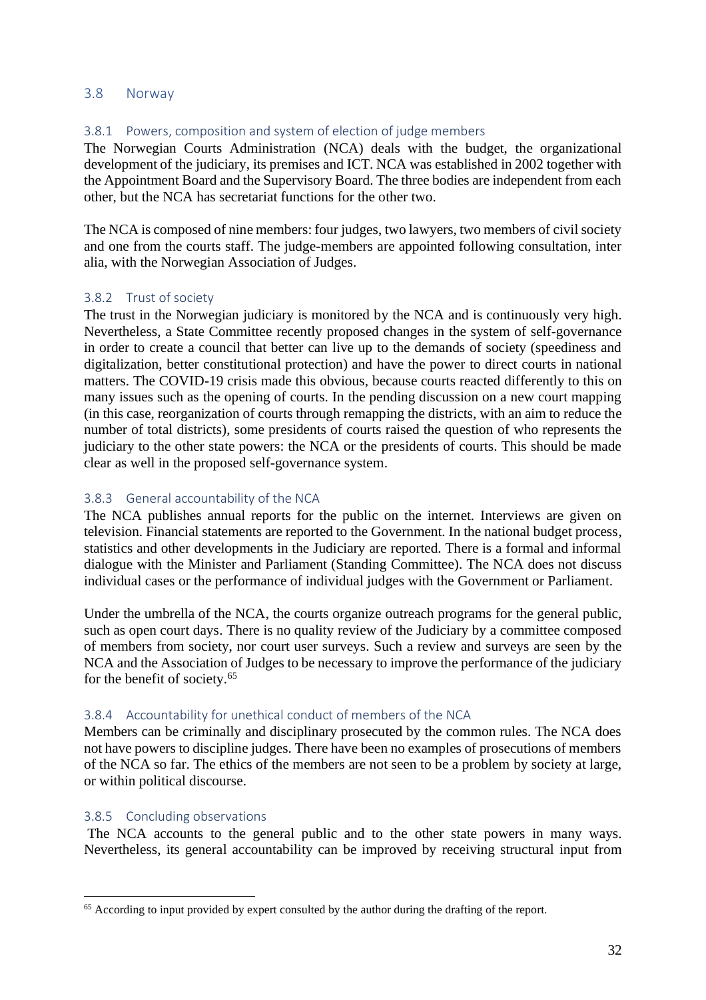#### <span id="page-32-0"></span>3.8 Norway

## <span id="page-32-1"></span>3.8.1 Powers, composition and system of election of judge members

The Norwegian Courts Administration (NCA) deals with the budget, the organizational development of the judiciary, its premises and ICT. NCA was established in 2002 together with the Appointment Board and the Supervisory Board. The three bodies are independent from each other, but the NCA has secretariat functions for the other two.

The NCA is composed of nine members: four judges, two lawyers, two members of civil society and one from the courts staff. The judge-members are appointed following consultation, inter alia, with the Norwegian Association of Judges.

#### <span id="page-32-2"></span>3.8.2 Trust of society

The trust in the Norwegian judiciary is monitored by the NCA and is continuously very high. Nevertheless, a State Committee recently proposed changes in the system of self-governance in order to create a council that better can live up to the demands of society (speediness and digitalization, better constitutional protection) and have the power to direct courts in national matters. The COVID-19 crisis made this obvious, because courts reacted differently to this on many issues such as the opening of courts. In the pending discussion on a new court mapping (in this case, reorganization of courts through remapping the districts, with an aim to reduce the number of total districts), some presidents of courts raised the question of who represents the judiciary to the other state powers: the NCA or the presidents of courts. This should be made clear as well in the proposed self-governance system.

#### <span id="page-32-3"></span>3.8.3 General accountability of the NCA

The NCA publishes annual reports for the public on the internet. Interviews are given on television. Financial statements are reported to the Government. In the national budget process, statistics and other developments in the Judiciary are reported. There is a formal and informal dialogue with the Minister and Parliament (Standing Committee). The NCA does not discuss individual cases or the performance of individual judges with the Government or Parliament.

Under the umbrella of the NCA, the courts organize outreach programs for the general public, such as open court days. There is no quality review of the Judiciary by a committee composed of members from society, nor court user surveys. Such a review and surveys are seen by the NCA and the Association of Judges to be necessary to improve the performance of the judiciary for the benefit of society.<sup>65</sup>

#### <span id="page-32-4"></span>3.8.4 Accountability for unethical conduct of members of the NCA

Members can be criminally and disciplinary prosecuted by the common rules. The NCA does not have powers to discipline judges. There have been no examples of prosecutions of members of the NCA so far. The ethics of the members are not seen to be a problem by society at large, or within political discourse.

#### <span id="page-32-5"></span>3.8.5 Concluding observations

The NCA accounts to the general public and to the other state powers in many ways. Nevertheless, its general accountability can be improved by receiving structural input from

<sup>&</sup>lt;sup>65</sup> According to input provided by expert consulted by the author during the drafting of the report.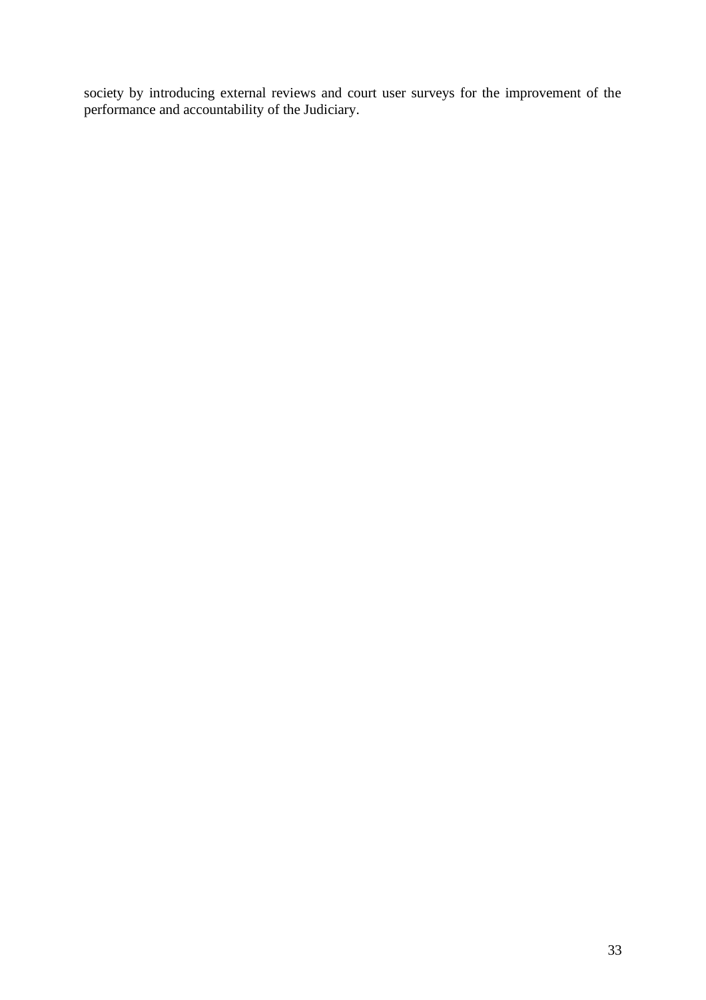society by introducing external reviews and court user surveys for the improvement of the performance and accountability of the Judiciary.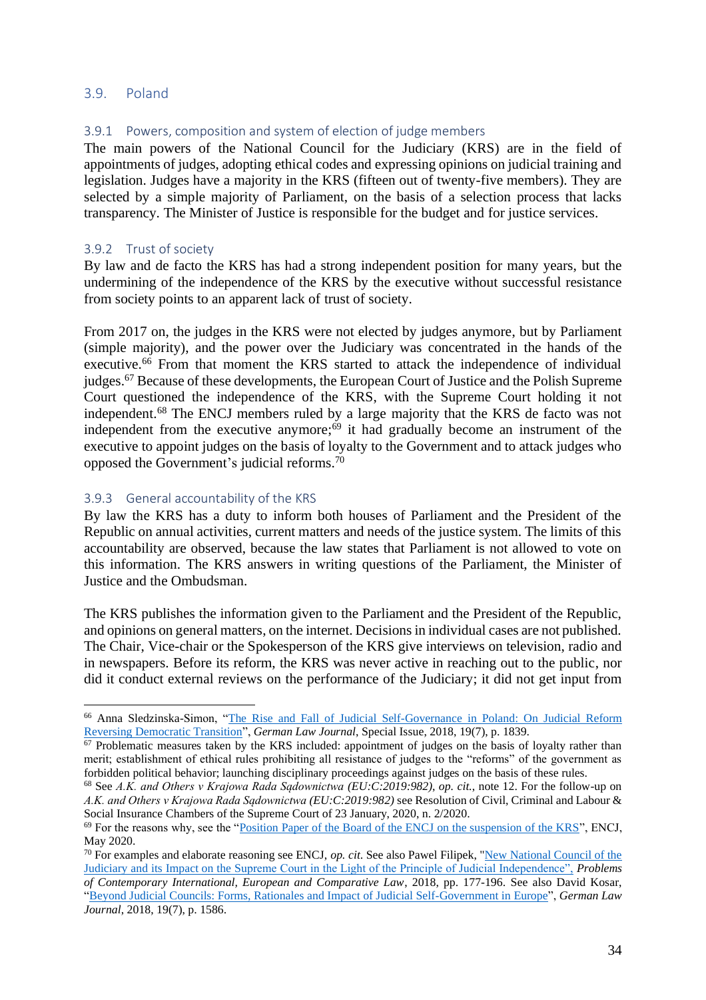#### <span id="page-34-0"></span>3.9. Poland

### <span id="page-34-1"></span>3.9.1 Powers, composition and system of election of judge members

The main powers of the National Council for the Judiciary (KRS) are in the field of appointments of judges, adopting ethical codes and expressing opinions on judicial training and legislation. Judges have a majority in the KRS (fifteen out of twenty-five members). They are selected by a simple majority of Parliament, on the basis of a selection process that lacks transparency. The Minister of Justice is responsible for the budget and for justice services.

#### <span id="page-34-2"></span>3.9.2 Trust of society

By law and de facto the KRS has had a strong independent position for many years, but the undermining of the independence of the KRS by the executive without successful resistance from society points to an apparent lack of trust of society.

From 2017 on, the judges in the KRS were not elected by judges anymore, but by Parliament (simple majority), and the power over the Judiciary was concentrated in the hands of the executive.<sup>66</sup> From that moment the KRS started to attack the independence of individual judges.<sup>67</sup> Because of these developments, the European Court of Justice and the Polish Supreme Court questioned the independence of the KRS, with the Supreme Court holding it not independent. <sup>68</sup> The ENCJ members ruled by a large majority that the KRS de facto was not independent from the executive anymore;<sup>69</sup> it had gradually become an instrument of the executive to appoint judges on the basis of loyalty to the Government and to attack judges who opposed the Government's judicial reforms. 70

#### <span id="page-34-3"></span>3.9.3 General accountability of the KRS

By law the KRS has a duty to inform both houses of Parliament and the President of the Republic on annual activities, current matters and needs of the justice system. The limits of this accountability are observed, because the law states that Parliament is not allowed to vote on this information. The KRS answers in writing questions of the Parliament, the Minister of Justice and the Ombudsman.

The KRS publishes the information given to the Parliament and the President of the Republic, and opinions on general matters, on the internet. Decisions in individual cases are not published. The Chair, Vice-chair or the Spokesperson of the KRS give interviews on television, radio and in newspapers. Before its reform, the KRS was never active in reaching out to the public, nor did it conduct external reviews on the performance of the Judiciary; it did not get input from

<sup>66</sup> Anna Sledzinska-Simon, ["The Rise and Fall of Judicial Self-Governance in Poland: On Judicial Reform](https://www.cambridge.org/core/journals/german-law-journal/article/rise-and-fall-of-judicial-selfgovernment-in-poland-on-judicial-reform-reversing-democratic-transition/391694FF9C3B193716DB41D02CB071B4)  [Reversing Democratic Transition"](https://www.cambridge.org/core/journals/german-law-journal/article/rise-and-fall-of-judicial-selfgovernment-in-poland-on-judicial-reform-reversing-democratic-transition/391694FF9C3B193716DB41D02CB071B4), *German Law Journal*, Special Issue, 2018, 19(7), p. 1839.

 $\frac{67}{100}$  Problematic measures taken by the KRS included: appointment of judges on the basis of loyalty rather than merit; establishment of ethical rules prohibiting all resistance of judges to the "reforms" of the government as forbidden political behavior; launching disciplinary proceedings against judges on the basis of these rules.

<sup>68</sup> See *A.K. and Others v Krajowa Rada Sądownictwa (EU:C:2019:982)*, *op. cit.*, note 12. For the follow-up on *A.K. and Others v Krajowa Rada Sądownictwa (EU:C:2019:982)* see Resolution of Civil, Criminal and Labour & Social Insurance Chambers of the Supreme Court of 23 January, 2020, n. 2/2020.

<sup>69</sup> For the reasons why, see the ["Position Paper of the Board of the ENCJ on the suspension of the KRS"](https://pgwrk-websitemedia.s3.eu-west-1.amazonaws.com/production/pwk-web-encj2017-p/News/Position%20paper%20ENCJ%20Board%20on%20position%20KRS%20and%20annexes%2027%20May%202020.pdf), ENCJ, May 2020.

<sup>70</sup> For examples and elaborate reasoning see ENCJ, *op. cit*. See also Pawel Filipek, ["New National Council of the](https://europeistyka.uj.edu.pl/documents/3458728/141910948/P.+Filipek_PWPM2018_pages-177-196.pdf)  [Judiciary and its Impact on the Supreme Court in the Light of the Principle of Judicial Independence",](https://europeistyka.uj.edu.pl/documents/3458728/141910948/P.+Filipek_PWPM2018_pages-177-196.pdf) *Problems of Contemporary International, European and Comparative Law*, 2018, pp. 177-196. See also David Kosar, ["Beyond Judicial Councils: Forms, Rationales and Impact of Judicial Self-Government in Europe"](https://www.cambridge.org/core/journals/german-law-journal/article/beyond-judicial-councils-forms-rationales-and-impact-of-judicial-selfgovernance-in-europe/664DE5677705E534D282A84E1134888A), *German Law Journal*, 2018, 19(7), p. 1586.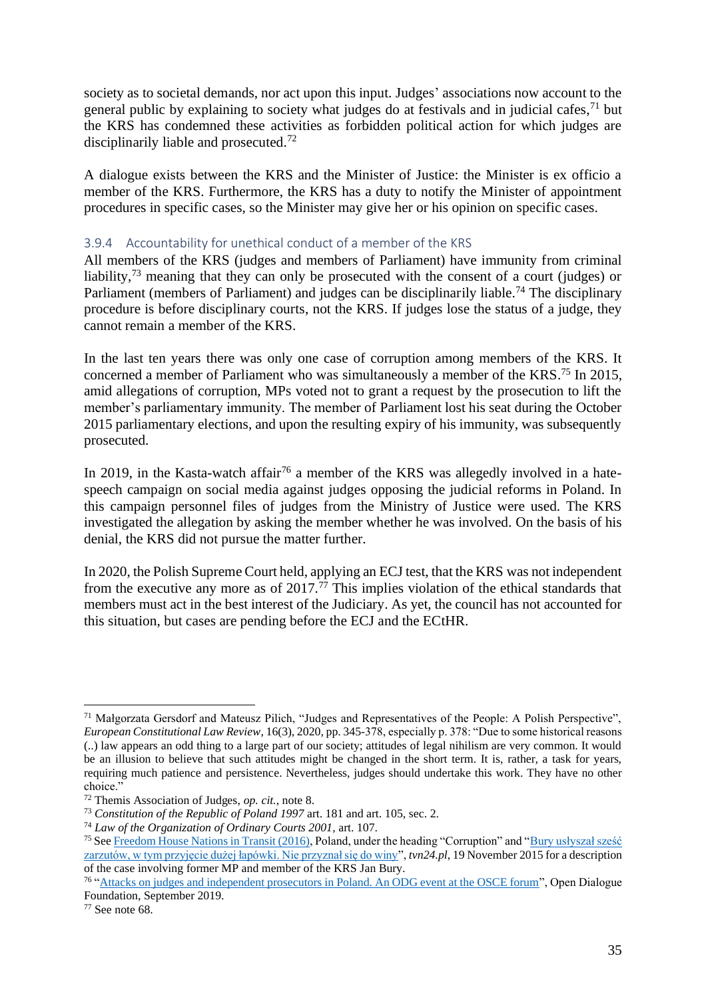society as to societal demands, nor act upon this input. Judges' associations now account to the general public by explaining to society what judges do at festivals and in judicial cafes, $71$  but the KRS has condemned these activities as forbidden political action for which judges are disciplinarily liable and prosecuted.<sup>72</sup>

A dialogue exists between the KRS and the Minister of Justice: the Minister is ex officio a member of the KRS. Furthermore, the KRS has a duty to notify the Minister of appointment procedures in specific cases, so the Minister may give her or his opinion on specific cases.

#### <span id="page-35-0"></span>3.9.4 Accountability for unethical conduct of a member of the KRS

All members of the KRS (judges and members of Parliament) have immunity from criminal liability,<sup>73</sup> meaning that they can only be prosecuted with the consent of a court (judges) or Parliament (members of Parliament) and judges can be disciplinarily liable.<sup>74</sup> The disciplinary procedure is before disciplinary courts, not the KRS. If judges lose the status of a judge, they cannot remain a member of the KRS.

In the last ten years there was only one case of corruption among members of the KRS. It concerned a member of Parliament who was simultaneously a member of the KRS.<sup>75</sup> In 2015, amid allegations of corruption, MPs voted not to grant a request by the prosecution to lift the member's parliamentary immunity. The member of Parliament lost his seat during the October 2015 parliamentary elections, and upon the resulting expiry of his immunity, was subsequently prosecuted.

In 2019, in the Kasta-watch affair<sup>76</sup> a member of the KRS was allegedly involved in a hatespeech campaign on social media against judges opposing the judicial reforms in Poland. In this campaign personnel files of judges from the Ministry of Justice were used. The KRS investigated the allegation by asking the member whether he was involved. On the basis of his denial, the KRS did not pursue the matter further.

In 2020, the Polish Supreme Court held, applying an ECJ test, that the KRS was not independent from the executive any more as of 2017.<sup>77</sup> This implies violation of the ethical standards that members must act in the best interest of the Judiciary. As yet, the council has not accounted for this situation, but cases are pending before the ECJ and the ECtHR.

<sup>77</sup> See note 68.

<sup>71</sup> Małgorzata Gersdorf and Mateusz Pilich, "Judges and Representatives of the People: A Polish Perspective", *European Constitutional Law Review*, 16(3), 2020, pp. 345-378, especially p. 378: "Due to some historical reasons (..) law appears an odd thing to a large part of our society; attitudes of legal nihilism are very common. It would be an illusion to believe that such attitudes might be changed in the short term. It is, rather, a task for years, requiring much patience and persistence. Nevertheless, judges should undertake this work. They have no other choice."

<sup>72</sup> Themis Association of Judges, *op. cit.*, note 8.

<sup>73</sup> *Constitution of the Republic of Poland 1997* art. 181 and art. 105, sec. 2.

<sup>74</sup> *Law of the Organization of Ordinary Courts 2001,* art. 107.

<sup>&</sup>lt;sup>75</sup> See [Freedom House Nations in Transit \(2016\),](https://freedomhouse.org/country/poland/nations-transit/2016) Poland, under the heading "Corruption" and "Bury usłyszał sześć [zarzutów, w tym przyjęcie dużej łapówki. Nie przyznał się do winy"](https://tvn24.pl/polska/cba-zatrzymalo-jana-burego-ra595725-3318481), *tvn24.pl*, 19 November 2015 for a description of the case involving former MP and member of the KRS Jan Bury.

<sup>&</sup>lt;sup>76</sup> ["Attacks on judges and independent prosecutors in Poland. An ODG event at the OSCE forum"](https://en.odfoundation.eu/a/9550,attacks-on-judges-and-independent-prosecutors-in-poland-an-odf-event-at-the-osce-forum/), Open Dialogue Foundation, September 2019.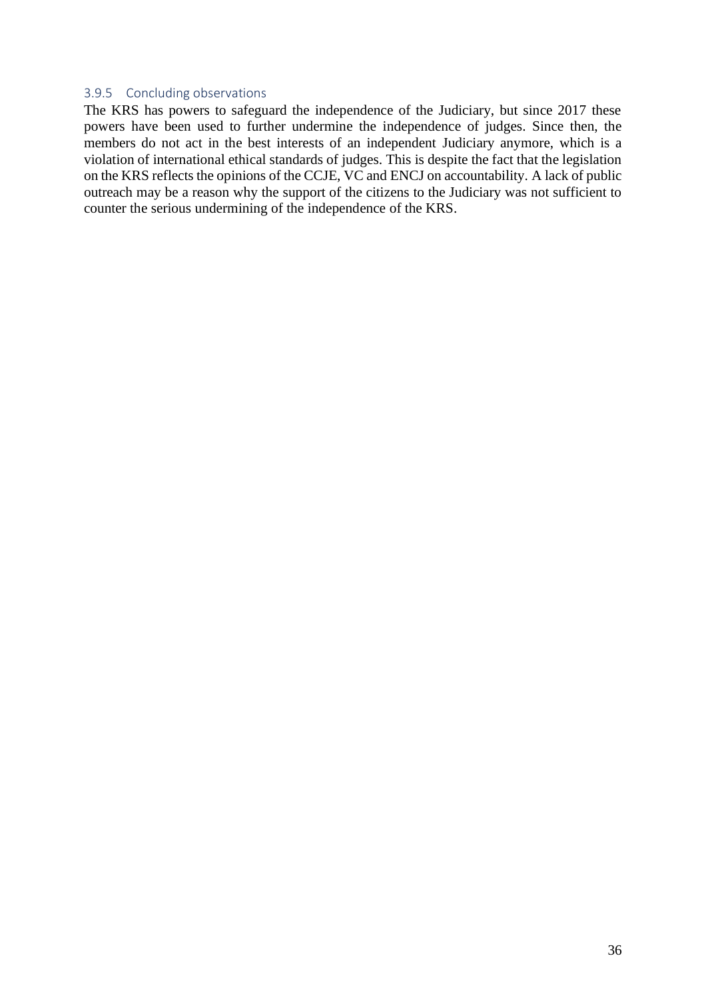#### <span id="page-36-0"></span>3.9.5 Concluding observations

The KRS has powers to safeguard the independence of the Judiciary, but since 2017 these powers have been used to further undermine the independence of judges. Since then, the members do not act in the best interests of an independent Judiciary anymore, which is a violation of international ethical standards of judges. This is despite the fact that the legislation on the KRS reflects the opinions of the CCJE, VC and ENCJ on accountability. A lack of public outreach may be a reason why the support of the citizens to the Judiciary was not sufficient to counter the serious undermining of the independence of the KRS.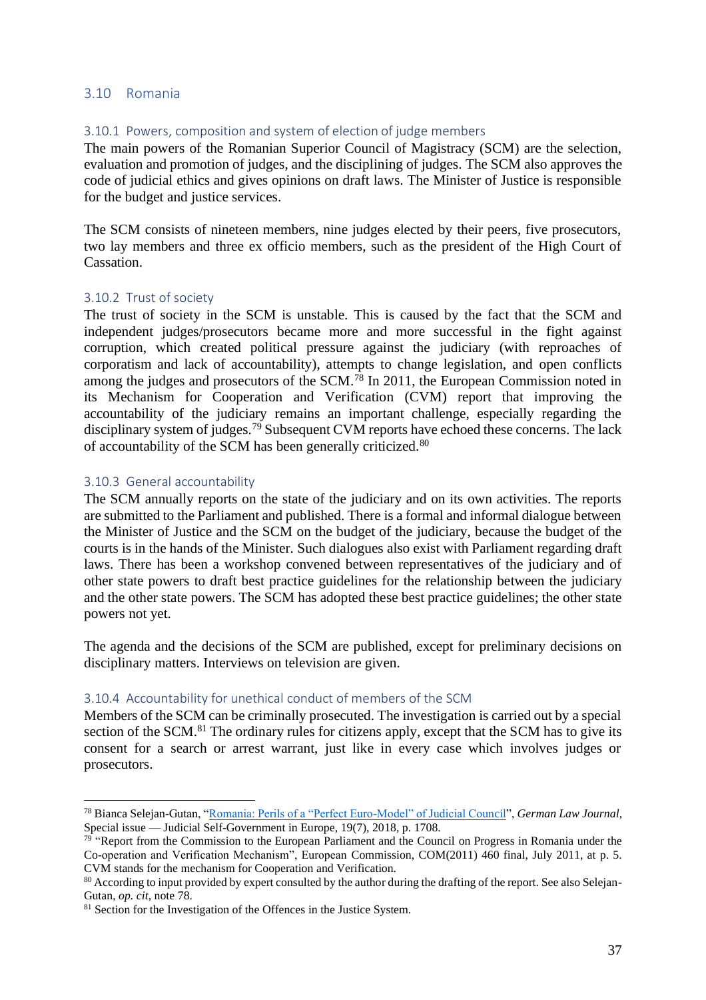#### <span id="page-37-0"></span>3.10 Romania

#### <span id="page-37-1"></span>3.10.1 Powers, composition and system of election of judge members

The main powers of the Romanian Superior Council of Magistracy (SCM) are the selection, evaluation and promotion of judges, and the disciplining of judges. The SCM also approves the code of judicial ethics and gives opinions on draft laws. The Minister of Justice is responsible for the budget and justice services.

The SCM consists of nineteen members, nine judges elected by their peers, five prosecutors, two lay members and three ex officio members, such as the president of the High Court of Cassation.

#### <span id="page-37-2"></span>3.10.2 Trust of society

The trust of society in the SCM is unstable. This is caused by the fact that the SCM and independent judges/prosecutors became more and more successful in the fight against corruption, which created political pressure against the judiciary (with reproaches of corporatism and lack of accountability), attempts to change legislation, and open conflicts among the judges and prosecutors of the SCM.<sup>78</sup> In 2011, the European Commission noted in its Mechanism for Cooperation and Verification (CVM) report that improving the accountability of the judiciary remains an important challenge, especially regarding the disciplinary system of judges.<sup>79</sup> Subsequent CVM reports have echoed these concerns. The lack of accountability of the SCM has been generally criticized.<sup>80</sup>

#### <span id="page-37-3"></span>3.10.3 General accountability

The SCM annually reports on the state of the judiciary and on its own activities. The reports are submitted to the Parliament and published. There is a formal and informal dialogue between the Minister of Justice and the SCM on the budget of the judiciary, because the budget of the courts is in the hands of the Minister. Such dialogues also exist with Parliament regarding draft laws. There has been a workshop convened between representatives of the judiciary and of other state powers to draft best practice guidelines for the relationship between the judiciary and the other state powers. The SCM has adopted these best practice guidelines; the other state powers not yet.

The agenda and the decisions of the SCM are published, except for preliminary decisions on disciplinary matters. Interviews on television are given.

#### <span id="page-37-4"></span>3.10.4 Accountability for unethical conduct of members of the SCM

Members of the SCM can be criminally prosecuted. The investigation is carried out by a special section of the SCM.<sup>81</sup> The ordinary rules for citizens apply, except that the SCM has to give its consent for a search or arrest warrant, just like in every case which involves judges or prosecutors.

<sup>78</sup> Bianca Selejan-Gutan, ["Romania: Perils of a "Perfect Euro-Model" of Judicial Council"](https://www.cambridge.org/core/journals/german-law-journal/article/romania-perils-of-a-perfect-euromodel-of-judicial-council/D910A4D3BF0BAF0E5A26C75965C0B31D), *German Law Journal*, Special issue — Judicial Self-Government in Europe, 19(7), 2018, p. 1708.

<sup>&</sup>lt;sup>79</sup> "Report from the Commission to the European Parliament and the Council on Progress in Romania under the Co-operation and Verification Mechanism", European Commission, COM(2011) 460 final, July 2011, at p. 5. CVM stands for the mechanism for Cooperation and Verification.

<sup>&</sup>lt;sup>80</sup> According to input provided by expert consulted by the author during the drafting of the report. See also Selejan-Gutan, *op. cit,* note 78.

<sup>&</sup>lt;sup>81</sup> Section for the Investigation of the Offences in the Justice System.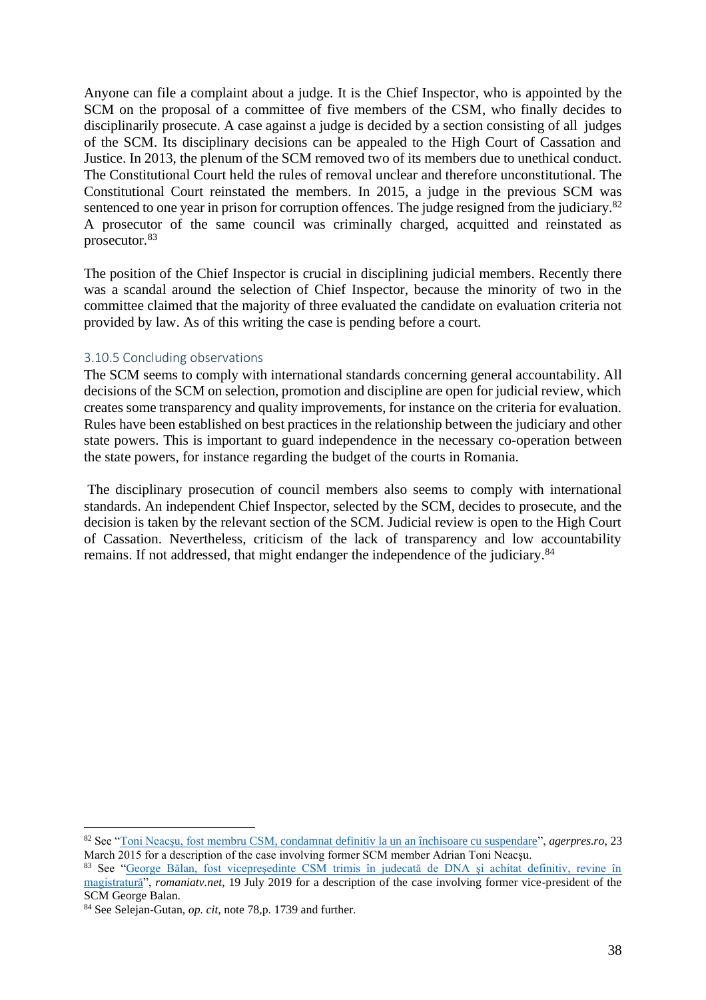Anyone can file a complaint about a judge. It is the Chief Inspector, who is appointed by the SCM on the proposal of a committee of five members of the CSM, who finally decides to disciplinarily prosecute. A case against a judge is decided by a section consisting of all judges of the SCM. Its disciplinary decisions can be appealed to the High Court of Cassation and Justice. In 2013, the plenum of the SCM removed two of its members due to unethical conduct. The Constitutional Court held the rules of removal unclear and therefore unconstitutional. The Constitutional Court reinstated the members. In 2015, a judge in the previous SCM was sentenced to one year in prison for corruption offences. The judge resigned from the judiciary.<sup>82</sup> A prosecutor of the same council was criminally charged, acquitted and reinstated as prosecutor.<sup>83</sup>

The position of the Chief Inspector is crucial in disciplining judicial members. Recently there was a scandal around the selection of Chief Inspector, because the minority of two in the committee claimed that the majority of three evaluated the candidate on evaluation criteria not provided by law. As of this writing the case is pending before a court.

#### <span id="page-38-0"></span>3.10.5 Concluding observations

The SCM seems to comply with international standards concerning general accountability. All decisions of the SCM on selection, promotion and discipline are open for judicial review, which creates some transparency and quality improvements, for instance on the criteria for evaluation. Rules have been established on best practices in the relationship between the judiciary and other state powers. This is important to guard independence in the necessary co-operation between the state powers, for instance regarding the budget of the courts in Romania.

The disciplinary prosecution of council members also seems to comply with international standards. An independent Chief Inspector, selected by the SCM, decides to prosecute, and the decision is taken by the relevant section of the SCM. Judicial review is open to the High Court of Cassation. Nevertheless, criticism of the lack of transparency and low accountability remains. If not addressed, that might endanger the independence of the judiciary.<sup>84</sup>

<sup>82</sup> See ["Toni Neacşu, fost membru CSM, condamnat definitiv la un an închisoare cu suspendare"](https://www.agerpres.ro/justitie/2015/03/23/toni-neacsu-fost-membru-csm-condamnat-definitiv-la-un-an-inchisoare-cu-suspendare-17-10-51), *agerpres.ro*, 23 March 2015 for a description of the case involving former SCM member Adrian Toni Neacşu.

<sup>83</sup> See ["George Bălan, fost vicepreşedinte CSM trimis în judecată de DNA şi achitat definitiv, revine în](https://www.romaniatv.net/george-balan-fost-vicepresedinte-csm-trimis-in-judecata-de-dna-si-achitat-definitiv-revine-in-magistratura_483406.html)  [magistratură"](https://www.romaniatv.net/george-balan-fost-vicepresedinte-csm-trimis-in-judecata-de-dna-si-achitat-definitiv-revine-in-magistratura_483406.html), *romaniatv.net*, 19 July 2019 for a description of the case involving former vice-president of the SCM George Balan.

<sup>84</sup> See Selejan-Gutan, *op. cit,* note 78,p. 1739 and further.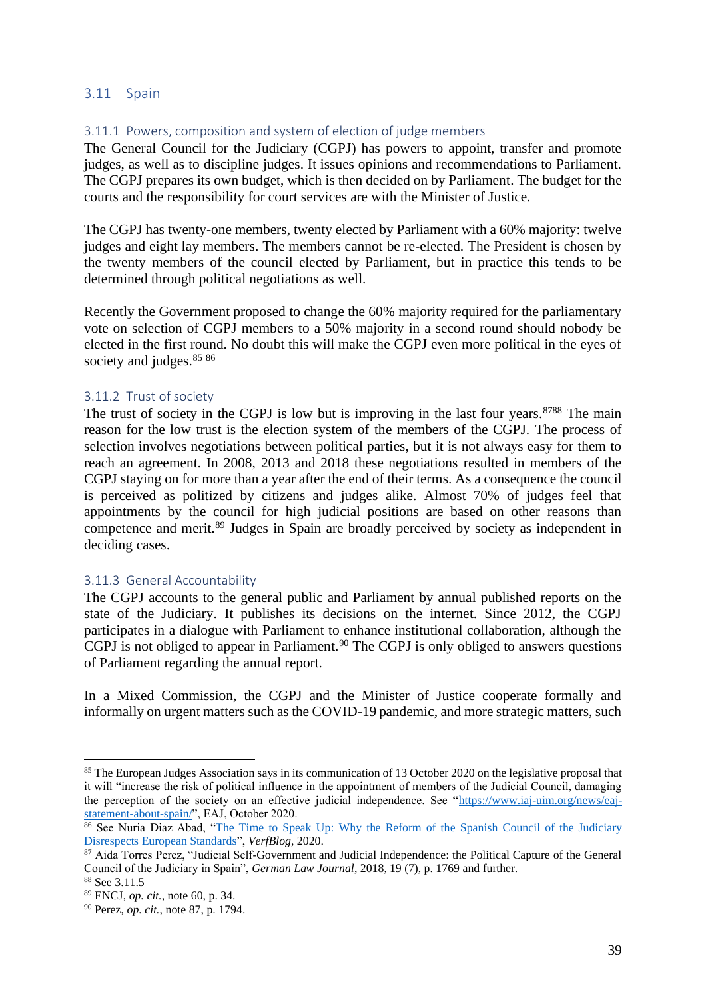### <span id="page-39-0"></span>3.11 Spain

#### <span id="page-39-1"></span>3.11.1 Powers, composition and system of election of judge members

The General Council for the Judiciary (CGPJ) has powers to appoint, transfer and promote judges, as well as to discipline judges. It issues opinions and recommendations to Parliament. The CGPJ prepares its own budget, which is then decided on by Parliament. The budget for the courts and the responsibility for court services are with the Minister of Justice.

The CGPJ has twenty-one members, twenty elected by Parliament with a 60% majority: twelve judges and eight lay members. The members cannot be re-elected. The President is chosen by the twenty members of the council elected by Parliament, but in practice this tends to be determined through political negotiations as well.

Recently the Government proposed to change the 60% majority required for the parliamentary vote on selection of CGPJ members to a 50% majority in a second round should nobody be elected in the first round. No doubt this will make the CGPJ even more political in the eyes of society and judges. 85 86

#### <span id="page-39-2"></span>3.11.2 Trust of society

The trust of society in the CGPJ is low but is improving in the last four years.<sup>8788</sup> The main reason for the low trust is the election system of the members of the CGPJ. The process of selection involves negotiations between political parties, but it is not always easy for them to reach an agreement. In 2008, 2013 and 2018 these negotiations resulted in members of the CGPJ staying on for more than a year after the end of their terms. As a consequence the council is perceived as politized by citizens and judges alike. Almost 70% of judges feel that appointments by the council for high judicial positions are based on other reasons than competence and merit.<sup>89</sup> Judges in Spain are broadly perceived by society as independent in deciding cases.

#### <span id="page-39-3"></span>3.11.3 General Accountability

The CGPJ accounts to the general public and Parliament by annual published reports on the state of the Judiciary. It publishes its decisions on the internet. Since 2012, the CGPJ participates in a dialogue with Parliament to enhance institutional collaboration, although the CGPJ is not obliged to appear in Parliament.<sup>90</sup> The CGPJ is only obliged to answers questions of Parliament regarding the annual report.

In a Mixed Commission, the CGPJ and the Minister of Justice cooperate formally and informally on urgent matters such as the COVID-19 pandemic, and more strategic matters, such

<sup>&</sup>lt;sup>85</sup> The European Judges Association says in its communication of 13 October 2020 on the legislative proposal that it will "increase the risk of political influence in the appointment of members of the Judicial Council, damaging the perception of the society on an effective judicial independence. See ["https://www.iaj-uim.org/news/eaj](https://www.iaj-uim.org/news/eaj-statement-about-spain/)[statement-about-spain/"](https://www.iaj-uim.org/news/eaj-statement-about-spain/), EAJ, October 2020.

<sup>&</sup>lt;sup>86</sup> See Nuria Diaz Abad, "The Time to Speak Up: Why the Reform of the Spanish Council of the Judiciary [Disrespects European Standards"](https://verfassungsblog.de/the-time-to-speak-up/), *VerfBlog*, 2020.

<sup>&</sup>lt;sup>87</sup> Aida Torres Perez, "Judicial Self-Government and Judicial Independence: the Political Capture of the General Council of the Judiciary in Spain", *German Law Journal*, 2018, 19 (7), p. 1769 and further.

<sup>88</sup> See 3.11.5

<sup>89</sup> ENCJ, *op. cit.*, note 60, p. 34.

<sup>90</sup> Perez, *op. cit.*, note 87, p. 1794.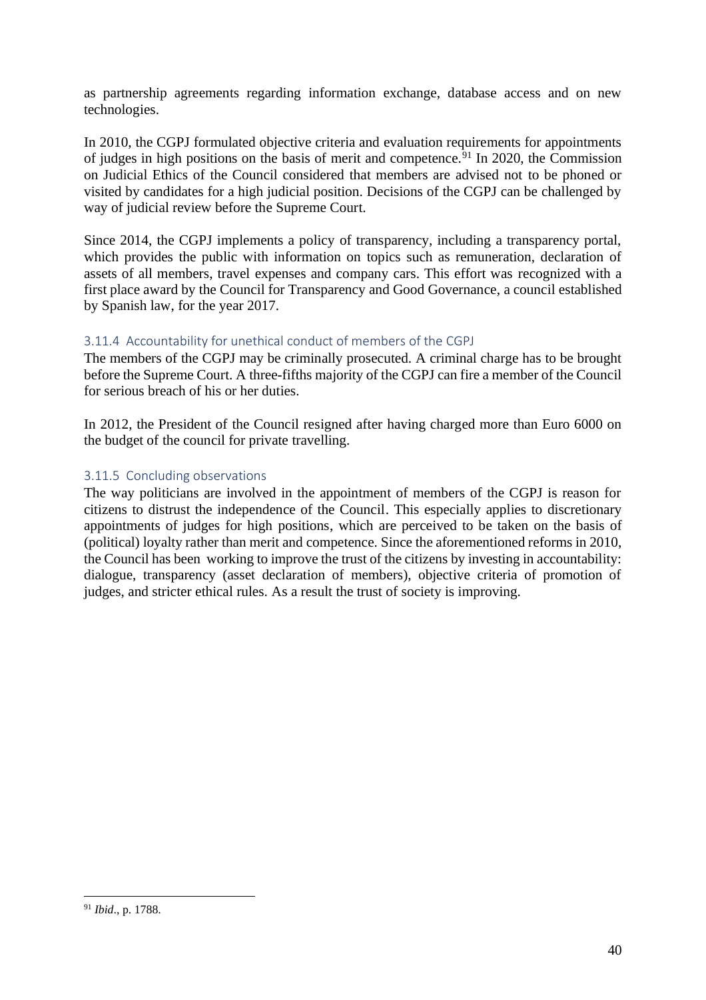as partnership agreements regarding information exchange, database access and on new technologies.

In 2010, the CGPJ formulated objective criteria and evaluation requirements for appointments of judges in high positions on the basis of merit and competence.<sup>91</sup> In 2020, the Commission on Judicial Ethics of the Council considered that members are advised not to be phoned or visited by candidates for a high judicial position. Decisions of the CGPJ can be challenged by way of judicial review before the Supreme Court.

Since 2014, the CGPJ implements a policy of transparency, including a transparency portal, which provides the public with information on topics such as remuneration, declaration of assets of all members, travel expenses and company cars. This effort was recognized with a first place award by the Council for Transparency and Good Governance, a council established by Spanish law, for the year 2017.

# <span id="page-40-0"></span>3.11.4 Accountability for unethical conduct of members of the CGPJ

The members of the CGPJ may be criminally prosecuted. A criminal charge has to be brought before the Supreme Court. A three-fifths majority of the CGPJ can fire a member of the Council for serious breach of his or her duties.

In 2012, the President of the Council resigned after having charged more than Euro 6000 on the budget of the council for private travelling.

# <span id="page-40-1"></span>3.11.5 Concluding observations

The way politicians are involved in the appointment of members of the CGPJ is reason for citizens to distrust the independence of the Council. This especially applies to discretionary appointments of judges for high positions, which are perceived to be taken on the basis of (political) loyalty rather than merit and competence. Since the aforementioned reforms in 2010, the Council has been working to improve the trust of the citizens by investing in accountability: dialogue, transparency (asset declaration of members), objective criteria of promotion of judges, and stricter ethical rules. As a result the trust of society is improving.

<sup>91</sup> *Ibid*., p. 1788.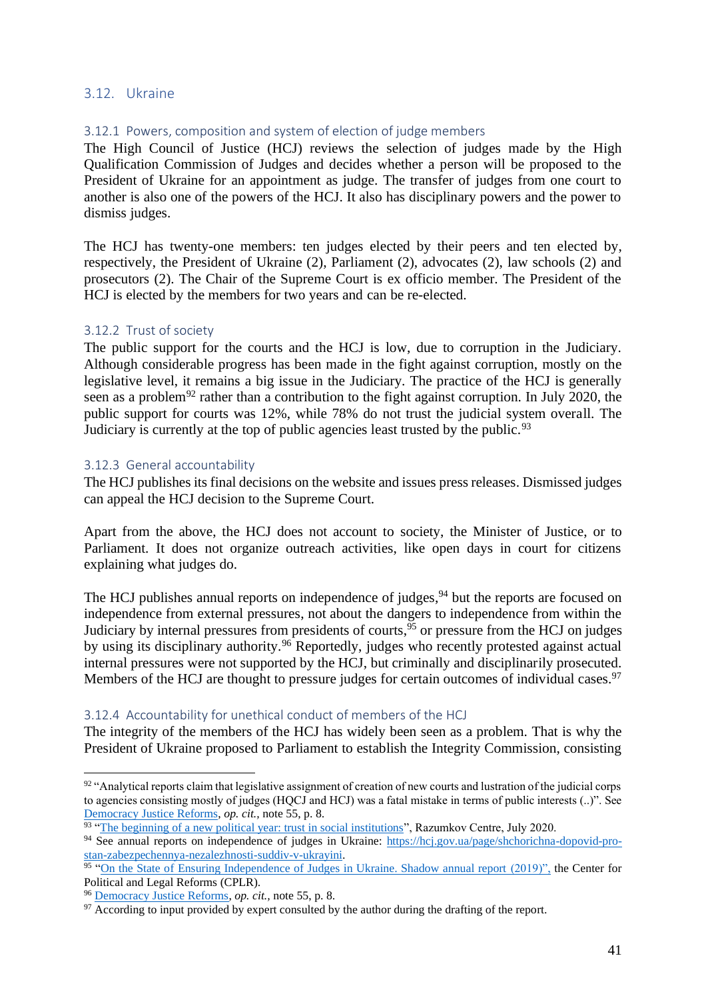#### <span id="page-41-0"></span>3.12. Ukraine

### <span id="page-41-1"></span>3.12.1 Powers, composition and system of election of judge members

The High Council of Justice (HCJ) reviews the selection of judges made by the High Qualification Commission of Judges and decides whether a person will be proposed to the President of Ukraine for an appointment as judge. The transfer of judges from one court to another is also one of the powers of the HCJ. It also has disciplinary powers and the power to dismiss judges.

The HCJ has twenty-one members: ten judges elected by their peers and ten elected by, respectively, the President of Ukraine (2), Parliament (2), advocates (2), law schools (2) and prosecutors (2). The Chair of the Supreme Court is ex officio member. The President of the HCJ is elected by the members for two years and can be re-elected.

#### <span id="page-41-2"></span>3.12.2 Trust of society

The public support for the courts and the HCJ is low, due to corruption in the Judiciary. Although considerable progress has been made in the fight against corruption, mostly on the legislative level, it remains a big issue in the Judiciary. The practice of the HCJ is generally seen as a problem<sup>92</sup> rather than a contribution to the fight against corruption. In July 2020, the public support for courts was 12%, while 78% do not trust the judicial system overall. The Judiciary is currently at the top of public agencies least trusted by the public.<sup>93</sup>

#### <span id="page-41-3"></span>3.12.3 General accountability

The HCJ publishes its final decisions on the website and issues press releases. Dismissed judges can appeal the HCJ decision to the Supreme Court.

Apart from the above, the HCJ does not account to society, the Minister of Justice, or to Parliament. It does not organize outreach activities, like open days in court for citizens explaining what judges do.

The HCJ publishes annual reports on independence of judges,<sup>94</sup> but the reports are focused on independence from external pressures, not about the dangers to independence from within the Judiciary by internal pressures from presidents of courts, <sup>95</sup> or pressure from the HCJ on judges by using its disciplinary authority.<sup>96</sup> Reportedly, judges who recently protested against actual internal pressures were not supported by the HCJ, but criminally and disciplinarily prosecuted. Members of the HCJ are thought to pressure judges for certain outcomes of individual cases.<sup>97</sup>

#### <span id="page-41-4"></span>3.12.4 Accountability for unethical conduct of members of the HCJ

The integrity of the members of the HCJ has widely been seen as a problem. That is why the President of Ukraine proposed to Parliament to establish the Integrity Commission, consisting

 $92$  "Analytical reports claim that legislative assignment of creation of new courts and lustration of the judicial corps to agencies consisting mostly of judges (HQCJ and HCJ) was a fatal mistake in terms of public interests (..)". See [Democracy Justice Reforms,](http://www.en.dejure.foundation/library/judicial-in-dependence) *op. cit.,* note 55, p. 8.

<sup>&</sup>lt;sup>93</sup> ["The beginning of a new political year: trust in social institutions"](http://razumkov.org.ua/napriamky/sotsiologichni-doslidzhennia/pochatok-novogo-politychnogo-roku-dovira-do-sotsialnykh-instytutiv-lypen-2020r), Razumkov Centre, July 2020.

<sup>94</sup> See annual reports on independence of judges in Ukraine: [https://hcj.gov.ua/page/shchorichna-dopovid-pro](https://hcj.gov.ua/page/shchorichna-dopovid-pro-stan-zabezpechennya-nezalezhnosti-suddiv-v-ukrayini)[stan-zabezpechennya-nezalezhnosti-suddiv-v-ukrayini.](https://hcj.gov.ua/page/shchorichna-dopovid-pro-stan-zabezpechennya-nezalezhnosti-suddiv-v-ukrayini)<br><sup>95</sup> ["On the State of Ensuring Independence of Judges in Ukraine. Shadow annual report \(2019\)",](https://pravo.org.ua/ua/about/books/SR_JudjesInd_2019) the Center for

Political and Legal Reforms (CPLR).

<sup>96</sup> [Democracy Justice Reforms,](http://www.en.dejure.foundation/library/judicial-in-dependence) *op. cit.,* note 55, p. 8.

 $\frac{97}{2}$  According to input provided by expert consulted by the author during the drafting of the report.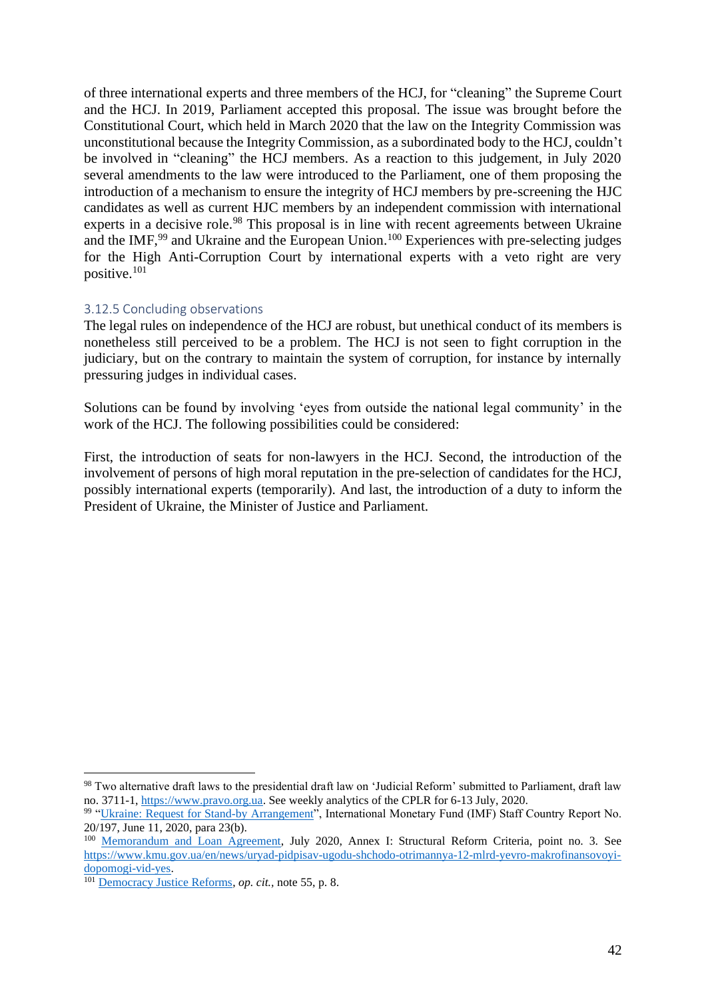of three international experts and three members of the HCJ, for "cleaning" the Supreme Court and the HCJ. In 2019, Parliament accepted this proposal. The issue was brought before the Constitutional Court, which held in March 2020 that the law on the Integrity Commission was unconstitutional because the Integrity Commission, as a subordinated body to the HCJ, couldn't be involved in "cleaning" the HCJ members. As a reaction to this judgement, in July 2020 several amendments to the law were introduced to the Parliament, one of them proposing the introduction of a mechanism to ensure the integrity of HCJ members by pre-screening the HJC candidates as well as current HJC members by an independent commission with international experts in a decisive role.<sup>98</sup> This proposal is in line with recent agreements between Ukraine and the IMF,<sup>99</sup> and Ukraine and the European Union.<sup>100</sup> Experiences with pre-selecting judges for the High Anti-Corruption Court by international experts with a veto right are very positive.<sup>101</sup>

#### <span id="page-42-0"></span>3.12.5 Concluding observations

The legal rules on independence of the HCJ are robust, but unethical conduct of its members is nonetheless still perceived to be a problem. The HCJ is not seen to fight corruption in the judiciary, but on the contrary to maintain the system of corruption, for instance by internally pressuring judges in individual cases.

Solutions can be found by involving 'eyes from outside the national legal community' in the work of the HCJ. The following possibilities could be considered:

First, the introduction of seats for non-lawyers in the HCJ. Second, the introduction of the involvement of persons of high moral reputation in the pre-selection of candidates for the HCJ, possibly international experts (temporarily). And last, the introduction of a duty to inform the President of Ukraine, the Minister of Justice and Parliament.

<sup>98</sup> Two alternative draft laws to the presidential draft law on 'Judicial Reform' submitted to Parliament, draft law no. 3711-1, [https://www.pravo.org.ua.](https://www.pravo.org.ua/) See weekly analytics of the CPLR for 6-13 July, 2020.

<sup>&</sup>lt;sup>99</sup> ["Ukraine: Request for Stand-by Arrangement"](https://www.imf.org/en/Publications/CR/Issues/2020/06/10/Ukraine-Request-for-Stand-by-Arrangement-Press-Release-Staff-Report-and-Statement-by-the-49501), International Monetary Fund (IMF) Staff Country Report No. 20/197, June 11, 2020, para 23(b).

<sup>&</sup>lt;sup>100</sup> [Memorandum and Loan Agreement,](https://ec.europa.eu/info/sites/default/files/economy-finance/ukraine_memorandum_of_understanding_eu_version.pdf) July 2020, Annex I: Structural Reform Criteria, point no. 3. See [https://www.kmu.gov.ua/en/news/uryad-pidpisav-ugodu-shchodo-otrimannya-12-mlrd-yevro-makrofinansovoyi](https://www.kmu.gov.ua/en/news/uryad-pidpisav-ugodu-shchodo-otrimannya-12-mlrd-yevro-makrofinansovoyi-dopomogi-vid-yes)[dopomogi-vid-yes.](https://www.kmu.gov.ua/en/news/uryad-pidpisav-ugodu-shchodo-otrimannya-12-mlrd-yevro-makrofinansovoyi-dopomogi-vid-yes)

<sup>101</sup> [Democracy Justice Reforms,](http://www.en.dejure.foundation/library/judicial-in-dependence) *op. cit.,* note 55, p. 8.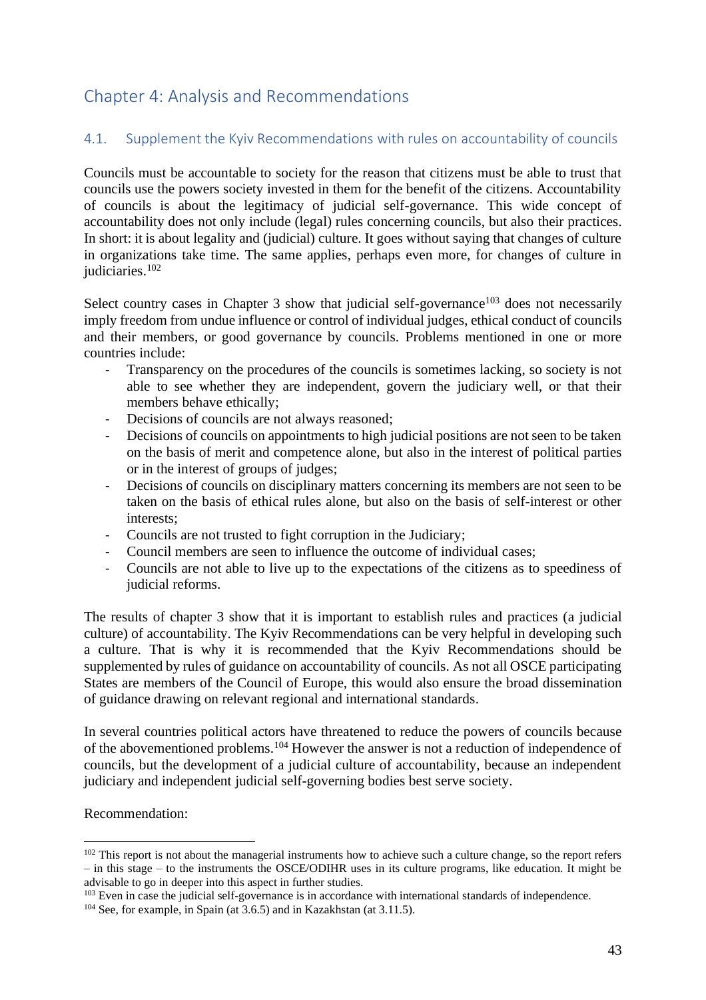# <span id="page-43-0"></span>Chapter 4: Analysis and Recommendations

# <span id="page-43-1"></span>4.1. Supplement the Kyiv Recommendations with rules on accountability of councils

Councils must be accountable to society for the reason that citizens must be able to trust that councils use the powers society invested in them for the benefit of the citizens. Accountability of councils is about the legitimacy of judicial self-governance. This wide concept of accountability does not only include (legal) rules concerning councils, but also their practices. In short: it is about legality and (judicial) culture. It goes without saying that changes of culture in organizations take time. The same applies, perhaps even more, for changes of culture in judiciaries. 102

Select country cases in Chapter 3 show that judicial self-governance<sup>103</sup> does not necessarily imply freedom from undue influence or control of individual judges, ethical conduct of councils and their members, or good governance by councils. Problems mentioned in one or more countries include:

- Transparency on the procedures of the councils is sometimes lacking, so society is not able to see whether they are independent, govern the judiciary well, or that their members behave ethically;
- Decisions of councils are not always reasoned;
- Decisions of councils on appointments to high judicial positions are not seen to be taken on the basis of merit and competence alone, but also in the interest of political parties or in the interest of groups of judges;
- Decisions of councils on disciplinary matters concerning its members are not seen to be taken on the basis of ethical rules alone, but also on the basis of self-interest or other interests;
- Councils are not trusted to fight corruption in the Judiciary;
- Council members are seen to influence the outcome of individual cases;
- Councils are not able to live up to the expectations of the citizens as to speediness of judicial reforms.

The results of chapter 3 show that it is important to establish rules and practices (a judicial culture) of accountability. The Kyiv Recommendations can be very helpful in developing such a culture. That is why it is recommended that the Kyiv Recommendations should be supplemented by rules of guidance on accountability of councils. As not all OSCE participating States are members of the Council of Europe, this would also ensure the broad dissemination of guidance drawing on relevant regional and international standards.

In several countries political actors have threatened to reduce the powers of councils because of the abovementioned problems.<sup>104</sup> However the answer is not a reduction of independence of councils, but the development of a judicial culture of accountability, because an independent judiciary and independent judicial self-governing bodies best serve society.

# Recommendation:

<sup>&</sup>lt;sup>102</sup> This report is not about the managerial instruments how to achieve such a culture change, so the report refers – in this stage – to the instruments the OSCE/ODIHR uses in its culture programs, like education. It might be advisable to go in deeper into this aspect in further studies.

<sup>&</sup>lt;sup>103</sup> Even in case the judicial self-governance is in accordance with international standards of independence.

<sup>104</sup> See, for example, in Spain (at 3.6.5) and in Kazakhstan (at 3.11.5).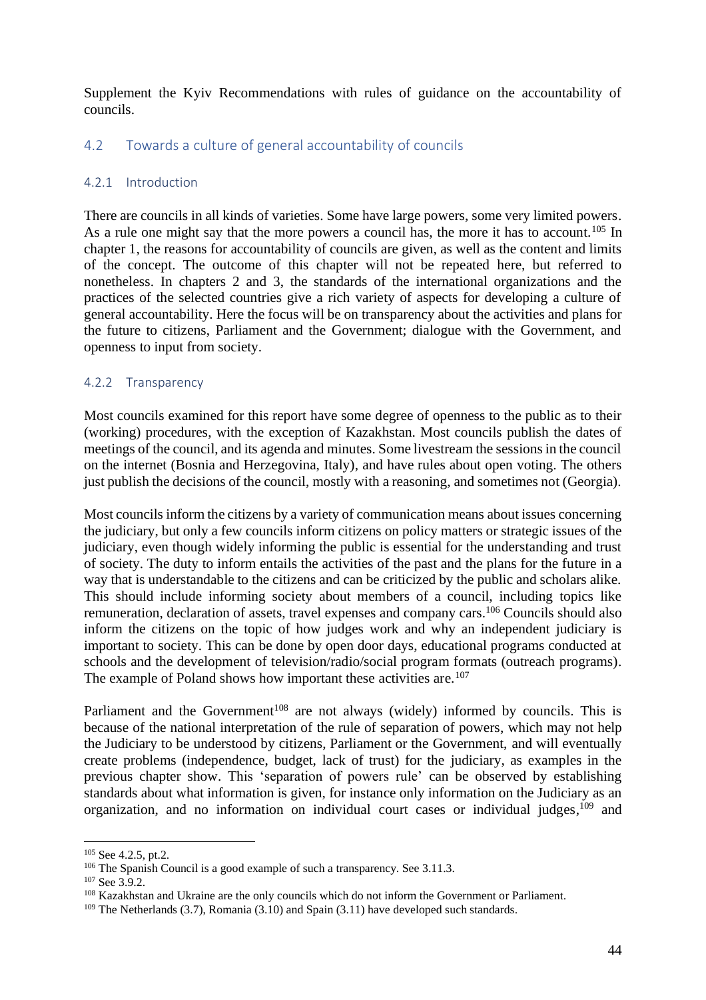Supplement the Kyiv Recommendations with rules of guidance on the accountability of councils.

# <span id="page-44-0"></span>4.2 Towards a culture of general accountability of councils

#### <span id="page-44-1"></span>4.2.1 Introduction

There are councils in all kinds of varieties. Some have large powers, some very limited powers. As a rule one might say that the more powers a council has, the more it has to account.<sup>105</sup> In chapter 1, the reasons for accountability of councils are given, as well as the content and limits of the concept. The outcome of this chapter will not be repeated here, but referred to nonetheless. In chapters 2 and 3, the standards of the international organizations and the practices of the selected countries give a rich variety of aspects for developing a culture of general accountability. Here the focus will be on transparency about the activities and plans for the future to citizens, Parliament and the Government; dialogue with the Government, and openness to input from society.

#### <span id="page-44-2"></span>4.2.2 Transparency

Most councils examined for this report have some degree of openness to the public as to their (working) procedures, with the exception of Kazakhstan. Most councils publish the dates of meetings of the council, and its agenda and minutes. Some livestream the sessions in the council on the internet (Bosnia and Herzegovina, Italy), and have rules about open voting. The others just publish the decisions of the council, mostly with a reasoning, and sometimes not (Georgia).

Most councils inform the citizens by a variety of communication means about issues concerning the judiciary, but only a few councils inform citizens on policy matters or strategic issues of the judiciary, even though widely informing the public is essential for the understanding and trust of society. The duty to inform entails the activities of the past and the plans for the future in a way that is understandable to the citizens and can be criticized by the public and scholars alike. This should include informing society about members of a council, including topics like remuneration, declaration of assets, travel expenses and company cars.<sup>106</sup> Councils should also inform the citizens on the topic of how judges work and why an independent judiciary is important to society. This can be done by open door days, educational programs conducted at schools and the development of television/radio/social program formats (outreach programs). The example of Poland shows how important these activities are.<sup>107</sup>

Parliament and the Government<sup>108</sup> are not always (widely) informed by councils. This is because of the national interpretation of the rule of separation of powers, which may not help the Judiciary to be understood by citizens, Parliament or the Government, and will eventually create problems (independence, budget, lack of trust) for the judiciary, as examples in the previous chapter show. This 'separation of powers rule' can be observed by establishing standards about what information is given, for instance only information on the Judiciary as an organization, and no information on individual court cases or individual judges,<sup>109</sup> and

<sup>105</sup> See 4.2.5, pt.2.

<sup>&</sup>lt;sup>106</sup> The Spanish Council is a good example of such a transparency. See 3.11.3.

 $107$  See 3.9.2.

<sup>&</sup>lt;sup>108</sup> Kazakhstan and Ukraine are the only councils which do not inform the Government or Parliament.

<sup>&</sup>lt;sup>109</sup> The Netherlands (3.7), Romania (3.10) and Spain (3.11) have developed such standards.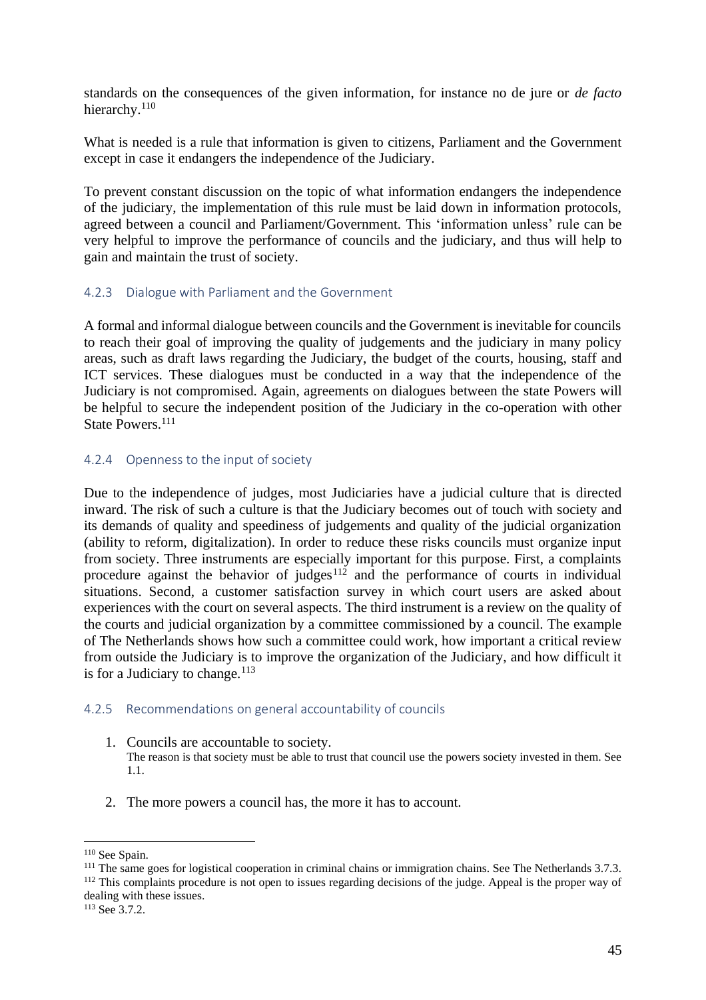standards on the consequences of the given information, for instance no de jure or *de facto* hierarchy.<sup>110</sup>

What is needed is a rule that information is given to citizens, Parliament and the Government except in case it endangers the independence of the Judiciary.

To prevent constant discussion on the topic of what information endangers the independence of the judiciary, the implementation of this rule must be laid down in information protocols, agreed between a council and Parliament/Government. This 'information unless' rule can be very helpful to improve the performance of councils and the judiciary, and thus will help to gain and maintain the trust of society.

#### <span id="page-45-0"></span>4.2.3 Dialogue with Parliament and the Government

A formal and informal dialogue between councils and the Government is inevitable for councils to reach their goal of improving the quality of judgements and the judiciary in many policy areas, such as draft laws regarding the Judiciary, the budget of the courts, housing, staff and ICT services. These dialogues must be conducted in a way that the independence of the Judiciary is not compromised. Again, agreements on dialogues between the state Powers will be helpful to secure the independent position of the Judiciary in the co-operation with other State Powers.<sup>111</sup>

#### <span id="page-45-1"></span>4.2.4 Openness to the input of society

Due to the independence of judges, most Judiciaries have a judicial culture that is directed inward. The risk of such a culture is that the Judiciary becomes out of touch with society and its demands of quality and speediness of judgements and quality of the judicial organization (ability to reform, digitalization). In order to reduce these risks councils must organize input from society. Three instruments are especially important for this purpose. First, a complaints procedure against the behavior of judges $112$  and the performance of courts in individual situations. Second, a customer satisfaction survey in which court users are asked about experiences with the court on several aspects. The third instrument is a review on the quality of the courts and judicial organization by a committee commissioned by a council. The example of The Netherlands shows how such a committee could work, how important a critical review from outside the Judiciary is to improve the organization of the Judiciary, and how difficult it is for a Judiciary to change.<sup>113</sup>

#### <span id="page-45-2"></span>4.2.5 Recommendations on general accountability of councils

- 1. Councils are accountable to society. The reason is that society must be able to trust that council use the powers society invested in them. See 1.1.
- 2. The more powers a council has, the more it has to account.

<sup>110</sup> See Spain.

<sup>&</sup>lt;sup>111</sup> The same goes for logistical cooperation in criminal chains or immigration chains. See The Netherlands 3.7.3. <sup>112</sup> This complaints procedure is not open to issues regarding decisions of the judge. Appeal is the proper way of

dealing with these issues.

<sup>113</sup> See 3.7.2.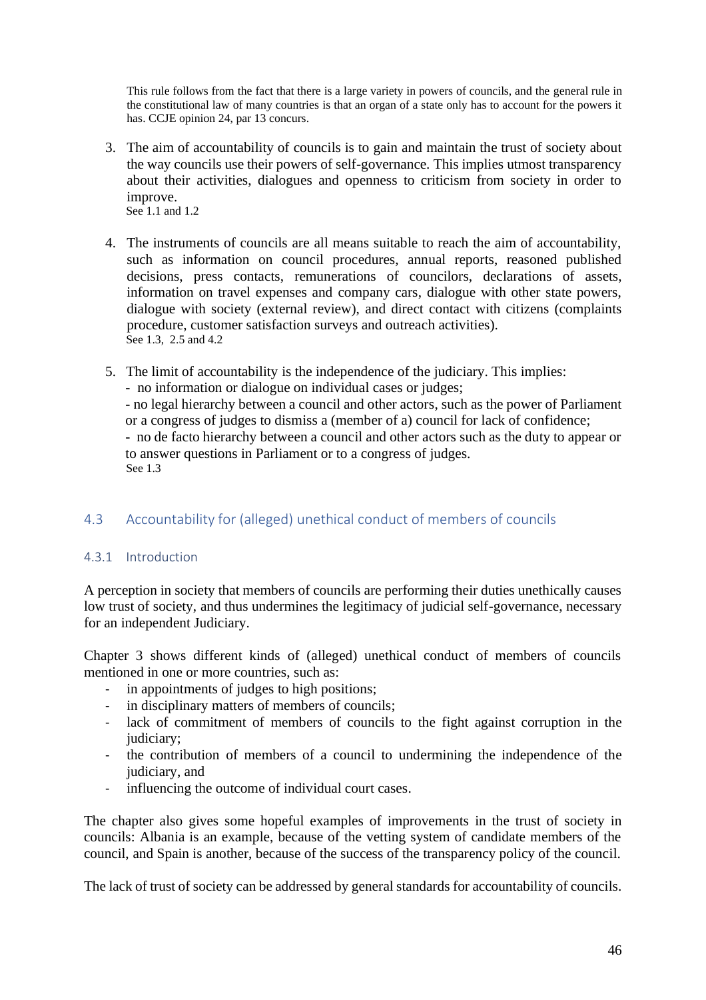This rule follows from the fact that there is a large variety in powers of councils, and the general rule in the constitutional law of many countries is that an organ of a state only has to account for the powers it has. CCJE opinion 24, par 13 concurs.

3. The aim of accountability of councils is to gain and maintain the trust of society about the way councils use their powers of self-governance. This implies utmost transparency about their activities, dialogues and openness to criticism from society in order to improve.

See 1.1 and 1.2

- 4. The instruments of councils are all means suitable to reach the aim of accountability, such as information on council procedures, annual reports, reasoned published decisions, press contacts, remunerations of councilors, declarations of assets, information on travel expenses and company cars, dialogue with other state powers, dialogue with society (external review), and direct contact with citizens (complaints procedure, customer satisfaction surveys and outreach activities). See 1.3, 2.5 and 4.2
- 5. The limit of accountability is the independence of the judiciary. This implies: - no information or dialogue on individual cases or judges; - no legal hierarchy between a council and other actors, such as the power of Parliament or a congress of judges to dismiss a (member of a) council for lack of confidence; - no de facto hierarchy between a council and other actors such as the duty to appear or to answer questions in Parliament or to a congress of judges. See 1.3

# <span id="page-46-0"></span>4.3 Accountability for (alleged) unethical conduct of members of councils

# <span id="page-46-1"></span>4.3.1 Introduction

A perception in society that members of councils are performing their duties unethically causes low trust of society, and thus undermines the legitimacy of judicial self-governance, necessary for an independent Judiciary.

Chapter 3 shows different kinds of (alleged) unethical conduct of members of councils mentioned in one or more countries, such as:

- in appointments of judges to high positions;
- in disciplinary matters of members of councils;
- lack of commitment of members of councils to the fight against corruption in the judiciary:
- the contribution of members of a council to undermining the independence of the judiciary, and
- influencing the outcome of individual court cases.

The chapter also gives some hopeful examples of improvements in the trust of society in councils: Albania is an example, because of the vetting system of candidate members of the council, and Spain is another, because of the success of the transparency policy of the council.

The lack of trust of society can be addressed by general standards for accountability of councils.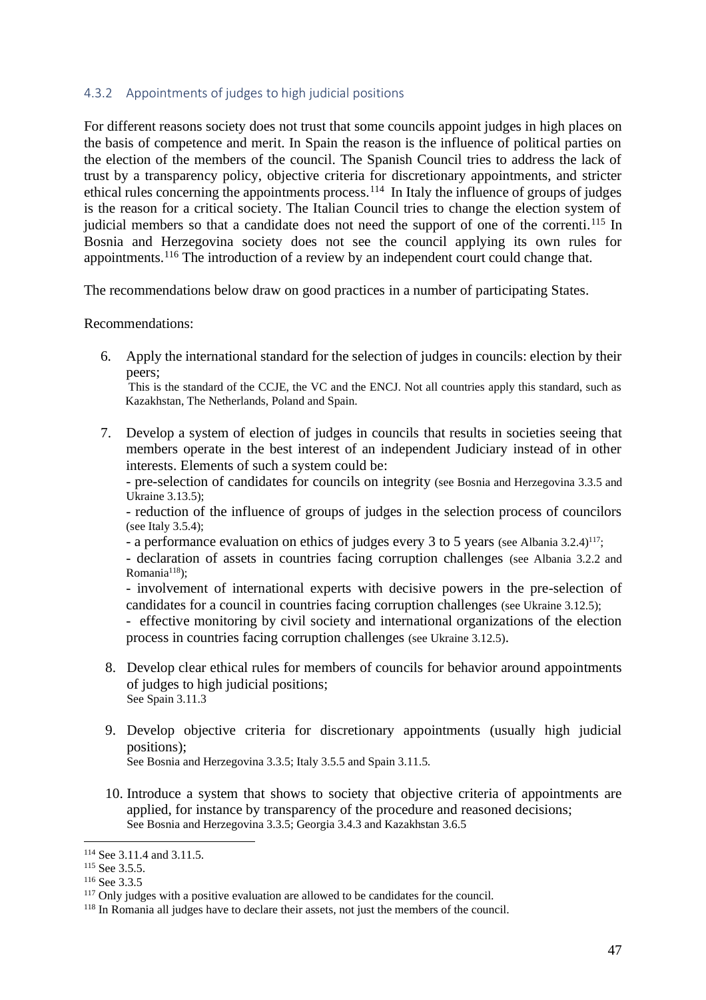#### <span id="page-47-0"></span>4.3.2 Appointments of judges to high judicial positions

For different reasons society does not trust that some councils appoint judges in high places on the basis of competence and merit. In Spain the reason is the influence of political parties on the election of the members of the council. The Spanish Council tries to address the lack of trust by a transparency policy, objective criteria for discretionary appointments, and stricter ethical rules concerning the appointments process.<sup>114</sup> In Italy the influence of groups of judges is the reason for a critical society. The Italian Council tries to change the election system of judicial members so that a candidate does not need the support of one of the correnti.<sup>115</sup> In Bosnia and Herzegovina society does not see the council applying its own rules for appointments.<sup>116</sup> The introduction of a review by an independent court could change that.

The recommendations below draw on good practices in a number of participating States.

Recommendations:

6. Apply the international standard for the selection of judges in councils: election by their peers;

This is the standard of the CCJE, the VC and the ENCJ. Not all countries apply this standard, such as Kazakhstan, The Netherlands, Poland and Spain.

7. Develop a system of election of judges in councils that results in societies seeing that members operate in the best interest of an independent Judiciary instead of in other interests. Elements of such a system could be:

- pre-selection of candidates for councils on integrity (see Bosnia and Herzegovina 3.3.5 and Ukraine 3.13.5);

- reduction of the influence of groups of judges in the selection process of councilors (see Italy 3.5.4);

- a performance evaluation on ethics of judges every 3 to 5 years (see Albania 3.2.4)<sup>117</sup>;

- declaration of assets in countries facing corruption challenges (see Albania 3.2.2 and Romania<sup>118</sup>);

- involvement of international experts with decisive powers in the pre-selection of candidates for a council in countries facing corruption challenges (see Ukraine 3.12.5);

- effective monitoring by civil society and international organizations of the election process in countries facing corruption challenges (see Ukraine 3.12.5).

- 8. Develop clear ethical rules for members of councils for behavior around appointments of judges to high judicial positions; See Spain 3.11.3
- 9. Develop objective criteria for discretionary appointments (usually high judicial positions);
	- See Bosnia and Herzegovina 3.3.5; Italy 3.5.5 and Spain 3.11.5.
- 10. Introduce a system that shows to society that objective criteria of appointments are applied, for instance by transparency of the procedure and reasoned decisions; See Bosnia and Herzegovina 3.3.5; Georgia 3.4.3 and Kazakhstan 3.6.5

<sup>114</sup> See 3.11.4 and 3.11.5.

<sup>&</sup>lt;sup>115</sup> See 3.5.5.

<sup>116</sup> See 3.3.5

<sup>&</sup>lt;sup>117</sup> Only judges with a positive evaluation are allowed to be candidates for the council.

<sup>&</sup>lt;sup>118</sup> In Romania all judges have to declare their assets, not just the members of the council.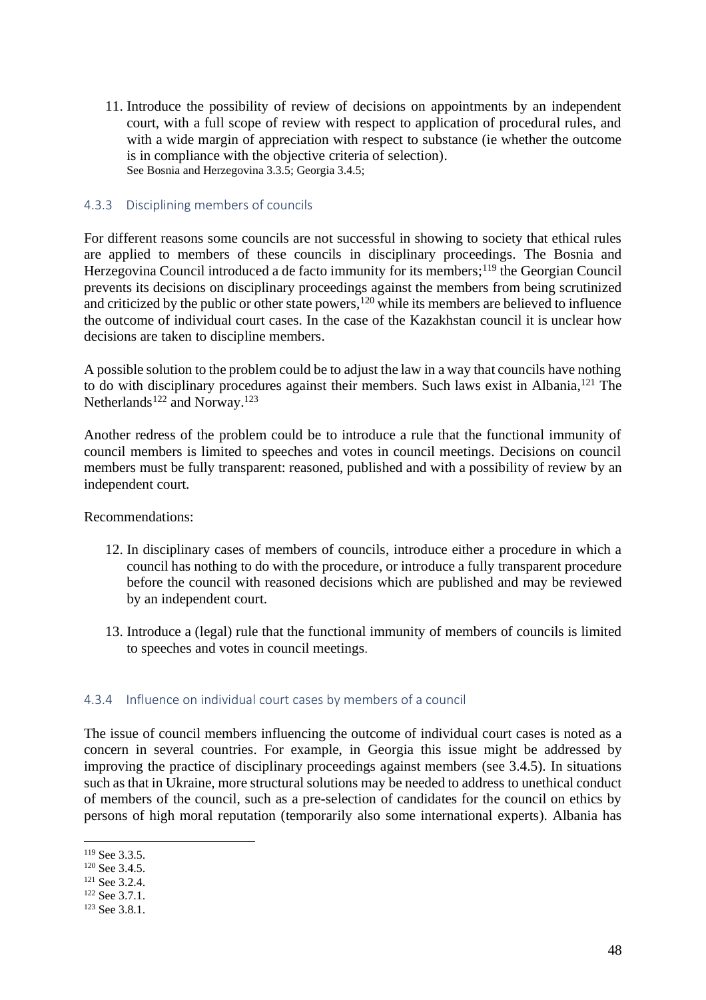11. Introduce the possibility of review of decisions on appointments by an independent court, with a full scope of review with respect to application of procedural rules, and with a wide margin of appreciation with respect to substance (ie whether the outcome is in compliance with the objective criteria of selection). See Bosnia and Herzegovina 3.3.5; Georgia 3.4.5;

#### <span id="page-48-0"></span>4.3.3 Disciplining members of councils

For different reasons some councils are not successful in showing to society that ethical rules are applied to members of these councils in disciplinary proceedings. The Bosnia and Herzegovina Council introduced a de facto immunity for its members;<sup>119</sup> the Georgian Council prevents its decisions on disciplinary proceedings against the members from being scrutinized and criticized by the public or other state powers,<sup>120</sup> while its members are believed to influence the outcome of individual court cases. In the case of the Kazakhstan council it is unclear how decisions are taken to discipline members.

A possible solution to the problem could be to adjust the law in a way that councils have nothing to do with disciplinary procedures against their members. Such laws exist in Albania,<sup>121</sup> The Netherlands<sup>122</sup> and Norway.<sup>123</sup>

Another redress of the problem could be to introduce a rule that the functional immunity of council members is limited to speeches and votes in council meetings. Decisions on council members must be fully transparent: reasoned, published and with a possibility of review by an independent court.

Recommendations:

- 12. In disciplinary cases of members of councils, introduce either a procedure in which a council has nothing to do with the procedure, or introduce a fully transparent procedure before the council with reasoned decisions which are published and may be reviewed by an independent court.
- 13. Introduce a (legal) rule that the functional immunity of members of councils is limited to speeches and votes in council meetings.

# <span id="page-48-1"></span>4.3.4 Influence on individual court cases by members of a council

The issue of council members influencing the outcome of individual court cases is noted as a concern in several countries. For example, in Georgia this issue might be addressed by improving the practice of disciplinary proceedings against members (see 3.4.5). In situations such as that in Ukraine, more structural solutions may be needed to address to unethical conduct of members of the council, such as a pre-selection of candidates for the council on ethics by persons of high moral reputation (temporarily also some international experts). Albania has

<sup>119</sup> See 3.3.5.

<sup>&</sup>lt;sup>120</sup> See 3.4.5.

<sup>121</sup> See 3.2.4.

<sup>122</sup> See 3.7.1.

<sup>&</sup>lt;sup>123</sup> See 3.8.1.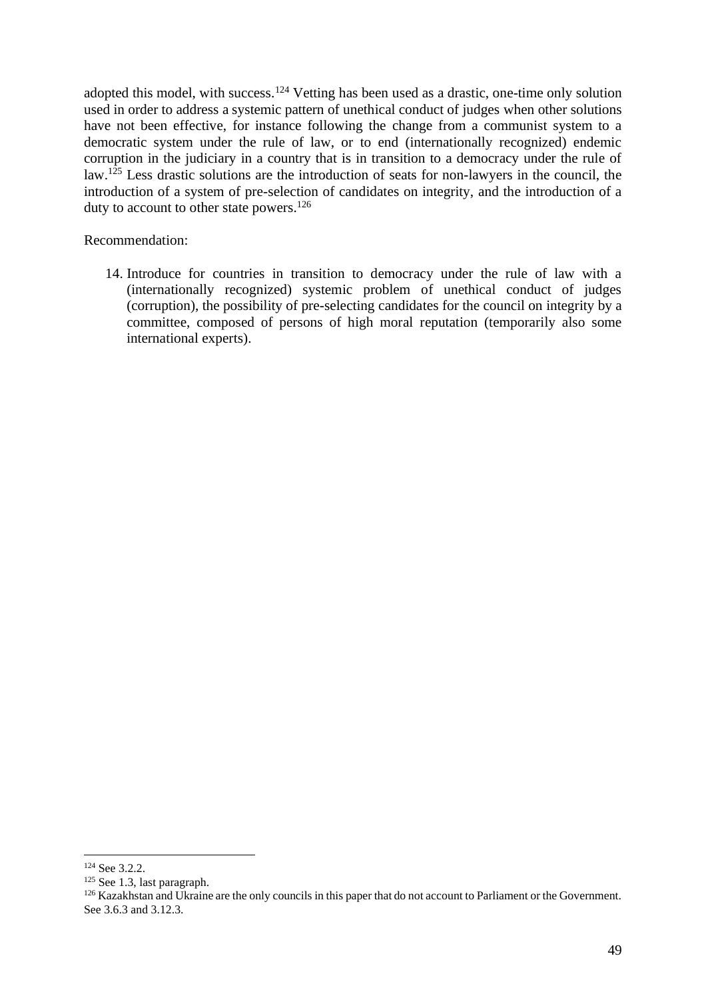adopted this model, with success.<sup>124</sup> Vetting has been used as a drastic, one-time only solution used in order to address a systemic pattern of unethical conduct of judges when other solutions have not been effective, for instance following the change from a communist system to a democratic system under the rule of law, or to end (internationally recognized) endemic corruption in the judiciary in a country that is in transition to a democracy under the rule of law.<sup>125</sup> Less drastic solutions are the introduction of seats for non-lawyers in the council, the introduction of a system of pre-selection of candidates on integrity, and the introduction of a duty to account to other state powers.<sup>126</sup>

#### Recommendation:

14. Introduce for countries in transition to democracy under the rule of law with a (internationally recognized) systemic problem of unethical conduct of judges (corruption), the possibility of pre-selecting candidates for the council on integrity by a committee, composed of persons of high moral reputation (temporarily also some international experts).

<sup>124</sup> See 3.2.2.

<sup>125</sup> See 1.3, last paragraph.

<sup>&</sup>lt;sup>126</sup> Kazakhstan and Ukraine are the only councils in this paper that do not account to Parliament or the Government. See 3.6.3 and 3.12.3.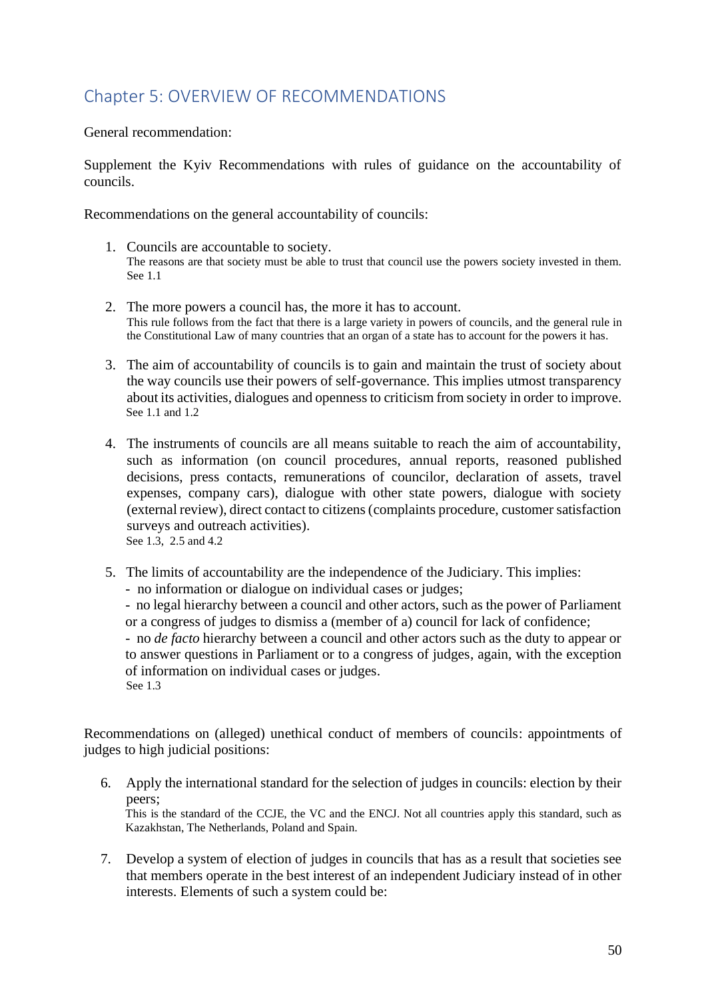# <span id="page-50-0"></span>Chapter 5: OVERVIEW OF RECOMMENDATIONS

General recommendation:

Supplement the Kyiv Recommendations with rules of guidance on the accountability of councils.

Recommendations on the general accountability of councils:

- 1. Councils are accountable to society. The reasons are that society must be able to trust that council use the powers society invested in them. See 1.1
- 2. The more powers a council has, the more it has to account. This rule follows from the fact that there is a large variety in powers of councils, and the general rule in the Constitutional Law of many countries that an organ of a state has to account for the powers it has.
- 3. The aim of accountability of councils is to gain and maintain the trust of society about the way councils use their powers of self-governance. This implies utmost transparency about its activities, dialogues and openness to criticism from society in order to improve. See 1.1 and 1.2
- 4. The instruments of councils are all means suitable to reach the aim of accountability, such as information (on council procedures, annual reports, reasoned published decisions, press contacts, remunerations of councilor, declaration of assets, travel expenses, company cars), dialogue with other state powers, dialogue with society (external review), direct contact to citizens (complaints procedure, customer satisfaction surveys and outreach activities). See 1.3, 2.5 and 4.2
- 5. The limits of accountability are the independence of the Judiciary. This implies:
	- no information or dialogue on individual cases or judges;

- no legal hierarchy between a council and other actors, such as the power of Parliament or a congress of judges to dismiss a (member of a) council for lack of confidence;

- no *de facto* hierarchy between a council and other actors such as the duty to appear or to answer questions in Parliament or to a congress of judges, again, with the exception of information on individual cases or judges. See 1.3

Recommendations on (alleged) unethical conduct of members of councils: appointments of judges to high judicial positions:

6. Apply the international standard for the selection of judges in councils: election by their peers;

This is the standard of the CCJE, the VC and the ENCJ. Not all countries apply this standard, such as Kazakhstan, The Netherlands, Poland and Spain.

7. Develop a system of election of judges in councils that has as a result that societies see that members operate in the best interest of an independent Judiciary instead of in other interests. Elements of such a system could be: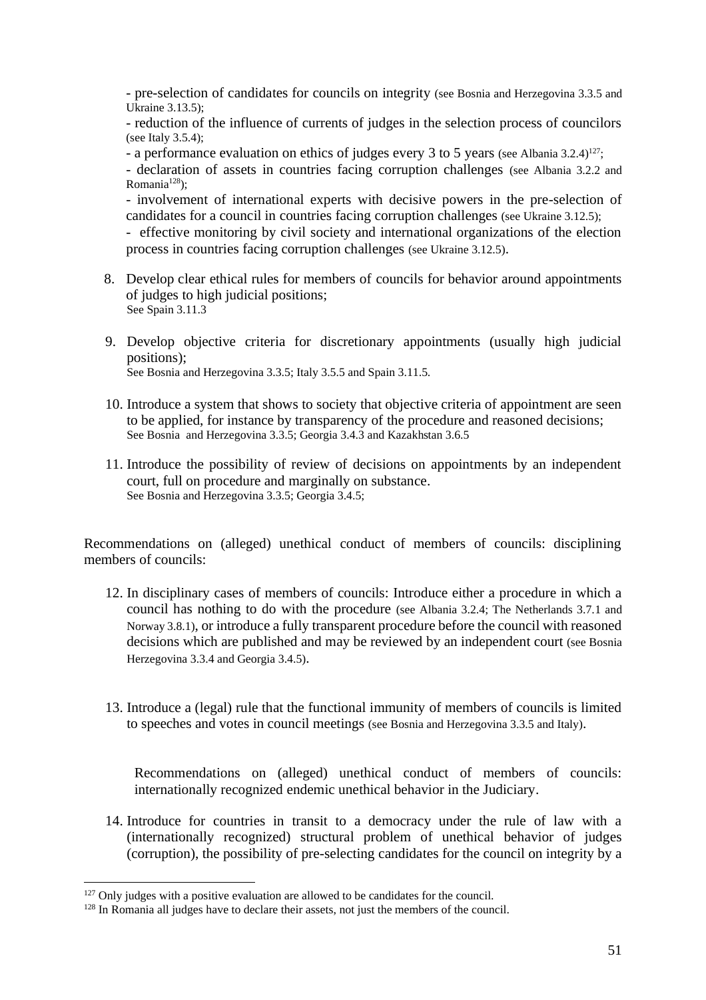- pre-selection of candidates for councils on integrity (see Bosnia and Herzegovina 3.3.5 and Ukraine 3.13.5);

- reduction of the influence of currents of judges in the selection process of councilors (see Italy 3.5.4);

- a performance evaluation on ethics of judges every 3 to 5 years (see Albania 3.2.4)<sup>127</sup>;

- declaration of assets in countries facing corruption challenges (see Albania 3.2.2 and Romania $128$ ):

- involvement of international experts with decisive powers in the pre-selection of candidates for a council in countries facing corruption challenges (see Ukraine 3.12.5);

- effective monitoring by civil society and international organizations of the election process in countries facing corruption challenges (see Ukraine 3.12.5).

- 8. Develop clear ethical rules for members of councils for behavior around appointments of judges to high judicial positions; See Spain 3.11.3
- 9. Develop objective criteria for discretionary appointments (usually high judicial positions);

See Bosnia and Herzegovina 3.3.5; Italy 3.5.5 and Spain 3.11.5.

- 10. Introduce a system that shows to society that objective criteria of appointment are seen to be applied, for instance by transparency of the procedure and reasoned decisions; See Bosnia and Herzegovina 3.3.5; Georgia 3.4.3 and Kazakhstan 3.6.5
- 11. Introduce the possibility of review of decisions on appointments by an independent court, full on procedure and marginally on substance. See Bosnia and Herzegovina 3.3.5; Georgia 3.4.5;

Recommendations on (alleged) unethical conduct of members of councils: disciplining members of councils:

- 12. In disciplinary cases of members of councils: Introduce either a procedure in which a council has nothing to do with the procedure (see Albania 3.2.4; The Netherlands 3.7.1 and Norway 3.8.1), or introduce a fully transparent procedure before the council with reasoned decisions which are published and may be reviewed by an independent court (see Bosnia Herzegovina 3.3.4 and Georgia 3.4.5).
- 13. Introduce a (legal) rule that the functional immunity of members of councils is limited to speeches and votes in council meetings (see Bosnia and Herzegovina 3.3.5 and Italy).

Recommendations on (alleged) unethical conduct of members of councils: internationally recognized endemic unethical behavior in the Judiciary.

14. Introduce for countries in transit to a democracy under the rule of law with a (internationally recognized) structural problem of unethical behavior of judges (corruption), the possibility of pre-selecting candidates for the council on integrity by a

<sup>&</sup>lt;sup>127</sup> Only judges with a positive evaluation are allowed to be candidates for the council.

<sup>&</sup>lt;sup>128</sup> In Romania all judges have to declare their assets, not just the members of the council.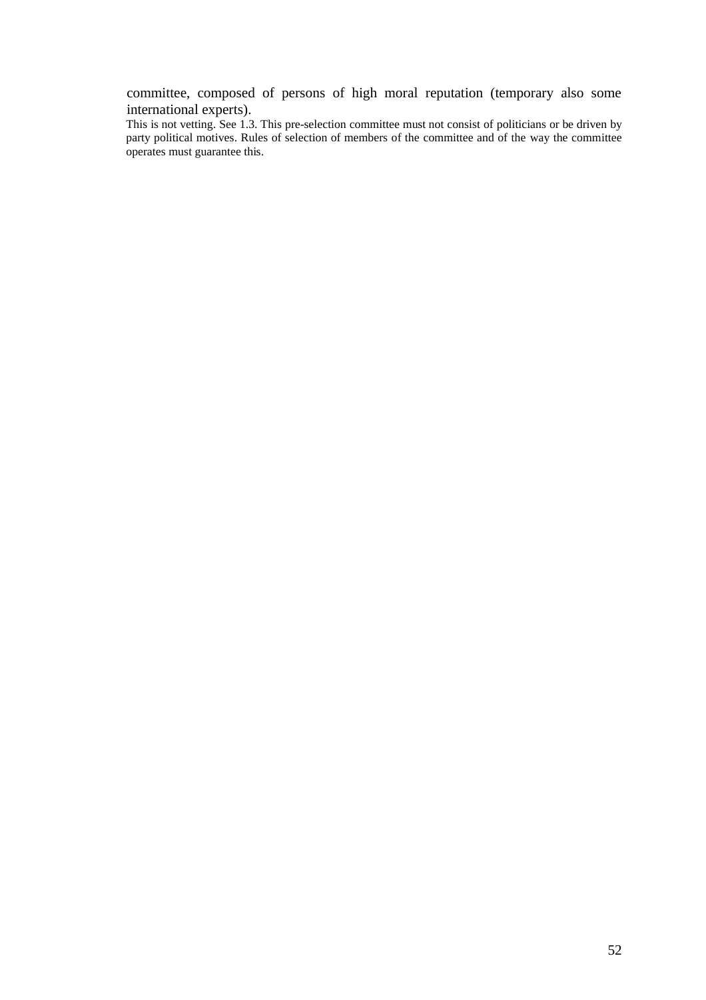committee, composed of persons of high moral reputation (temporary also some international experts).

This is not vetting. See 1.3. This pre-selection committee must not consist of politicians or be driven by party political motives. Rules of selection of members of the committee and of the way the committee operates must guarantee this.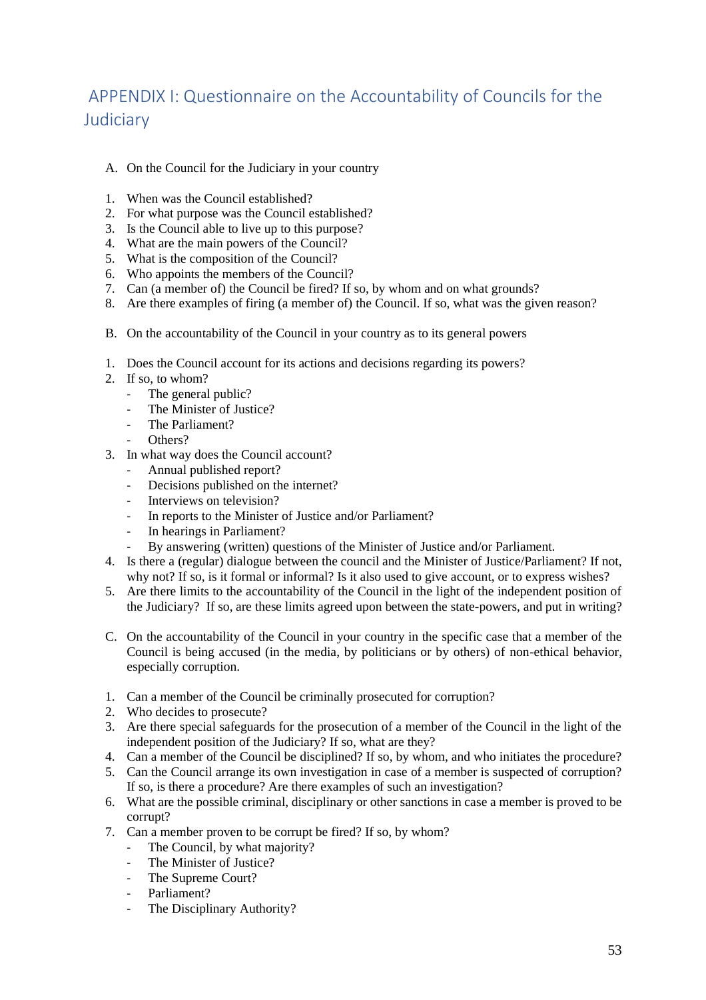# <span id="page-53-0"></span>APPENDIX I: Questionnaire on the Accountability of Councils for the Judiciary

- A. On the Council for the Judiciary in your country
- 1. When was the Council established?
- 2. For what purpose was the Council established?
- 3. Is the Council able to live up to this purpose?
- 4. What are the main powers of the Council?
- 5. What is the composition of the Council?
- 6. Who appoints the members of the Council?
- 7. Can (a member of) the Council be fired? If so, by whom and on what grounds?
- 8. Are there examples of firing (a member of) the Council. If so, what was the given reason?
- B. On the accountability of the Council in your country as to its general powers
- 1. Does the Council account for its actions and decisions regarding its powers?
- 2. If so, to whom?
	- The general public?
	- The Minister of Justice?
	- The Parliament?
	- Others?
- 3. In what way does the Council account?
	- Annual published report?
	- Decisions published on the internet?
	- Interviews on television?
	- In reports to the Minister of Justice and/or Parliament?
	- In hearings in Parliament?
	- By answering (written) questions of the Minister of Justice and/or Parliament.
- 4. Is there a (regular) dialogue between the council and the Minister of Justice/Parliament? If not, why not? If so, is it formal or informal? Is it also used to give account, or to express wishes?
- 5. Are there limits to the accountability of the Council in the light of the independent position of the Judiciary? If so, are these limits agreed upon between the state-powers, and put in writing?
- C. On the accountability of the Council in your country in the specific case that a member of the Council is being accused (in the media, by politicians or by others) of non-ethical behavior, especially corruption.
- 1. Can a member of the Council be criminally prosecuted for corruption?
- 2. Who decides to prosecute?
- 3. Are there special safeguards for the prosecution of a member of the Council in the light of the independent position of the Judiciary? If so, what are they?
- 4. Can a member of the Council be disciplined? If so, by whom, and who initiates the procedure?
- 5. Can the Council arrange its own investigation in case of a member is suspected of corruption? If so, is there a procedure? Are there examples of such an investigation?
- 6. What are the possible criminal, disciplinary or other sanctions in case a member is proved to be corrupt?
- 7. Can a member proven to be corrupt be fired? If so, by whom?
	- The Council, by what majority?
	- The Minister of Justice?
	- The Supreme Court?
	- Parliament?
	- The Disciplinary Authority?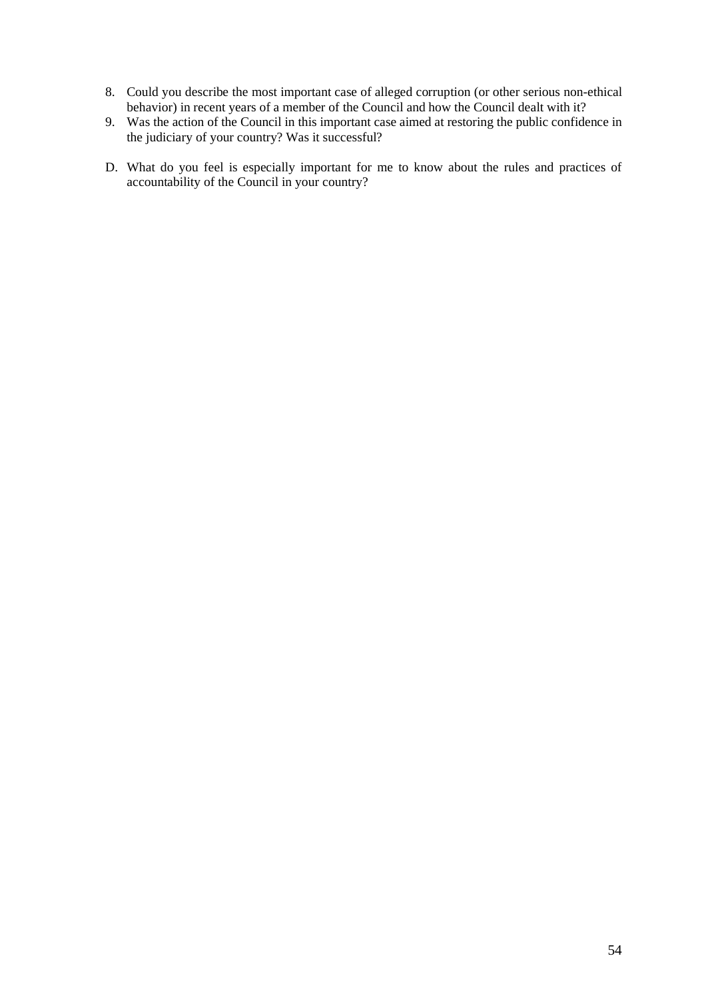- 8. Could you describe the most important case of alleged corruption (or other serious non-ethical behavior) in recent years of a member of the Council and how the Council dealt with it?
- 9. Was the action of the Council in this important case aimed at restoring the public confidence in the judiciary of your country? Was it successful?
- D. What do you feel is especially important for me to know about the rules and practices of accountability of the Council in your country?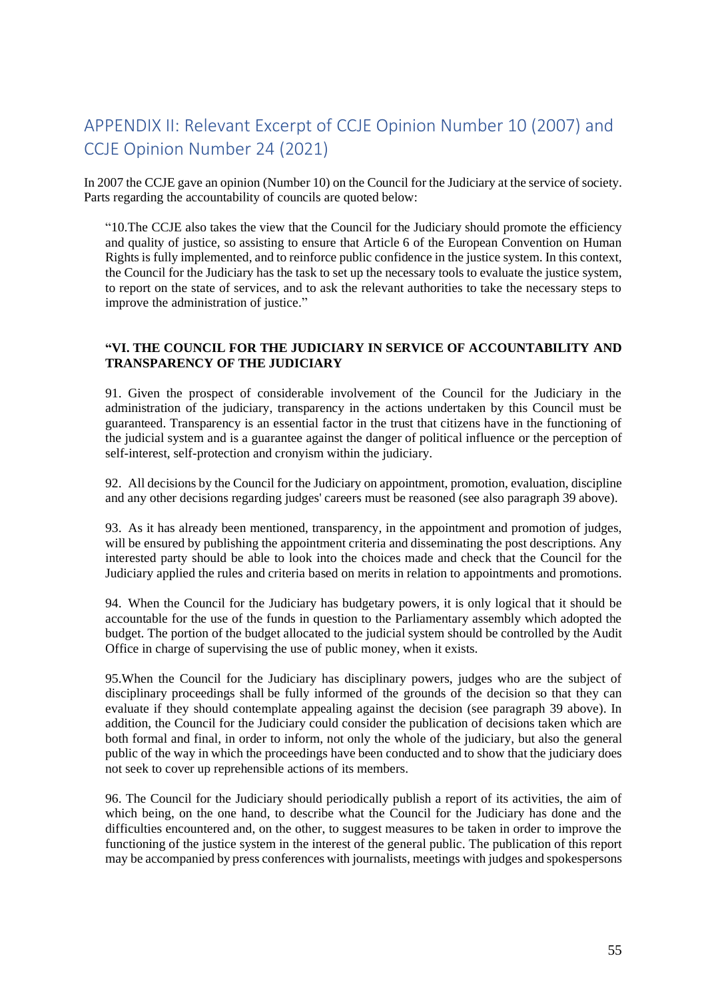# <span id="page-55-0"></span>APPENDIX II: Relevant Excerpt of CCJE Opinion Number 10 (2007) and CCJE Opinion Number 24 (2021)

In 2007 the CCJE gave an opinion (Number 10) on the Council for the Judiciary at the service of society. Parts regarding the accountability of councils are quoted below:

"10.The CCJE also takes the view that the Council for the Judiciary should promote the efficiency and quality of justice, so assisting to ensure that Article 6 of the European Convention on Human Rights is fully implemented, and to reinforce public confidence in the justice system. In this context, the Council for the Judiciary has the task to set up the necessary tools to evaluate the justice system, to report on the state of services, and to ask the relevant authorities to take the necessary steps to improve the administration of justice."

#### **"VI. THE COUNCIL FOR THE JUDICIARY IN SERVICE OF ACCOUNTABILITY AND TRANSPARENCY OF THE JUDICIARY**

91. Given the prospect of considerable involvement of the Council for the Judiciary in the administration of the judiciary, transparency in the actions undertaken by this Council must be guaranteed. Transparency is an essential factor in the trust that citizens have in the functioning of the judicial system and is a guarantee against the danger of political influence or the perception of self-interest, self-protection and cronyism within the judiciary.

92. All decisions by the Council for the Judiciary on appointment, promotion, evaluation, discipline and any other decisions regarding judges' careers must be reasoned (see also paragraph 39 above).

93. As it has already been mentioned, transparency, in the appointment and promotion of judges, will be ensured by publishing the appointment criteria and disseminating the post descriptions. Any interested party should be able to look into the choices made and check that the Council for the Judiciary applied the rules and criteria based on merits in relation to appointments and promotions.

94. When the Council for the Judiciary has budgetary powers, it is only logical that it should be accountable for the use of the funds in question to the Parliamentary assembly which adopted the budget. The portion of the budget allocated to the judicial system should be controlled by the Audit Office in charge of supervising the use of public money, when it exists.

95.When the Council for the Judiciary has disciplinary powers, judges who are the subject of disciplinary proceedings shall be fully informed of the grounds of the decision so that they can evaluate if they should contemplate appealing against the decision (see paragraph 39 above). In addition, the Council for the Judiciary could consider the publication of decisions taken which are both formal and final, in order to inform, not only the whole of the judiciary, but also the general public of the way in which the proceedings have been conducted and to show that the judiciary does not seek to cover up reprehensible actions of its members.

96. The Council for the Judiciary should periodically publish a report of its activities, the aim of which being, on the one hand, to describe what the Council for the Judiciary has done and the difficulties encountered and, on the other, to suggest measures to be taken in order to improve the functioning of the justice system in the interest of the general public. The publication of this report may be accompanied by press conferences with journalists, meetings with judges and spokespersons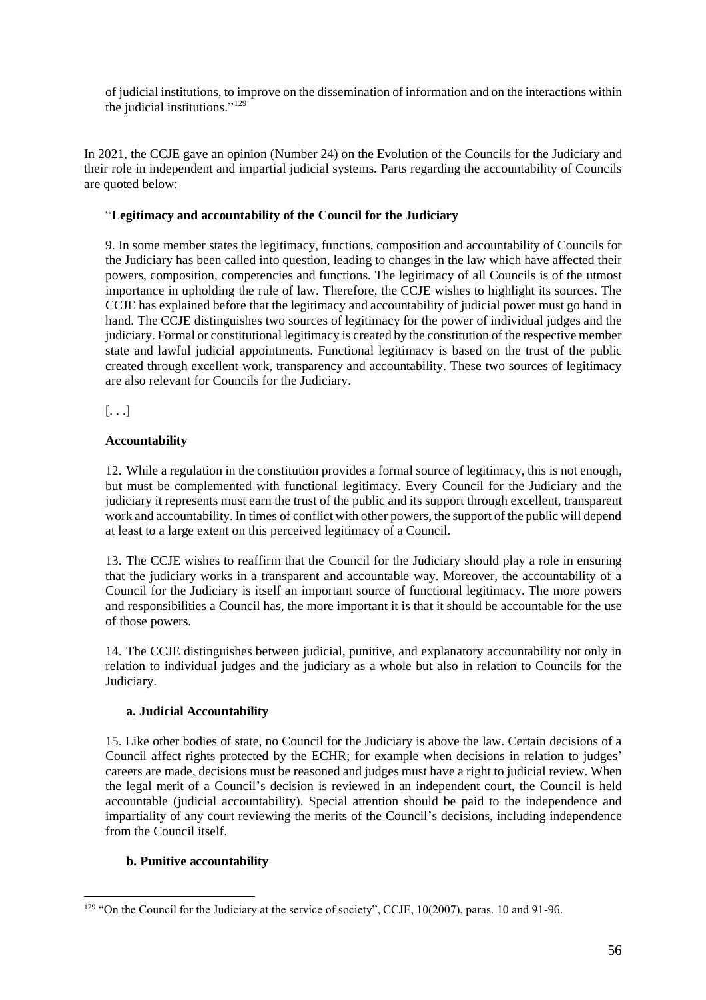of judicial institutions, to improve on the dissemination of information and on the interactions within the judicial institutions." 129

In 2021, the CCJE gave an opinion (Number 24) on the Evolution of the Councils for the Judiciary and their role in independent and impartial judicial systems**.** Parts regarding the accountability of Councils are quoted below:

#### "**Legitimacy and accountability of the Council for the Judiciary**

9. In some member states the legitimacy, functions, composition and accountability of Councils for the Judiciary has been called into question, leading to changes in the law which have affected their powers, composition, competencies and functions. The legitimacy of all Councils is of the utmost importance in upholding the rule of law. Therefore, the CCJE wishes to highlight its sources. The CCJE has explained before that the legitimacy and accountability of judicial power must go hand in hand. The CCJE distinguishes two sources of legitimacy for the power of individual judges and the judiciary. Formal or constitutional legitimacy is created by the constitution of the respective member state and lawful judicial appointments. Functional legitimacy is based on the trust of the public created through excellent work, transparency and accountability. These two sources of legitimacy are also relevant for Councils for the Judiciary.

[. . .]

#### **Accountability**

12. While a regulation in the constitution provides a formal source of legitimacy, this is not enough, but must be complemented with functional legitimacy. Every Council for the Judiciary and the judiciary it represents must earn the trust of the public and its support through excellent, transparent work and accountability. In times of conflict with other powers, the support of the public will depend at least to a large extent on this perceived legitimacy of a Council.

13. The CCJE wishes to reaffirm that the Council for the Judiciary should play a role in ensuring that the judiciary works in a transparent and accountable way. Moreover, the accountability of a Council for the Judiciary is itself an important source of functional legitimacy. The more powers and responsibilities a Council has, the more important it is that it should be accountable for the use of those powers.

14. The CCJE distinguishes between judicial, punitive, and explanatory accountability not only in relation to individual judges and the judiciary as a whole but also in relation to Councils for the Judiciary.

#### **a. Judicial Accountability**

15. Like other bodies of state, no Council for the Judiciary is above the law. Certain decisions of a Council affect rights protected by the ECHR; for example when decisions in relation to judges' careers are made, decisions must be reasoned and judges must have a right to judicial review. When the legal merit of a Council's decision is reviewed in an independent court, the Council is held accountable (judicial accountability). Special attention should be paid to the independence and impartiality of any court reviewing the merits of the Council's decisions, including independence from the Council itself.

#### **b. Punitive accountability**

<sup>129</sup> "On the Council for the Judiciary at the service of society", CCJE, 10(2007), paras. 10 and 91-96.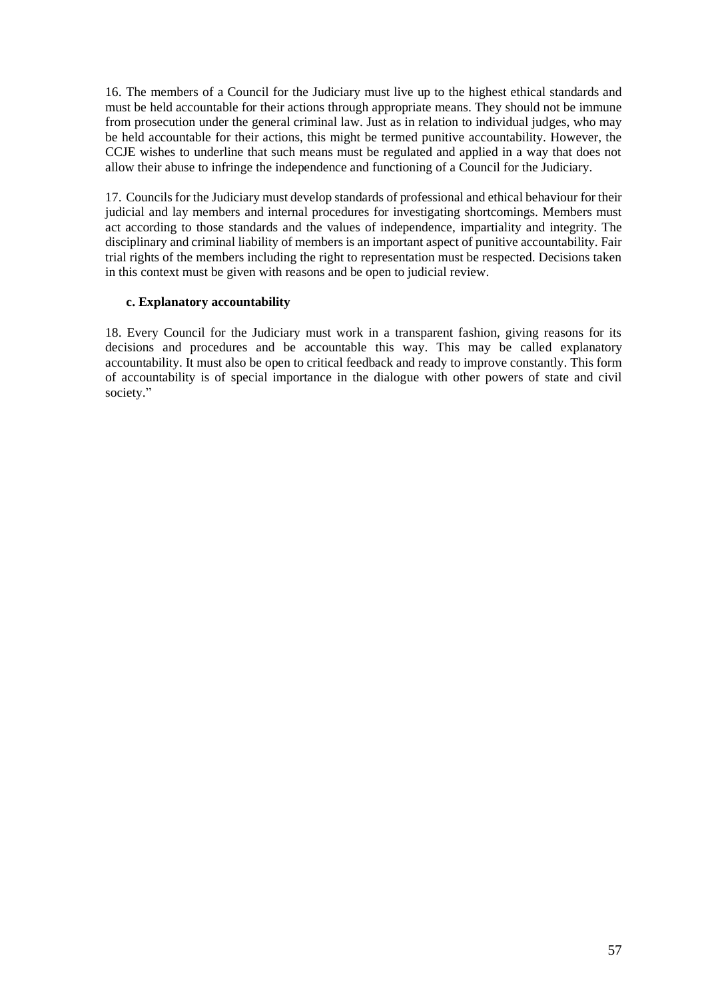16. The members of a Council for the Judiciary must live up to the highest ethical standards and must be held accountable for their actions through appropriate means. They should not be immune from prosecution under the general criminal law. Just as in relation to individual judges, who may be held accountable for their actions, this might be termed punitive accountability. However, the CCJE wishes to underline that such means must be regulated and applied in a way that does not allow their abuse to infringe the independence and functioning of a Council for the Judiciary.

17. Councils for the Judiciary must develop standards of professional and ethical behaviour for their judicial and lay members and internal procedures for investigating shortcomings. Members must act according to those standards and the values of independence, impartiality and integrity. The disciplinary and criminal liability of members is an important aspect of punitive accountability. Fair trial rights of the members including the right to representation must be respected. Decisions taken in this context must be given with reasons and be open to judicial review.

#### **c. Explanatory accountability**

18. Every Council for the Judiciary must work in a transparent fashion, giving reasons for its decisions and procedures and be accountable this way. This may be called explanatory accountability. It must also be open to critical feedback and ready to improve constantly. This form of accountability is of special importance in the dialogue with other powers of state and civil society."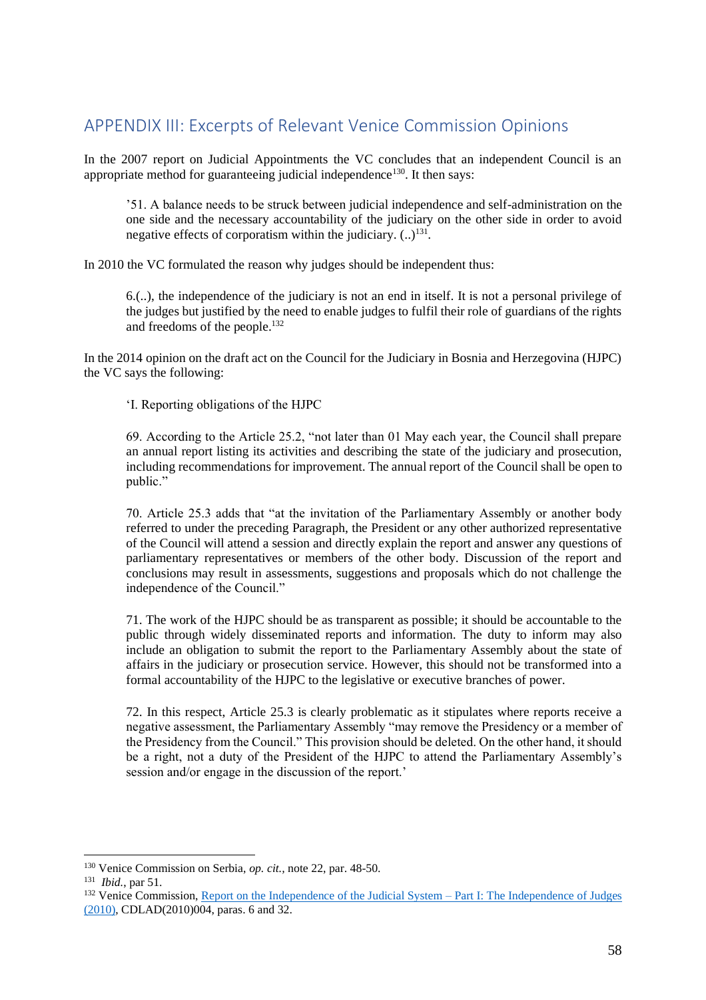# <span id="page-58-0"></span>APPENDIX III: Excerpts of Relevant Venice Commission Opinions

In the 2007 report on Judicial Appointments the VC concludes that an independent Council is an appropriate method for guaranteeing judicial independence<sup>130</sup>. It then says:

'51. A balance needs to be struck between judicial independence and self-administration on the one side and the necessary accountability of the judiciary on the other side in order to avoid negative effects of corporatism within the judiciary.  $(.)^{131}$ .

In 2010 the VC formulated the reason why judges should be independent thus:

6.(..), the independence of the judiciary is not an end in itself. It is not a personal privilege of the judges but justified by the need to enable judges to fulfil their role of guardians of the rights and freedoms of the people.<sup>132</sup>

In the 2014 opinion on the draft act on the Council for the Judiciary in Bosnia and Herzegovina (HJPC) the VC says the following:

'I. Reporting obligations of the HJPC

69. According to the Article 25.2, "not later than 01 May each year, the Council shall prepare an annual report listing its activities and describing the state of the judiciary and prosecution, including recommendations for improvement. The annual report of the Council shall be open to public."

70. Article 25.3 adds that "at the invitation of the Parliamentary Assembly or another body referred to under the preceding Paragraph, the President or any other authorized representative of the Council will attend a session and directly explain the report and answer any questions of parliamentary representatives or members of the other body. Discussion of the report and conclusions may result in assessments, suggestions and proposals which do not challenge the independence of the Council."

71. The work of the HJPC should be as transparent as possible; it should be accountable to the public through widely disseminated reports and information. The duty to inform may also include an obligation to submit the report to the Parliamentary Assembly about the state of affairs in the judiciary or prosecution service. However, this should not be transformed into a formal accountability of the HJPC to the legislative or executive branches of power.

72. In this respect, Article 25.3 is clearly problematic as it stipulates where reports receive a negative assessment, the Parliamentary Assembly "may remove the Presidency or a member of the Presidency from the Council." This provision should be deleted. On the other hand, it should be a right, not a duty of the President of the HJPC to attend the Parliamentary Assembly's session and/or engage in the discussion of the report.'

<sup>130</sup> Venice Commission on Serbia, *op. cit.,* note 22, par. 48-50.

<sup>131</sup> *Ibid.*, par 51.

<sup>&</sup>lt;sup>132</sup> Venice Commission[, Report on the Independence of the Judicial System –](https://www.venice.coe.int/webforms/documents/CDL-AD(2010)004.aspx) Part I: The Independence of Judges [\(2010\),](https://www.venice.coe.int/webforms/documents/CDL-AD(2010)004.aspx) CDLAD(2010)004, paras. 6 and 32.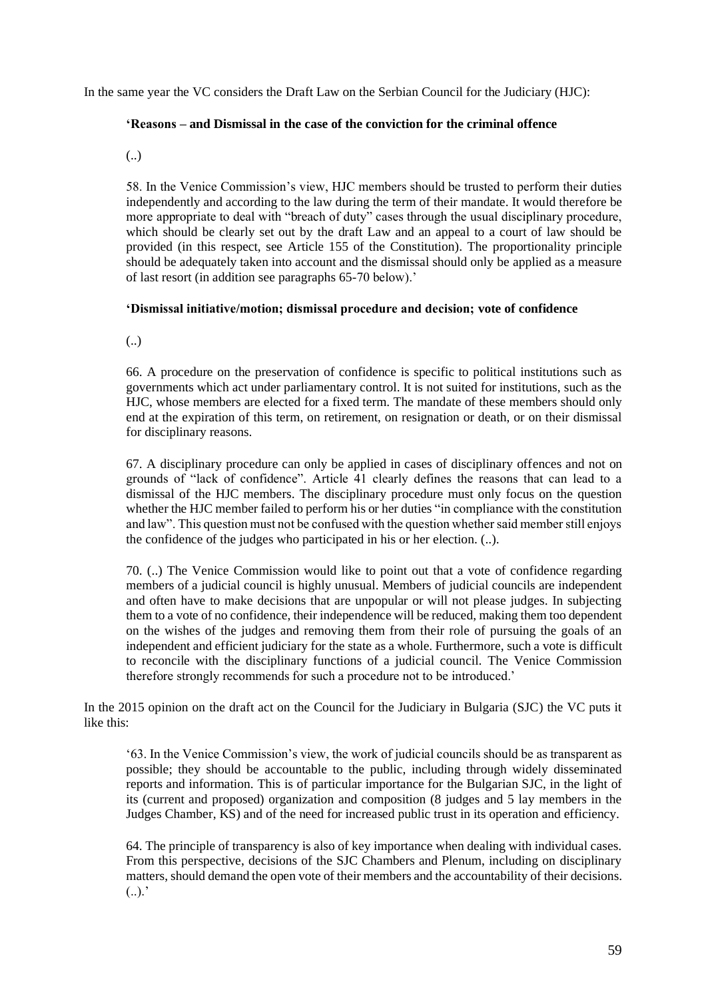In the same year the VC considers the Draft Law on the Serbian Council for the Judiciary (HJC):

#### **'Reasons – and Dismissal in the case of the conviction for the criminal offence**

(..)

58. In the Venice Commission's view, HJC members should be trusted to perform their duties independently and according to the law during the term of their mandate. It would therefore be more appropriate to deal with "breach of duty" cases through the usual disciplinary procedure, which should be clearly set out by the draft Law and an appeal to a court of law should be provided (in this respect, see Article 155 of the Constitution). The proportionality principle should be adequately taken into account and the dismissal should only be applied as a measure of last resort (in addition see paragraphs 65-70 below).'

#### **'Dismissal initiative/motion; dismissal procedure and decision; vote of confidence**

(..)

66. A procedure on the preservation of confidence is specific to political institutions such as governments which act under parliamentary control. It is not suited for institutions, such as the HJC, whose members are elected for a fixed term. The mandate of these members should only end at the expiration of this term, on retirement, on resignation or death, or on their dismissal for disciplinary reasons.

67. A disciplinary procedure can only be applied in cases of disciplinary offences and not on grounds of "lack of confidence". Article 41 clearly defines the reasons that can lead to a dismissal of the HJC members. The disciplinary procedure must only focus on the question whether the HJC member failed to perform his or her duties "in compliance with the constitution and law". This question must not be confused with the question whether said member still enjoys the confidence of the judges who participated in his or her election. (..).

70. (..) The Venice Commission would like to point out that a vote of confidence regarding members of a judicial council is highly unusual. Members of judicial councils are independent and often have to make decisions that are unpopular or will not please judges. In subjecting them to a vote of no confidence, their independence will be reduced, making them too dependent on the wishes of the judges and removing them from their role of pursuing the goals of an independent and efficient judiciary for the state as a whole. Furthermore, such a vote is difficult to reconcile with the disciplinary functions of a judicial council. The Venice Commission therefore strongly recommends for such a procedure not to be introduced.'

In the 2015 opinion on the draft act on the Council for the Judiciary in Bulgaria (SJC) the VC puts it like this:

'63. In the Venice Commission's view, the work of judicial councils should be as transparent as possible; they should be accountable to the public, including through widely disseminated reports and information. This is of particular importance for the Bulgarian SJC, in the light of its (current and proposed) organization and composition (8 judges and 5 lay members in the Judges Chamber, KS) and of the need for increased public trust in its operation and efficiency.

64. The principle of transparency is also of key importance when dealing with individual cases. From this perspective, decisions of the SJC Chambers and Plenum, including on disciplinary matters, should demand the open vote of their members and the accountability of their decisions.  $(.).$